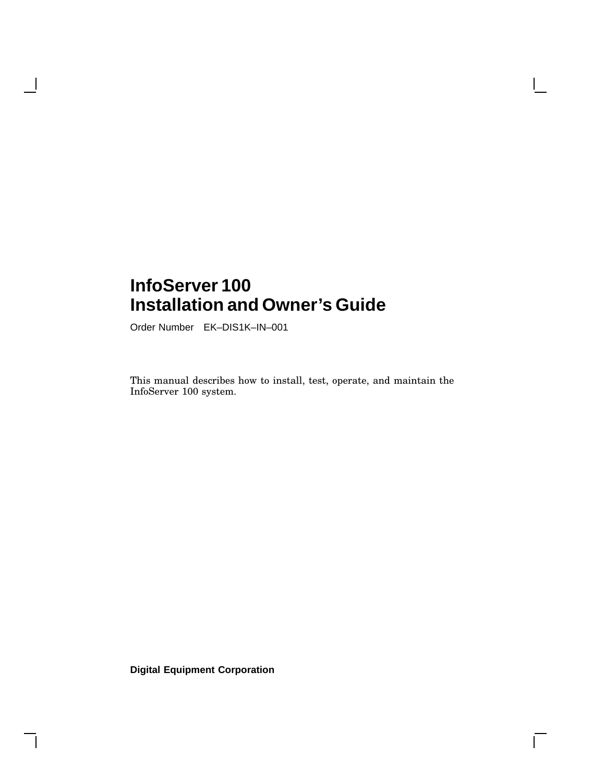# **InfoServer 100 Installation and Owner's Guide**

Order Number EK–DIS1K–IN–001

 $\overline{\phantom{a}}$ 

This manual describes how to install, test, operate, and maintain the InfoServer 100 system.

 $\Gamma$ 

**Digital Equipment Corporation**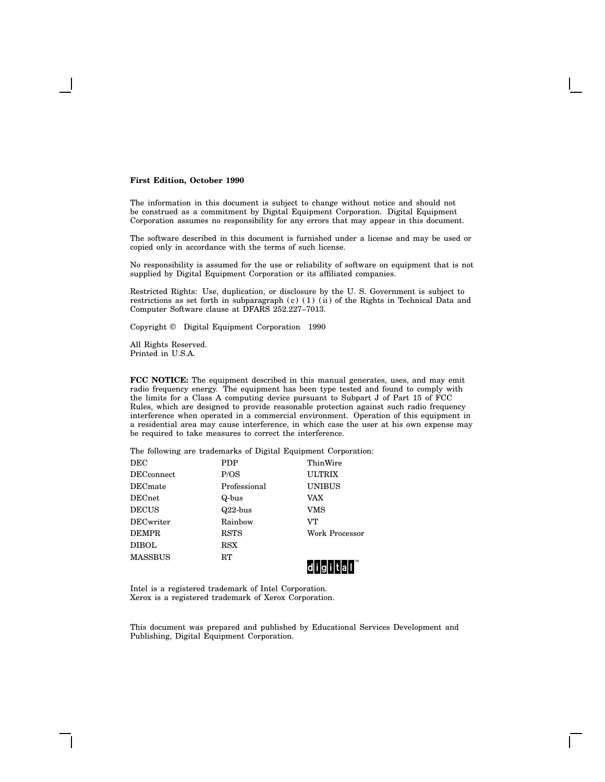#### **First Edition, October 1990**

The information in this document is subject to change without notice and should not be construed as a commitment by Digital Equipment Corporation. Digital Equipment Corporation assumes no responsibility for any errors that may appear in this document.

The software described in this document is furnished under a license and may be used or copied only in accordance with the terms of such license.

No responsibility is assumed for the use or reliability of software on equipment that is not supplied by Digital Equipment Corporation or its affiliated companies.

Restricted Rights: Use, duplication, or disclosure by the U. S. Government is subject to restrictions as set forth in subparagraph (c) (1) (ii) of the Rights in Technical Data and Computer Software clause at DFARS 252.227–7013.

Copyright © Digital Equipment Corporation 1990

All Rights Reserved. Printed in U.S.A.

**FCC NOTICE:** The equipment described in this manual generates, uses, and may emit radio frequency energy. The equipment has been type tested and found to comply with the limits for a Class A computing device pursuant to Subpart J of Part 15 of FCC Rules, which are designed to provide reasonable protection against such radio frequency interference when operated in a commercial environment. Operation of this equipment in a residential area may cause interference, in which case the user at his own expense may be required to take measures to correct the interference.

The following are trademarks of Digital Equipment Corporation:

| $_{\rm DEC}$                | PDP          | ThinWire              |
|-----------------------------|--------------|-----------------------|
| $\operatorname{DECconnect}$ | P/OS         | <b>ULTRIX</b>         |
| $\rm{DECmate}$              | Professional | <b>UNIBUS</b>         |
| $\rm{DECnet}$               | Q-bus        | VAX                   |
| DECUS                       | $Q22$ -bus   | VMS                   |
| DECwriter                   | Rainbow      | VT                    |
| <b>DEMPR</b>                | RSTS         | <b>Work Processor</b> |
| DIBOL                       | $_{\rm RSX}$ |                       |
| MASSBUS                     | RT           |                       |
|                             |              |                       |

Intel is a registered trademark of Intel Corporation. Xerox is a registered trademark of Xerox Corporation.

This document was prepared and published by Educational Services Development and Publishing, Digital Equipment Corporation.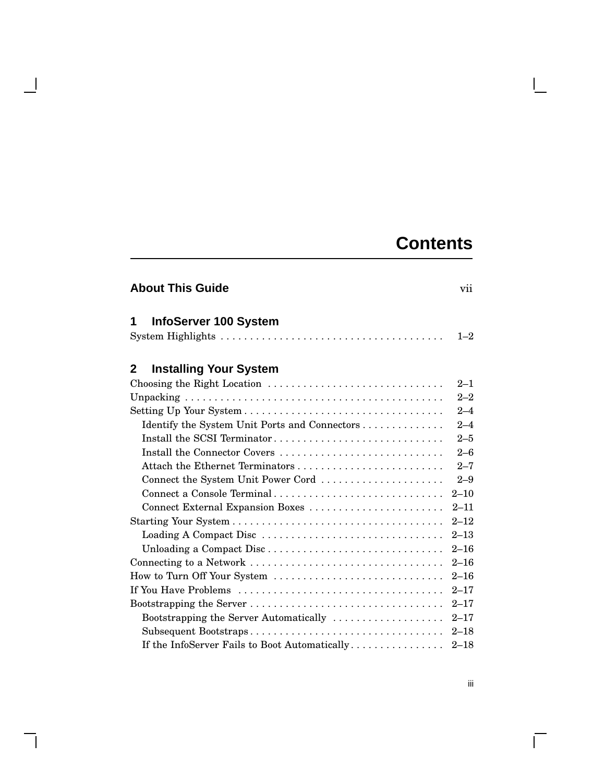# **Contents**

 $\mathbf{L}$ 

| <b>About This Guide</b><br>vii                |          |  |
|-----------------------------------------------|----------|--|
| InfoServer 100 System<br>1                    | $1 - 2$  |  |
| <b>Installing Your System</b><br>2            |          |  |
| Choosing the Right Location                   | $2 - 1$  |  |
|                                               | $2 - 2$  |  |
|                                               | $2 - 4$  |  |
| Identify the System Unit Ports and Connectors | $2 - 4$  |  |
| Install the SCSI Terminator                   | $2 - 5$  |  |
| Install the Connector Covers                  | $2 - 6$  |  |
|                                               | $2 - 7$  |  |
| Connect the System Unit Power Cord            | $2 - 9$  |  |
| Connect a Console Terminal                    | $2 - 10$ |  |
| Connect External Expansion Boxes              | $2 - 11$ |  |
|                                               | $2 - 12$ |  |
| Loading A Compact Disc                        | $2 - 13$ |  |
| Unloading a Compact Disc                      | $2 - 16$ |  |
|                                               | $2 - 16$ |  |
| How to Turn Off Your System                   | $2 - 16$ |  |
|                                               | $2 - 17$ |  |
|                                               | $2 - 17$ |  |
| Bootstrapping the Server Automatically        | $2 - 17$ |  |
| Subsequent Bootstraps                         | $2 - 18$ |  |
| If the InfoServer Fails to Boot Automatically | $2 - 18$ |  |

 $\overline{\phantom{a}}$ 

 $\mathbf{I}$ 

 $\overline{\Gamma}$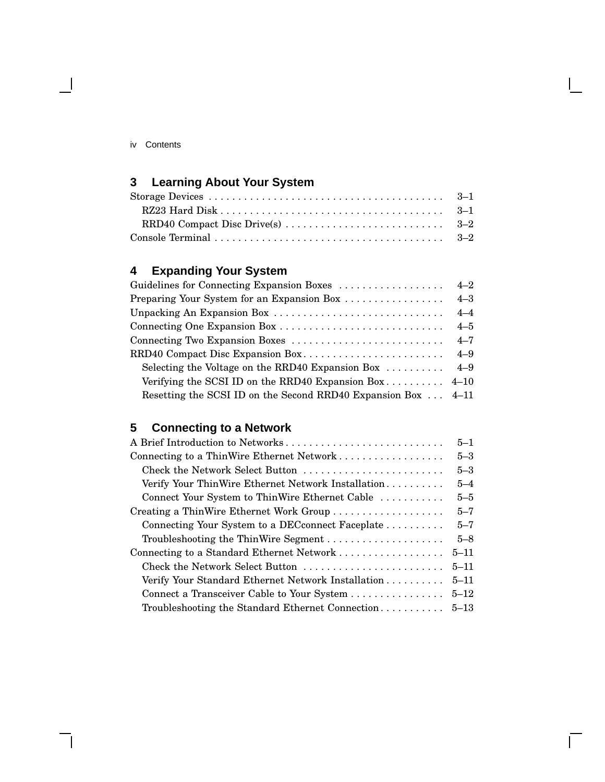| 1V | Contents |  |
|----|----------|--|
|    |          |  |

 $\overline{\phantom{a}}$ 

# **3 Learning About Your System**

# **4 Expanding Your System**

| Guidelines for Connecting Expansion Boxes                            | $4 - 2$ |
|----------------------------------------------------------------------|---------|
| Preparing Your System for an Expansion Box                           | $4 - 3$ |
|                                                                      | $4 - 4$ |
|                                                                      | $4 - 5$ |
|                                                                      | $4 - 7$ |
| RRD40 Compact Disc Expansion Box                                     | $4 - 9$ |
| Selecting the Voltage on the RRD40 Expansion Box $\dots \dots$ 4-9   |         |
| Verifying the SCSI ID on the RRD40 Expansion Box $4-10$              |         |
| Resetting the SCSI ID on the Second RRD40 Expansion Box $\dots$ 4-11 |         |

# **5 Connecting to a Network**

| A Brief Introduction to Networks                   | $5 - 1$  |
|----------------------------------------------------|----------|
| Connecting to a ThinWire Ethernet Network          | $5 - 3$  |
| Check the Network Select Button                    | $5 - 3$  |
| Verify Your ThinWire Ethernet Network Installation | $5 - 4$  |
| Connect Your System to ThinWire Ethernet Cable     | $5 - 5$  |
| Creating a ThinWire Ethernet Work Group            | $5 - 7$  |
| Connecting Your System to a DEC connect Faceplate  | $5 - 7$  |
| Troubleshooting the ThinWire Segment               | $5 - 8$  |
| Connecting to a Standard Ethernet Network          | $5 - 11$ |
| Check the Network Select Button                    | $5 - 11$ |
| Verify Your Standard Ethernet Network Installation | $5 - 11$ |
|                                                    | $5 - 12$ |
| Troubleshooting the Standard Ethernet Connection   | $5 - 13$ |

 $\Box$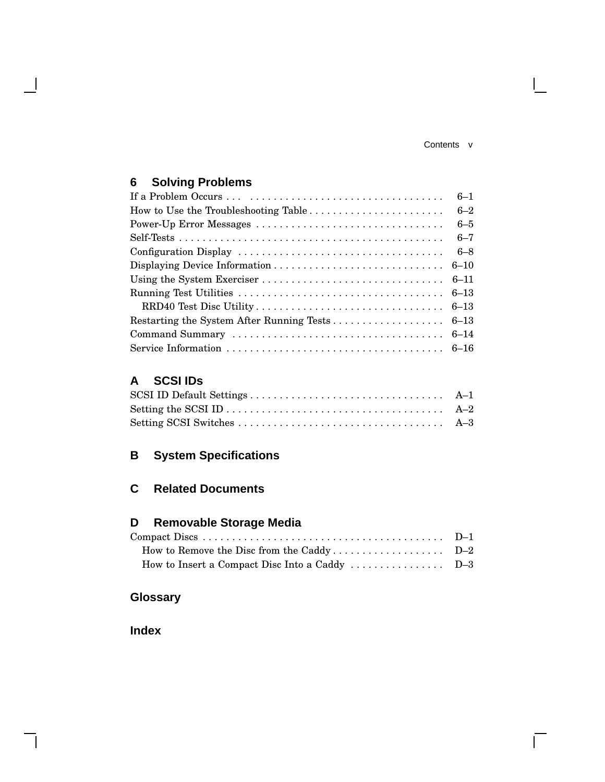Contents v

 $\mathbb{R}^n$ 

 $\overline{\Gamma}$ 

# **6 Solving Problems**

 $\mathbf{I}$ 

|                                      | $6 - 1$ |
|--------------------------------------|---------|
| How to Use the Troubleshooting Table | $6 - 2$ |
|                                      | $6 - 5$ |
|                                      | $6 - 7$ |
|                                      | $6 - 8$ |
|                                      |         |
|                                      |         |
|                                      |         |
|                                      |         |
|                                      |         |
|                                      |         |
|                                      |         |

### **A SCSI IDs**

## **B System Specifications**

### **C Related Documents**

### **D Removable Storage Media**

| How to Insert a Compact Disc Into a Caddy $\dots \dots \dots \dots \dots$ D-3 |  |
|-------------------------------------------------------------------------------|--|

## **Glossary**

**Index**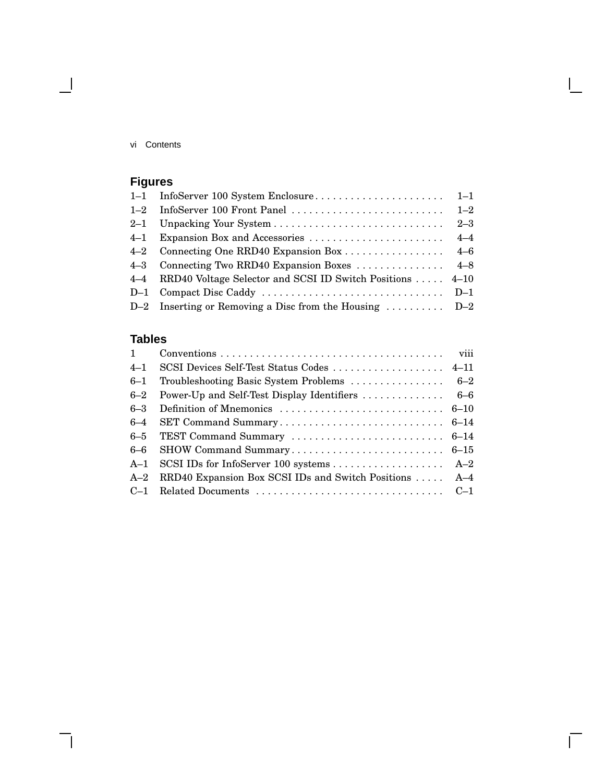vi Contents

 $\overline{\phantom{a}}$ 

# **Figures**

| 4–4 RRD40 Voltage Selector and SCSI ID Switch Positions  4–10             |  |
|---------------------------------------------------------------------------|--|
|                                                                           |  |
| D-2 Inserting or Removing a Disc from the Housing $\dots \dots \dots$ D-2 |  |

# **Tables**

| $1 \quad$ |                                                        |  |
|-----------|--------------------------------------------------------|--|
| $4 - 1$   |                                                        |  |
| $6 - 1$   |                                                        |  |
| $6 - 2$   |                                                        |  |
| $6 - 3$   |                                                        |  |
| $6 - 4$   |                                                        |  |
|           |                                                        |  |
|           |                                                        |  |
|           |                                                        |  |
| $A-2$     | RRD40 Expansion Box SCSI IDs and Switch Positions  A-4 |  |
|           |                                                        |  |

 $\bar{\Gamma}$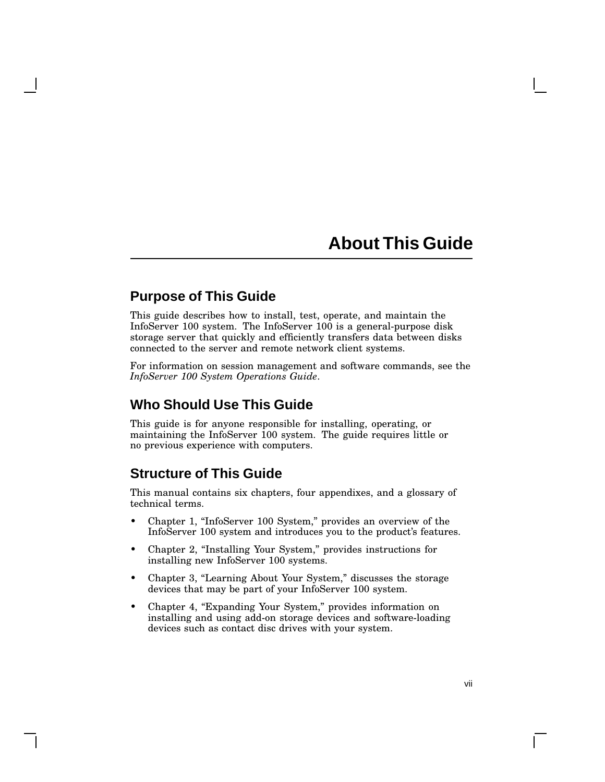# **About This Guide**

### **Purpose of This Guide**

This guide describes how to install, test, operate, and maintain the InfoServer 100 system. The InfoServer 100 is a general-purpose disk storage server that quickly and efficiently transfers data between disks connected to the server and remote network client systems.

For information on session management and software commands, see the *InfoServer 100 System Operations Guide*.

### **Who Should Use This Guide**

This guide is for anyone responsible for installing, operating, or maintaining the InfoServer 100 system. The guide requires little or no previous experience with computers.

### **Structure of This Guide**

This manual contains six chapters, four appendixes, and a glossary of technical terms.

- Chapter 1, "InfoServer 100 System," provides an overview of the InfoServer 100 system and introduces you to the product's features.
- Chapter 2, "Installing Your System," provides instructions for installing new InfoServer 100 systems.
- Chapter 3, "Learning About Your System," discusses the storage devices that may be part of your InfoServer 100 system.
- Chapter 4, "Expanding Your System," provides information on installing and using add-on storage devices and software-loading devices such as contact disc drives with your system.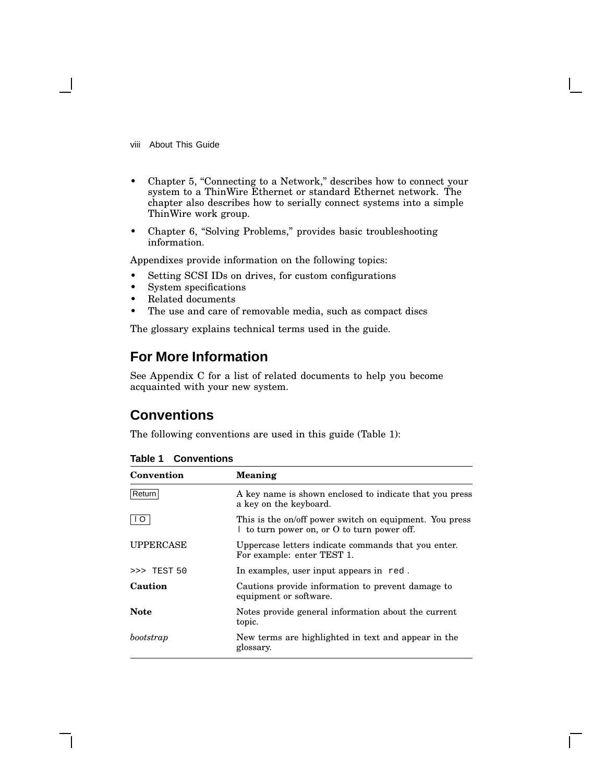viii About This Guide

- Chapter 5, "Connecting to a Network," describes how to connect your system to a ThinWire Ethernet or standard Ethernet network. The chapter also describes how to serially connect systems into a simple ThinWire work group.
- Chapter 6, "Solving Problems," provides basic troubleshooting information.

Appendixes provide information on the following topics:

- Setting SCSI IDs on drives, for custom configurations
- System specifications
- Related documents
- The use and care of removable media, such as compact discs

The glossary explains technical terms used in the guide.

### **For More Information**

See Appendix C for a list of related documents to help you become acquainted with your new system.

### **Conventions**

The following conventions are used in this guide (Table 1):

| Convention       | Meaning                                                                                                |
|------------------|--------------------------------------------------------------------------------------------------------|
| Return           | A key name is shown enclosed to indicate that you press<br>a key on the keyboard.                      |
|                  | This is the on/off power switch on equipment. You press<br>I to turn power on, or O to turn power off. |
| <b>UPPERCASE</b> | Uppercase letters indicate commands that you enter.<br>For example: enter TEST 1.                      |
| $>>$ TEST 50     | In examples, user input appears in red.                                                                |
| Caution          | Cautions provide information to prevent damage to<br>equipment or software.                            |
| <b>Note</b>      | Notes provide general information about the current<br>topic.                                          |
| bootstrap        | New terms are highlighted in text and appear in the<br>glossary.                                       |

#### **Table 1 Conventions**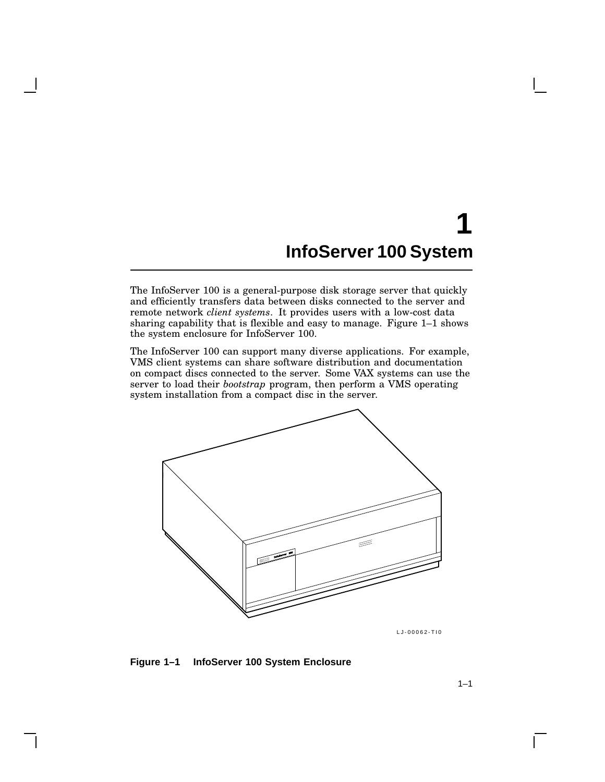# **1 InfoServer 100 System**

The InfoServer 100 is a general-purpose disk storage server that quickly and efficiently transfers data between disks connected to the server and remote network *client systems*. It provides users with a low-cost data sharing capability that is flexible and easy to manage. Figure 1–1 shows the system enclosure for InfoServer 100.

The InfoServer 100 can support many diverse applications. For example, VMS client systems can share software distribution and documentation on compact discs connected to the server. Some VAX systems can use the server to load their *bootstrap* program, then perform a VMS operating system installation from a compact disc in the server.



LJ-00062-TI0

**Figure 1–1 InfoServer 100 System Enclosure**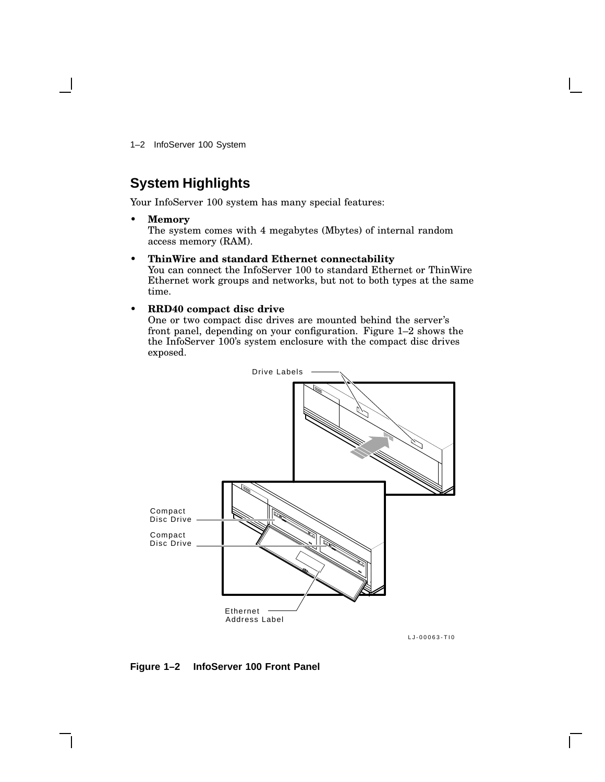1–2 InfoServer 100 System

## **System Highlights**

Your InfoServer 100 system has many special features:

• **Memory**

The system comes with 4 megabytes (Mbytes) of internal random access memory (RAM).

• **ThinWire and standard Ethernet connectability**

You can connect the InfoServer 100 to standard Ethernet or ThinWire Ethernet work groups and networks, but not to both types at the same time.

#### • **RRD40 compact disc drive**

One or two compact disc drives are mounted behind the server's front panel, depending on your configuration. Figure 1–2 shows the the InfoServer 100's system enclosure with the compact disc drives exposed.



LJ-00063-TI0

**Figure 1–2 InfoServer 100 Front Panel**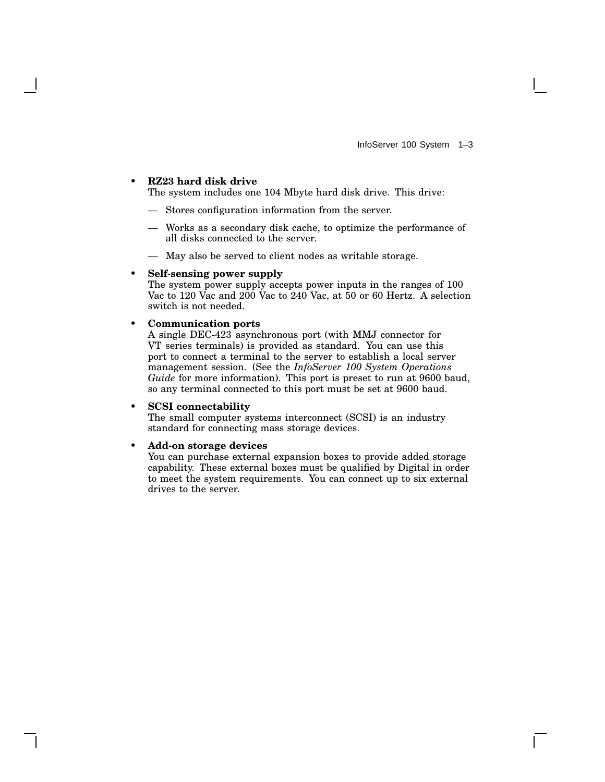#### • **RZ23 hard disk drive**

The system includes one 104 Mbyte hard disk drive. This drive:

- Stores configuration information from the server.
- Works as a secondary disk cache, to optimize the performance of all disks connected to the server.
- May also be served to client nodes as writable storage.

#### • **Self-sensing power supply**

The system power supply accepts power inputs in the ranges of 100 Vac to 120 Vac and 200 Vac to 240 Vac, at 50 or 60 Hertz. A selection switch is not needed.

#### • **Communication ports**

A single DEC-423 asynchronous port (with MMJ connector for VT series terminals) is provided as standard. You can use this port to connect a terminal to the server to establish a local server management session. (See the *InfoServer 100 System Operations Guide* for more information). This port is preset to run at 9600 baud, so any terminal connected to this port must be set at 9600 baud.

#### • **SCSI connectability**

The small computer systems interconnect (SCSI) is an industry standard for connecting mass storage devices.

#### • **Add-on storage devices**

You can purchase external expansion boxes to provide added storage capability. These external boxes must be qualified by Digital in order to meet the system requirements. You can connect up to six external drives to the server.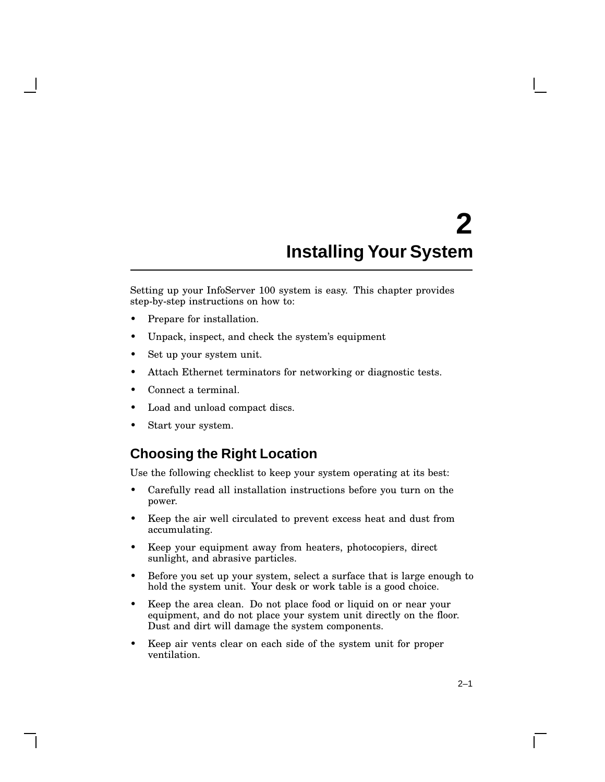# **2 Installing Your System**

Setting up your InfoServer 100 system is easy. This chapter provides step-by-step instructions on how to:

- Prepare for installation.
- Unpack, inspect, and check the system's equipment
- Set up your system unit.
- Attach Ethernet terminators for networking or diagnostic tests.
- Connect a terminal.
- Load and unload compact discs.
- Start your system.

### **Choosing the Right Location**

Use the following checklist to keep your system operating at its best:

- Carefully read all installation instructions before you turn on the power.
- Keep the air well circulated to prevent excess heat and dust from accumulating.
- Keep your equipment away from heaters, photocopiers, direct sunlight, and abrasive particles.
- Before you set up your system, select a surface that is large enough to hold the system unit. Your desk or work table is a good choice.
- Keep the area clean. Do not place food or liquid on or near your equipment, and do not place your system unit directly on the floor. Dust and dirt will damage the system components.
- Keep air vents clear on each side of the system unit for proper ventilation.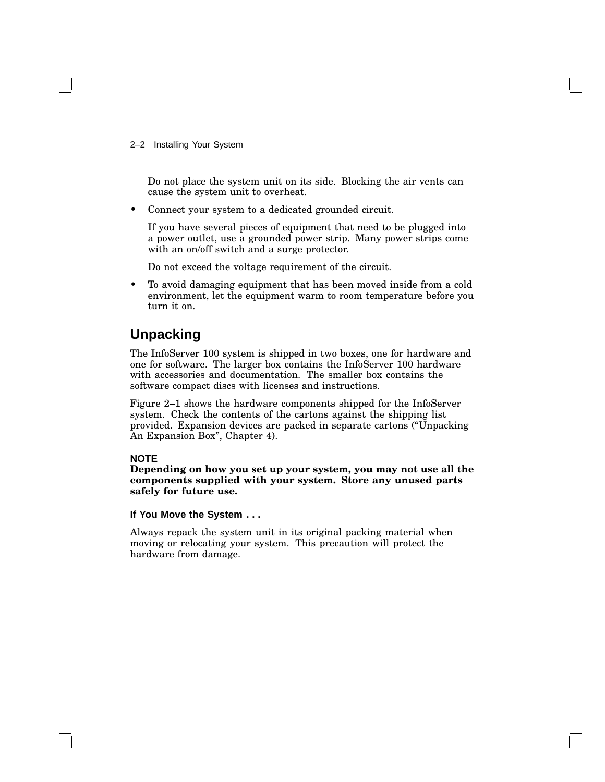2–2 Installing Your System

Do not place the system unit on its side. Blocking the air vents can cause the system unit to overheat.

• Connect your system to a dedicated grounded circuit.

If you have several pieces of equipment that need to be plugged into a power outlet, use a grounded power strip. Many power strips come with an on/off switch and a surge protector.

Do not exceed the voltage requirement of the circuit.

• To avoid damaging equipment that has been moved inside from a cold environment, let the equipment warm to room temperature before you turn it on.

### **Unpacking**

The InfoServer 100 system is shipped in two boxes, one for hardware and one for software. The larger box contains the InfoServer 100 hardware with accessories and documentation. The smaller box contains the software compact discs with licenses and instructions.

Figure 2–1 shows the hardware components shipped for the InfoServer system. Check the contents of the cartons against the shipping list provided. Expansion devices are packed in separate cartons (''Unpacking An Expansion Box'', Chapter 4).

#### **NOTE**

**Depending on how you set up your system, you may not use all the components supplied with your system. Store any unused parts safely for future use.**

#### **If You Move the System . . .**

Always repack the system unit in its original packing material when moving or relocating your system. This precaution will protect the hardware from damage.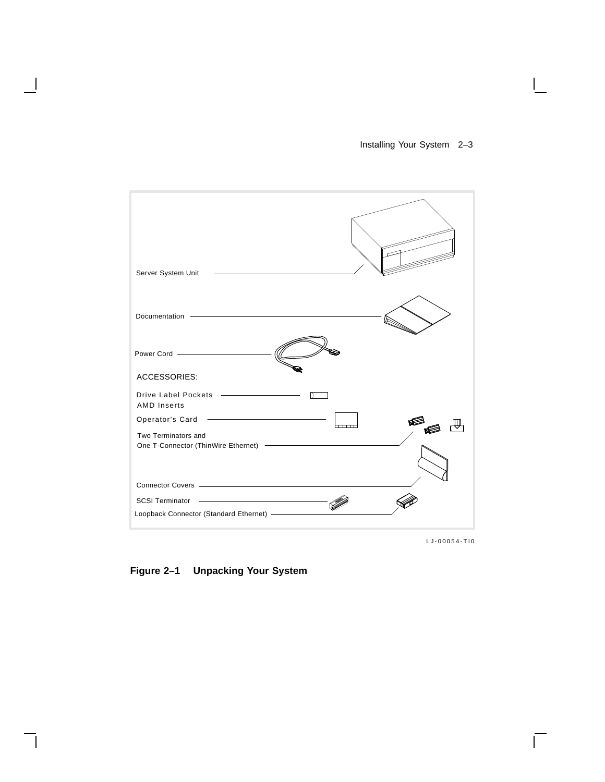### Installing Your System 2–3

 $\mathsf{I}$ 

| Server System Unit                                                                                                                                                                                                             |
|--------------------------------------------------------------------------------------------------------------------------------------------------------------------------------------------------------------------------------|
| Documentation -                                                                                                                                                                                                                |
| Power Cord - The Context Cord Context Cord Context Cord Context Context Context Context Context Context Context Context Context Context Context Context Context Context Context Context Context Context Context Context Contex |
| <b>ACCESSORIES:</b><br>Drive Label Pockets <b>Constant Contains Constant Constant</b><br>D                                                                                                                                     |
| <b>AMD Inserts</b><br><u> 1989 - Andrea Stadt Britain, amerikansk politik (</u><br>Operator's Card                                                                                                                             |
| Two Terminators and                                                                                                                                                                                                            |
| Connector Covers - Andrew Management of the Connector Covers - Andrew Management of the Connection of the Connection of the Connection of the Connection of the Connection of the Connection of the Connection of the Connecti |
| the control of the control of the control<br><b>SCSI Terminator</b>                                                                                                                                                            |
| Loopback Connector (Standard Ethernet) -                                                                                                                                                                                       |

LJ-00054-TI0

 $\overline{\Gamma}$ 

**Figure 2–1 Unpacking Your System**

 $\overline{\phantom{a}}$ 

H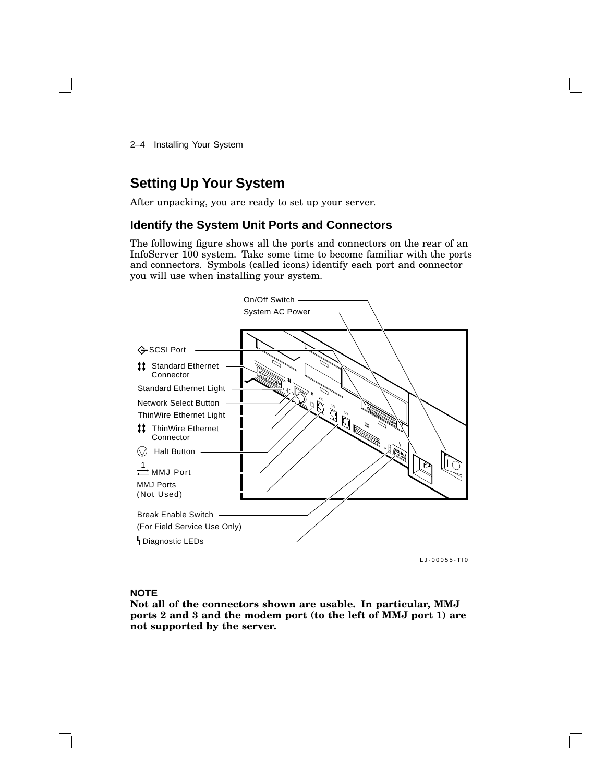2–4 Installing Your System

### **Setting Up Your System**

After unpacking, you are ready to set up your server.

#### **Identify the System Unit Ports and Connectors**

The following figure shows all the ports and connectors on the rear of an InfoServer 100 system. Take some time to become familiar with the ports and connectors. Symbols (called icons) identify each port and connector you will use when installing your system.



LJ-00055-TI0

#### **NOTE**

**Not all of the connectors shown are usable. In particular, MMJ ports 2 and 3 and the modem port (to the left of MMJ port 1) are not supported by the server.**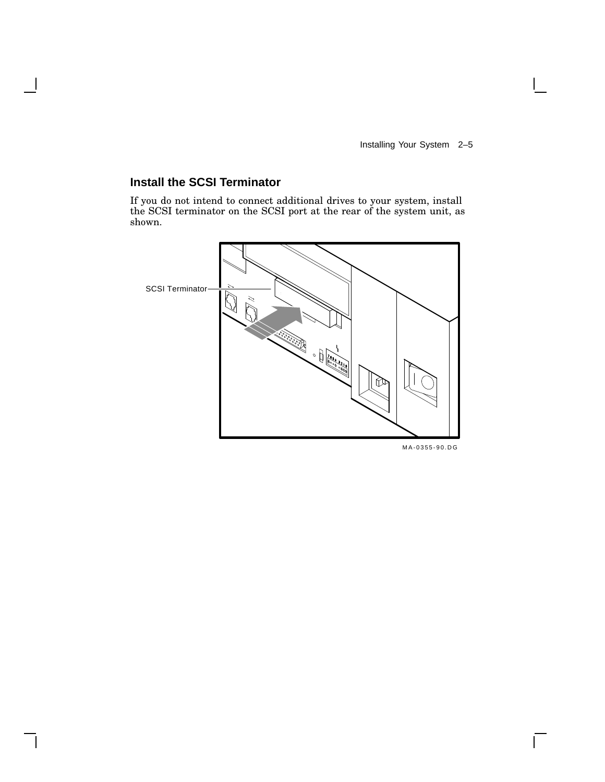### **Install the SCSI Terminator**

If you do not intend to connect additional drives to your system, install the SCSI terminator on the SCSI port at the rear of the system unit, as shown.



m<br>A-0355-90.DG

 $\mathsf{L}$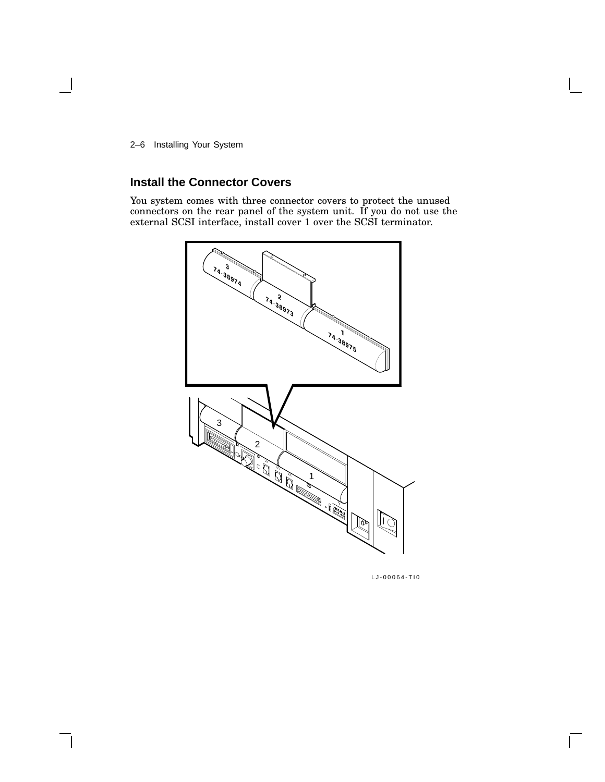2–6 Installing Your System

### **Install the Connector Covers**

You system comes with three connector covers to protect the unused connectors on the rear panel of the system unit. If you do not use the external SCSI interface, install cover 1 over the SCSI terminator.



LJ-00064-TI0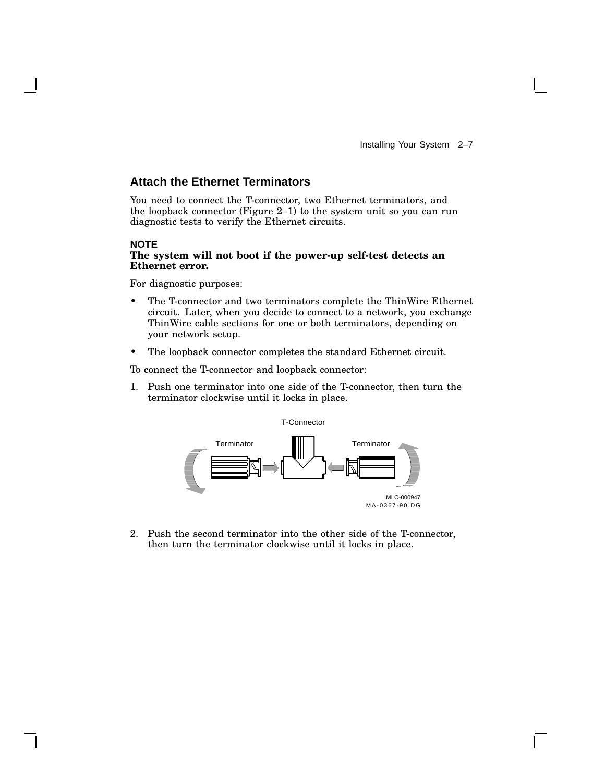#### **Attach the Ethernet Terminators**

You need to connect the T-connector, two Ethernet terminators, and the loopback connector (Figure 2–1) to the system unit so you can run diagnostic tests to verify the Ethernet circuits.

#### **NOTE**

#### **The system will not boot if the power-up self-test detects an Ethernet error.**

For diagnostic purposes:

- The T-connector and two terminators complete the ThinWire Ethernet circuit. Later, when you decide to connect to a network, you exchange ThinWire cable sections for one or both terminators, depending on your network setup.
- The loopback connector completes the standard Ethernet circuit.

To connect the T-connector and loopback connector:

1. Push one terminator into one side of the T-connector, then turn the terminator clockwise until it locks in place.



2. Push the second terminator into the other side of the T-connector, then turn the terminator clockwise until it locks in place.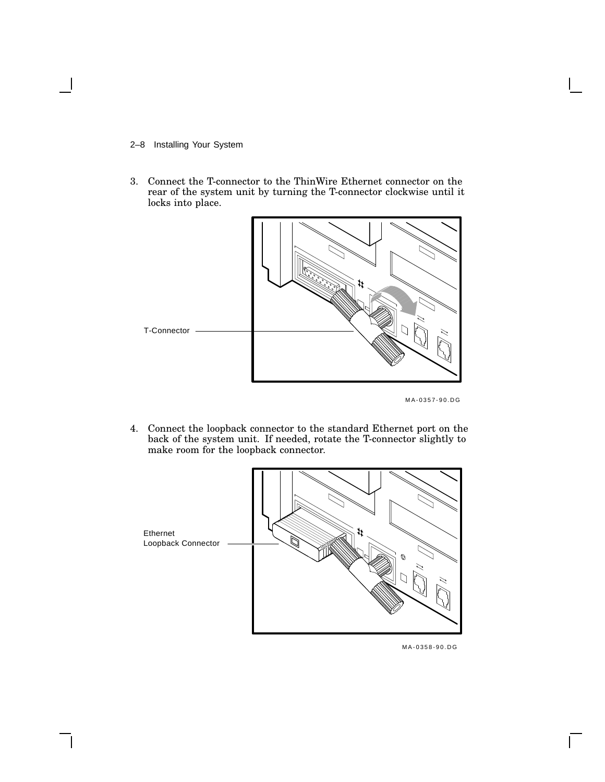2–8 Installing Your System

3. Connect the T-connector to the ThinWire Ethernet connector on the rear of the system unit by turning the T-connector clockwise until it locks into place.



MLO-002752 MA-0357-90.DG

4. Connect the loopback connector to the standard Ethernet port on the back of the system unit. If needed, rotate the T-connector slightly to make room for the loopback connector.



 $\mathsf{I}$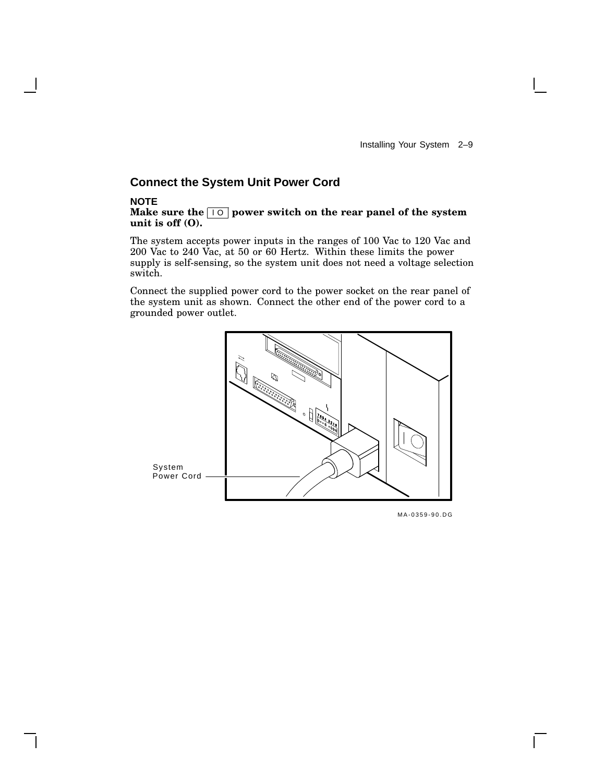### **Connect the System Unit Power Cord**

#### **NOTE**

**Make** sure the  $\boxed{10}$  power switch on the rear panel of the system **unit is off (O).**

The system accepts power inputs in the ranges of 100 Vac to 120 Vac and 200 Vac to 240 Vac, at 50 or 60 Hertz. Within these limits the power supply is self-sensing, so the system unit does not need a voltage selection switch.

Connect the supplied power cord to the power socket on the rear panel of the system unit as shown. Connect the other end of the power cord to a grounded power outlet.

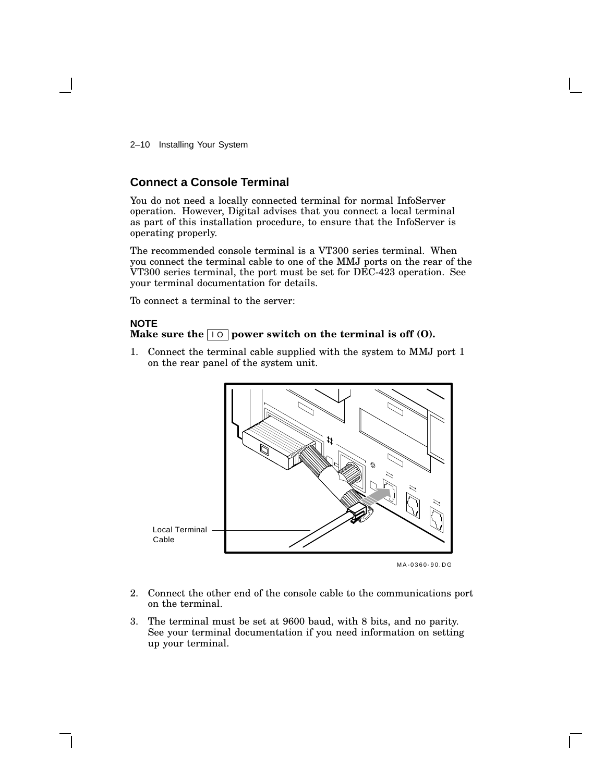2–10 Installing Your System

### **Connect a Console Terminal**

You do not need a locally connected terminal for normal InfoServer operation. However, Digital advises that you connect a local terminal as part of this installation procedure, to ensure that the InfoServer is operating properly.

The recommended console terminal is a VT300 series terminal. When you connect the terminal cable to one of the MMJ ports on the rear of the VT300 series terminal, the port must be set for DEC-423 operation. See your terminal documentation for details.

To connect a terminal to the server:

#### **NOTE**

#### **Make** sure the  $\boxed{10}$  power switch on the terminal is off (0).

1. Connect the terminal cable supplied with the system to MMJ port 1 on the rear panel of the system unit.



MA-0360-90.DG

- 2. Connect the other end of the console cable to the communications port on the terminal.
- 3. The terminal must be set at 9600 baud, with 8 bits, and no parity. See your terminal documentation if you need information on setting up your terminal.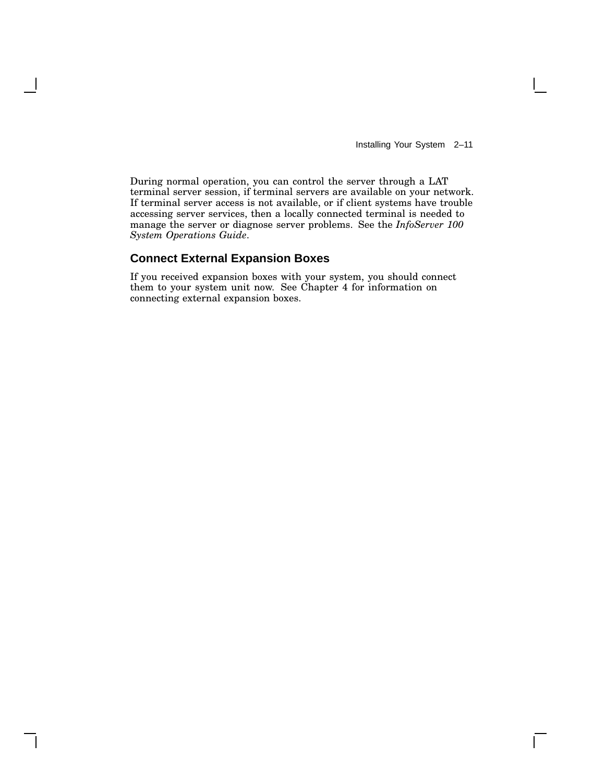Installing Your System 2–11

 $\mathbf{I}$ 

During normal operation, you can control the server through a LAT terminal server session, if terminal servers are available on your network. If terminal server access is not available, or if client systems have trouble accessing server services, then a locally connected terminal is needed to manage the server or diagnose server problems. See the *InfoServer 100 System Operations Guide*.

### **Connect External Expansion Boxes**

If you received expansion boxes with your system, you should connect them to your system unit now. See Chapter 4 for information on connecting external expansion boxes.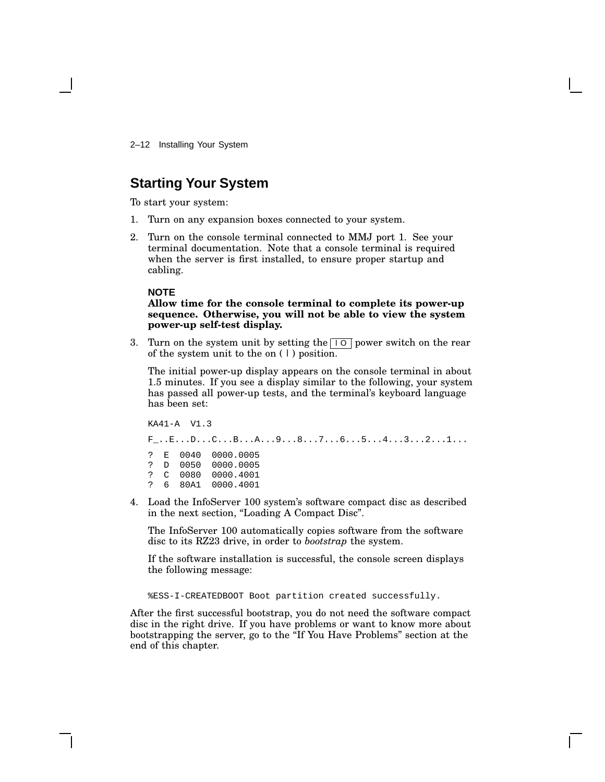2–12 Installing Your System

### **Starting Your System**

To start your system:

- 1. Turn on any expansion boxes connected to your system.
- 2. Turn on the console terminal connected to MMJ port 1. See your terminal documentation. Note that a console terminal is required when the server is first installed, to ensure proper startup and cabling.

#### **NOTE**

#### **Allow time for the console terminal to complete its power-up sequence. Otherwise, you will not be able to view the system power-up self-test display.**

3. Turn on the system unit by setting the  $\boxed{10}$  power switch on the rear of the system unit to the on ( | ) position.

The initial power-up display appears on the console terminal in about 1.5 minutes. If you see a display similar to the following, your system has passed all power-up tests, and the terminal's keyboard language has been set:

```
KA41-A V1.3
F_-. . E. . . D. . . C. . . B. . . A. . . 9. . . 8. . . 7. . . 6. . . 5. . . 4. . . 3. . . 2. . . 1. . .? E 0040 0000.0005
? D 0050 0000.0005
? C 0080 0000.4001
? 6 80A1 0000.4001
```
4. Load the InfoServer 100 system's software compact disc as described in the next section, ''Loading A Compact Disc''.

The InfoServer 100 automatically copies software from the software disc to its RZ23 drive, in order to *bootstrap* the system.

If the software installation is successful, the console screen displays the following message:

%ESS-I-CREATEDBOOT Boot partition created successfully.

After the first successful bootstrap, you do not need the software compact disc in the right drive. If you have problems or want to know more about bootstrapping the server, go to the ''If You Have Problems'' section at the end of this chapter.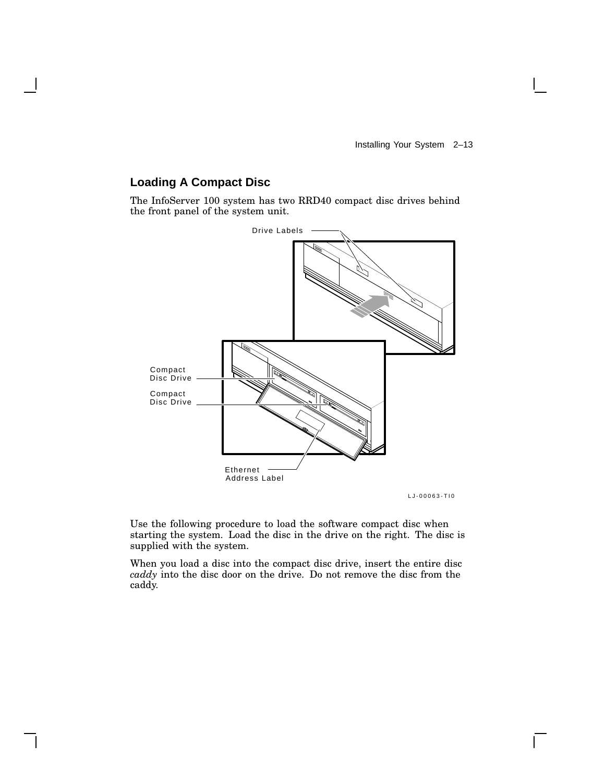$\mathbf{L}$ 

### **Loading A Compact Disc**

The InfoServer 100 system has two RRD40 compact disc drives behind the front panel of the system unit.



Use the following procedure to load the software compact disc when starting the system. Load the disc in the drive on the right. The disc is supplied with the system.

When you load a disc into the compact disc drive, insert the entire disc *caddy* into the disc door on the drive. Do not remove the disc from the caddy.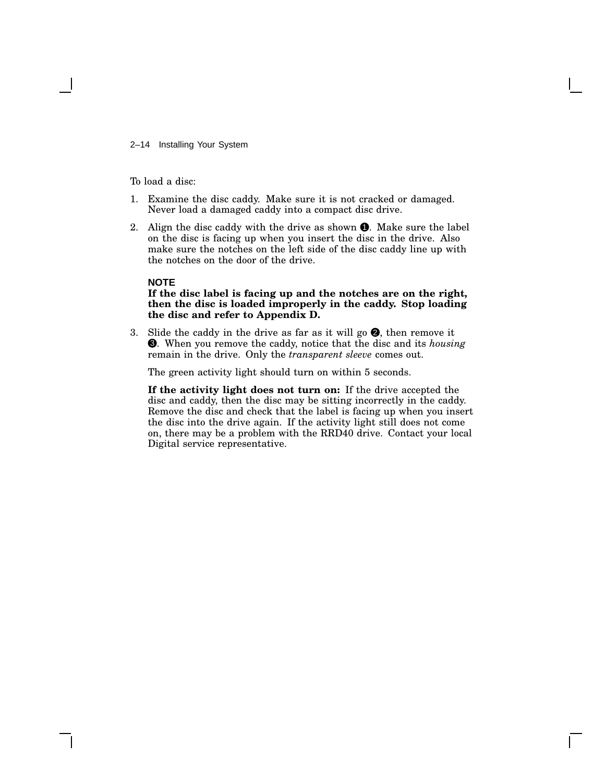2–14 Installing Your System

#### To load a disc:

- 1. Examine the disc caddy. Make sure it is not cracked or damaged. Never load a damaged caddy into a compact disc drive.
- 2. Align the disc caddy with the drive as shown  $\bullet$ . Make sure the label on the disc is facing up when you insert the disc in the drive. Also make sure the notches on the left side of the disc caddy line up with the notches on the door of the drive.

#### **NOTE**

#### **If the disc label is facing up and the notches are on the right, then the disc is loaded improperly in the caddy. Stop loading the disc and refer to Appendix D.**

3. Slide the caddy in the drive as far as it will go  $\bullet$ , then remove it 3 . When you remove the caddy, notice that the disc and its *housing* remain in the drive. Only the *transparent sleeve* comes out.

The green activity light should turn on within 5 seconds.

**If the activity light does not turn on:** If the drive accepted the disc and caddy, then the disc may be sitting incorrectly in the caddy. Remove the disc and check that the label is facing up when you insert the disc into the drive again. If the activity light still does not come on, there may be a problem with the RRD40 drive. Contact your local Digital service representative.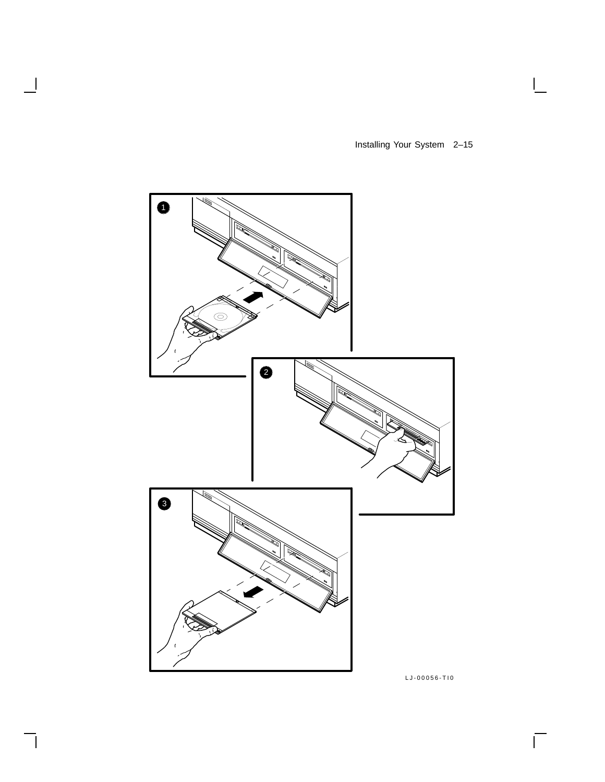Installing Your System 2–15

 $\mathsf{I}$ 



 $\overline{\phantom{a}}$ 

 $\mathsf{l}$ 

LJ-00056-TI0

 $\overline{\Gamma}$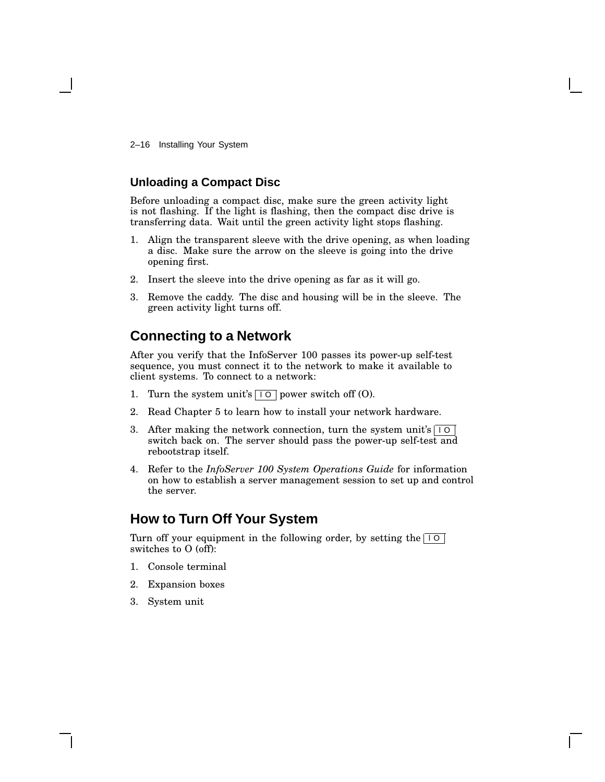2–16 Installing Your System

#### **Unloading a Compact Disc**

Before unloading a compact disc, make sure the green activity light is not flashing. If the light is flashing, then the compact disc drive is transferring data. Wait until the green activity light stops flashing.

- 1. Align the transparent sleeve with the drive opening, as when loading a disc. Make sure the arrow on the sleeve is going into the drive opening first.
- 2. Insert the sleeve into the drive opening as far as it will go.
- 3. Remove the caddy. The disc and housing will be in the sleeve. The green activity light turns off.

### **Connecting to a Network**

After you verify that the InfoServer 100 passes its power-up self-test sequence, you must connect it to the network to make it available to client systems. To connect to a network:

- 1. Turn the system unit's  $\boxed{10}$  power switch off (O).
- 2. Read Chapter 5 to learn how to install your network hardware.
- 3. After making the network connection, turn the system unit's  $\boxed{10}$ switch back on. The server should pass the power-up self-test and rebootstrap itself.
- 4. Refer to the *InfoServer 100 System Operations Guide* for information on how to establish a server management session to set up and control the server.

## **How to Turn Off Your System**

Turn off your equipment in the following order, by setting the  $\boxed{10}$ switches to O (off):

- 1. Console terminal
- 2. Expansion boxes
- 3. System unit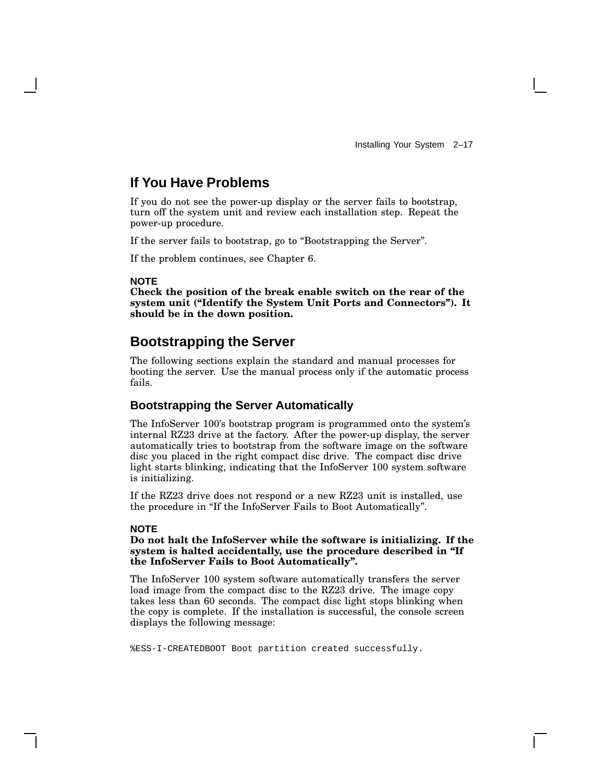### **If You Have Problems**

If you do not see the power-up display or the server fails to bootstrap, turn off the system unit and review each installation step. Repeat the power-up procedure.

If the server fails to bootstrap, go to ''Bootstrapping the Server''.

If the problem continues, see Chapter 6.

#### **NOTE**

**Check the position of the break enable switch on the rear of the system unit (''Identify the System Unit Ports and Connectors''). It should be in the down position.**

### **Bootstrapping the Server**

The following sections explain the standard and manual processes for booting the server. Use the manual process only if the automatic process fails.

#### **Bootstrapping the Server Automatically**

The InfoServer 100's bootstrap program is programmed onto the system's internal RZ23 drive at the factory. After the power-up display, the server automatically tries to bootstrap from the software image on the software disc you placed in the right compact disc drive. The compact disc drive light starts blinking, indicating that the InfoServer 100 system software is initializing.

If the RZ23 drive does not respond or a new RZ23 unit is installed, use the procedure in ''If the InfoServer Fails to Boot Automatically''.

#### **NOTE**

#### **Do not halt the InfoServer while the software is initializing. If the system is halted accidentally, use the procedure described in ''If the InfoServer Fails to Boot Automatically''.**

The InfoServer 100 system software automatically transfers the server load image from the compact disc to the RZ23 drive. The image copy takes less than 60 seconds. The compact disc light stops blinking when the copy is complete. If the installation is successful, the console screen displays the following message:

%ESS-I-CREATEDBOOT Boot partition created successfully.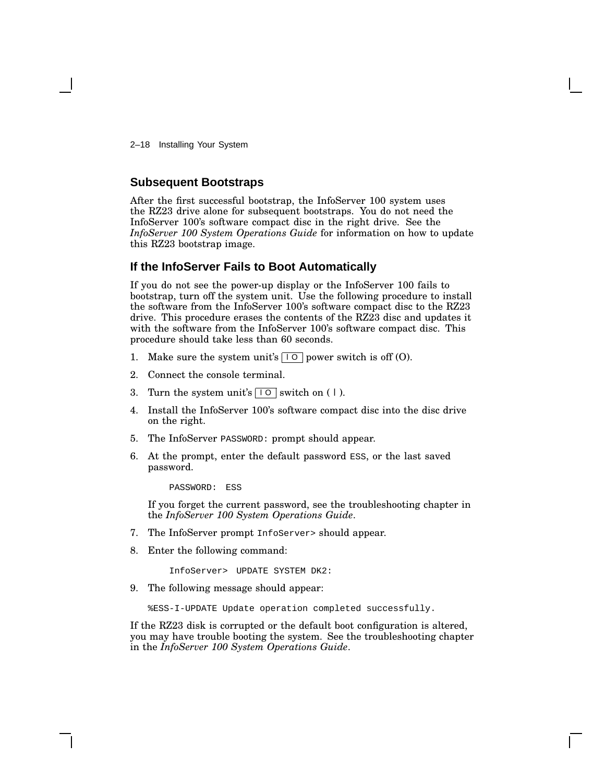2–18 Installing Your System

#### **Subsequent Bootstraps**

After the first successful bootstrap, the InfoServer 100 system uses the RZ23 drive alone for subsequent bootstraps. You do not need the InfoServer 100's software compact disc in the right drive. See the *InfoServer 100 System Operations Guide* for information on how to update this RZ23 bootstrap image.

#### **If the InfoServer Fails to Boot Automatically**

If you do not see the power-up display or the InfoServer 100 fails to bootstrap, turn off the system unit. Use the following procedure to install the software from the InfoServer 100's software compact disc to the RZ23 drive. This procedure erases the contents of the RZ23 disc and updates it with the software from the InfoServer 100's software compact disc. This procedure should take less than 60 seconds.

- 1. Make sure the system unit's  $\boxed{10}$  power switch is off (O).
- 2. Connect the console terminal.
- 3. Turn the system unit's  $\boxed{10}$  switch on (1).
- 4. Install the InfoServer 100's software compact disc into the disc drive on the right.
- 5. The InfoServer PASSWORD: prompt should appear.
- 6. At the prompt, enter the default password ESS, or the last saved password.

PASSWORD: ESS

If you forget the current password, see the troubleshooting chapter in the *InfoServer 100 System Operations Guide*.

- 7. The InfoServer prompt InfoServer> should appear.
- 8. Enter the following command:

InfoServer> UPDATE SYSTEM DK2:

9. The following message should appear:

%ESS-I-UPDATE Update operation completed successfully.

If the RZ23 disk is corrupted or the default boot configuration is altered, you may have trouble booting the system. See the troubleshooting chapter in the *InfoServer 100 System Operations Guide*.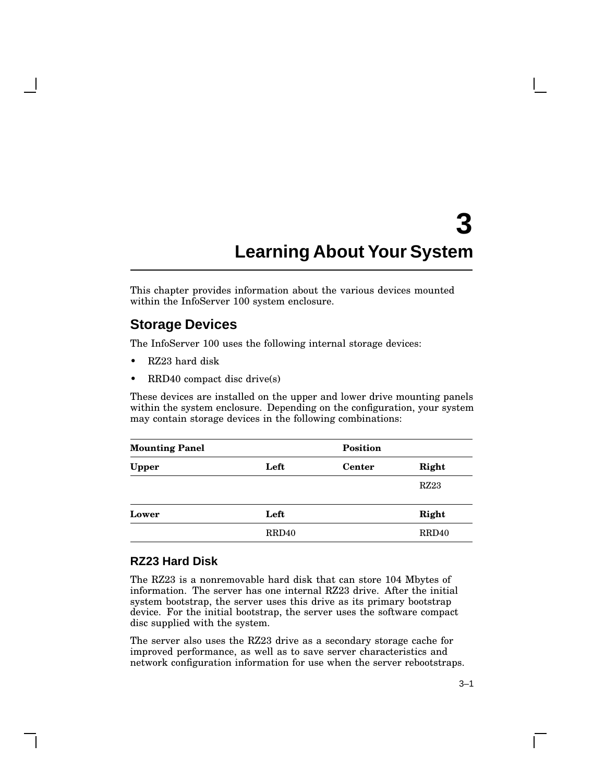# **3 Learning About Your System**

This chapter provides information about the various devices mounted within the InfoServer 100 system enclosure.

### **Storage Devices**

The InfoServer 100 uses the following internal storage devices:

- RZ23 hard disk
- RRD40 compact disc drive(s)

These devices are installed on the upper and lower drive mounting panels within the system enclosure. Depending on the configuration, your system may contain storage devices in the following combinations:

| <b>Mounting Panel</b> |       | <b>Position</b> |       |
|-----------------------|-------|-----------------|-------|
| <b>Upper</b>          | Left  | <b>Center</b>   | Right |
|                       |       |                 | RZ23  |
| Lower                 | Left  |                 | Right |
|                       | RRD40 |                 | RRD40 |

### **RZ23 Hard Disk**

The RZ23 is a nonremovable hard disk that can store 104 Mbytes of information. The server has one internal RZ23 drive. After the initial system bootstrap, the server uses this drive as its primary bootstrap device. For the initial bootstrap, the server uses the software compact disc supplied with the system.

The server also uses the RZ23 drive as a secondary storage cache for improved performance, as well as to save server characteristics and network configuration information for use when the server rebootstraps.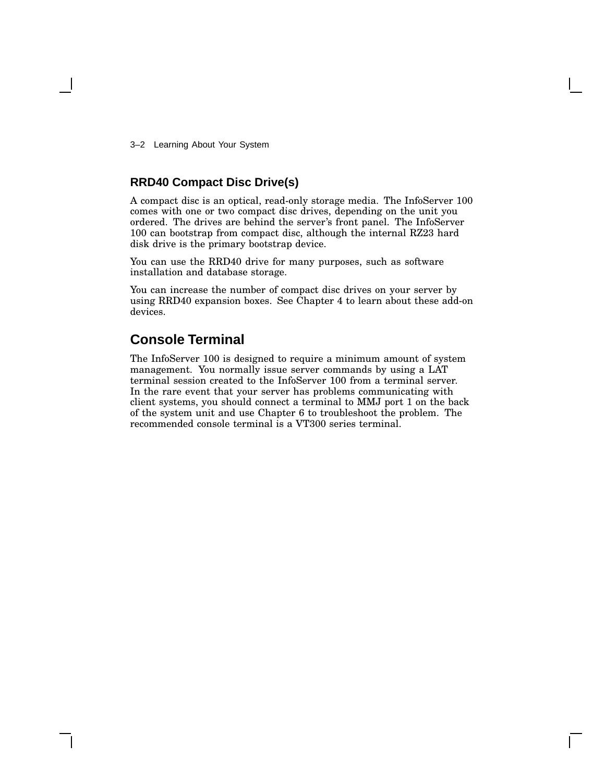3–2 Learning About Your System

### **RRD40 Compact Disc Drive(s)**

A compact disc is an optical, read-only storage media. The InfoServer 100 comes with one or two compact disc drives, depending on the unit you ordered. The drives are behind the server's front panel. The InfoServer 100 can bootstrap from compact disc, although the internal RZ23 hard disk drive is the primary bootstrap device.

You can use the RRD40 drive for many purposes, such as software installation and database storage.

You can increase the number of compact disc drives on your server by using RRD40 expansion boxes. See Chapter 4 to learn about these add-on devices.

### **Console Terminal**

The InfoServer 100 is designed to require a minimum amount of system management. You normally issue server commands by using a LAT terminal session created to the InfoServer 100 from a terminal server. In the rare event that your server has problems communicating with client systems, you should connect a terminal to MMJ port 1 on the back of the system unit and use Chapter 6 to troubleshoot the problem. The recommended console terminal is a VT300 series terminal.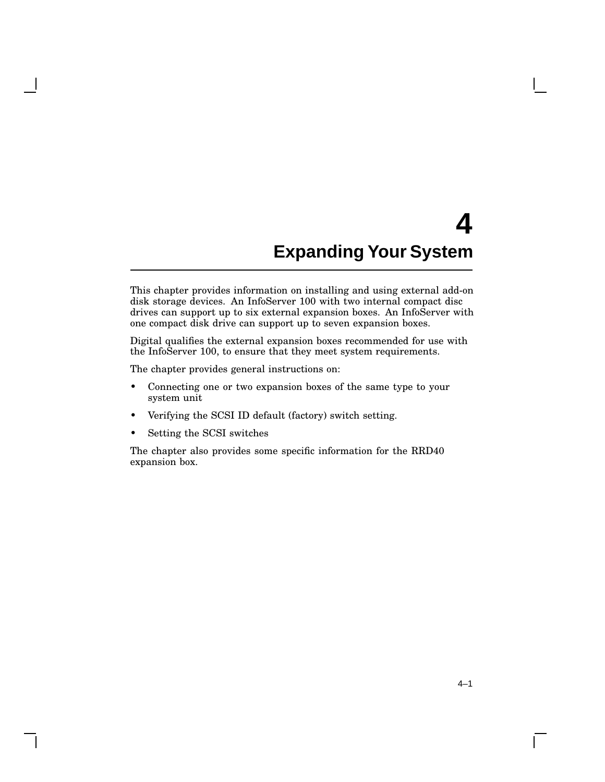# **4 Expanding Your System**

This chapter provides information on installing and using external add-on disk storage devices. An InfoServer 100 with two internal compact disc drives can support up to six external expansion boxes. An InfoServer with one compact disk drive can support up to seven expansion boxes.

Digital qualifies the external expansion boxes recommended for use with the InfoServer 100, to ensure that they meet system requirements.

The chapter provides general instructions on:

- Connecting one or two expansion boxes of the same type to your system unit
- Verifying the SCSI ID default (factory) switch setting.
- Setting the SCSI switches

The chapter also provides some specific information for the RRD40 expansion box.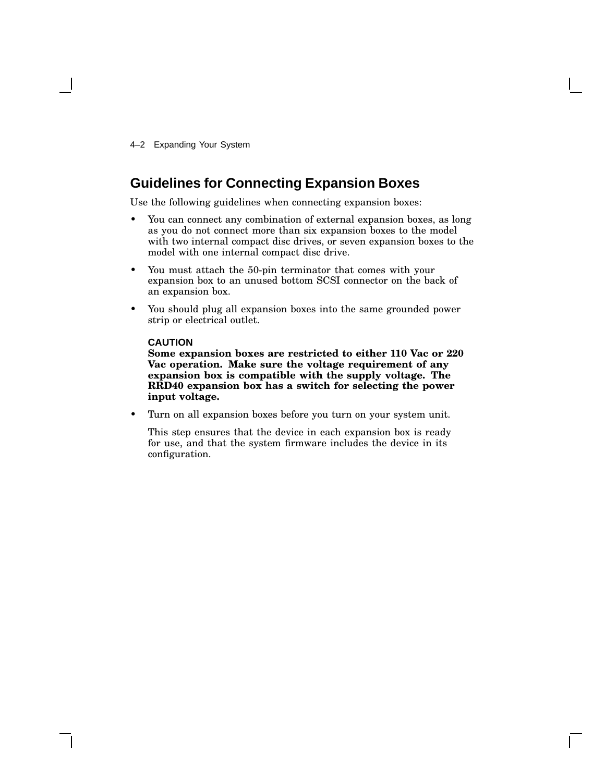4–2 Expanding Your System

### **Guidelines for Connecting Expansion Boxes**

Use the following guidelines when connecting expansion boxes:

- You can connect any combination of external expansion boxes, as long as you do not connect more than six expansion boxes to the model with two internal compact disc drives, or seven expansion boxes to the model with one internal compact disc drive.
- You must attach the 50-pin terminator that comes with your expansion box to an unused bottom SCSI connector on the back of an expansion box.
- You should plug all expansion boxes into the same grounded power strip or electrical outlet.

#### **CAUTION**

**Some expansion boxes are restricted to either 110 Vac or 220 Vac operation. Make sure the voltage requirement of any expansion box is compatible with the supply voltage. The RRD40 expansion box has a switch for selecting the power input voltage.**

• Turn on all expansion boxes before you turn on your system unit.

This step ensures that the device in each expansion box is ready for use, and that the system firmware includes the device in its configuration.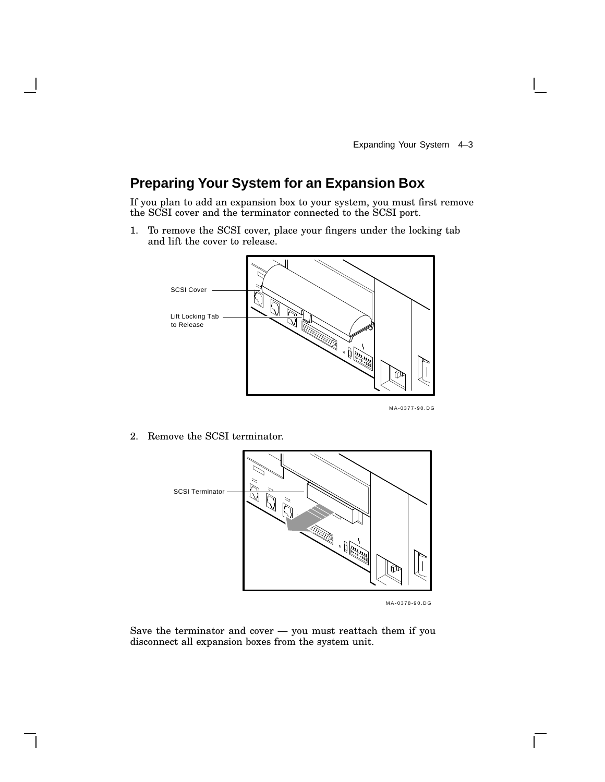## **Preparing Your System for an Expansion Box**

If you plan to add an expansion box to your system, you must first remove the SCSI cover and the terminator connected to the SCSI port.

1. To remove the SCSI cover, place your fingers under the locking tab and lift the cover to release.



2. Remove the SCSI terminator.



MLO-002767 MA-0378-90.DG

Save the terminator and cover — you must reattach them if you disconnect all expansion boxes from the system unit.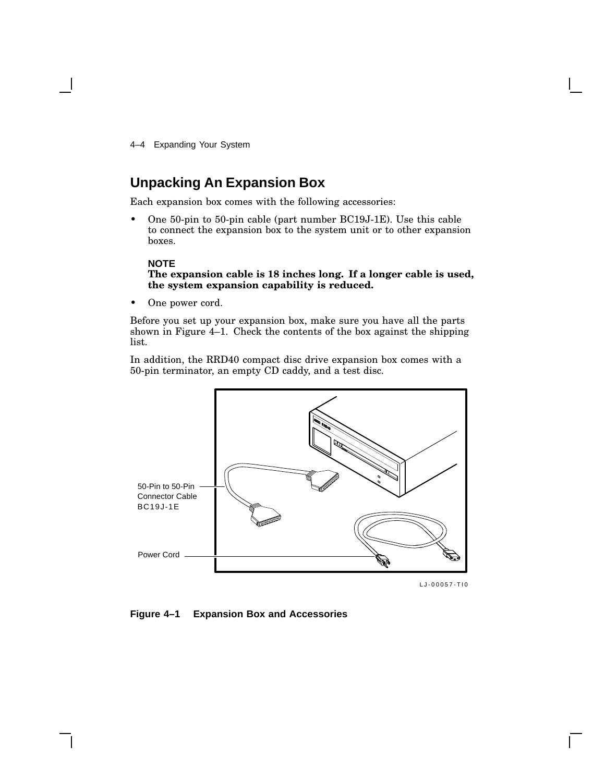4–4 Expanding Your System

### **Unpacking An Expansion Box**

Each expansion box comes with the following accessories:

• One 50-pin to 50-pin cable (part number BC19J-1E). Use this cable to connect the expansion box to the system unit or to other expansion boxes.

#### **NOTE**

**The expansion cable is 18 inches long. If a longer cable is used, the system expansion capability is reduced.**

• One power cord.

Before you set up your expansion box, make sure you have all the parts shown in Figure 4–1. Check the contents of the box against the shipping list.

In addition, the RRD40 compact disc drive expansion box comes with a 50-pin terminator, an empty CD caddy, and a test disc.



LJ-00057-TI0

**Figure 4–1 Expansion Box and Accessories**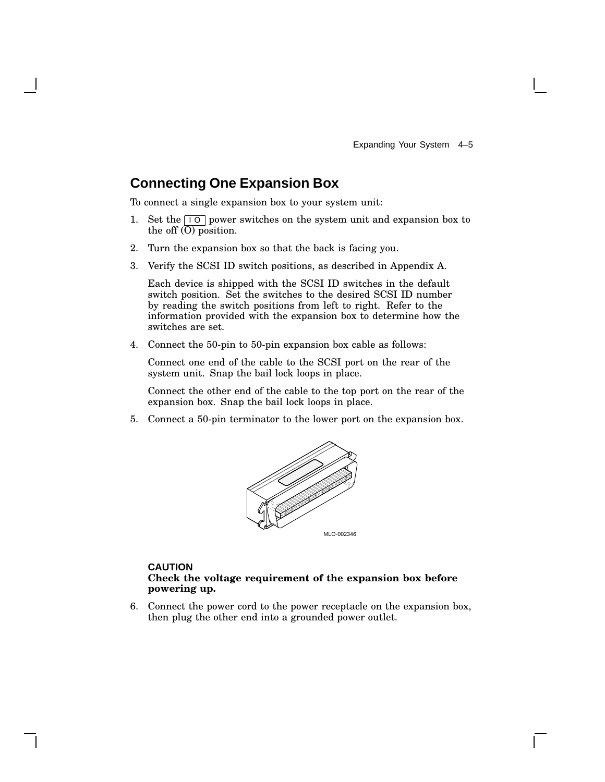# **Connecting One Expansion Box**

To connect a single expansion box to your system unit:

- 1. Set the  $\boxed{10}$  power switches on the system unit and expansion box to the off  $\overline{(O)}$  position.
- 2. Turn the expansion box so that the back is facing you.
- 3. Verify the SCSI ID switch positions, as described in Appendix A.

Each device is shipped with the SCSI ID switches in the default switch position. Set the switches to the desired SCSI ID number by reading the switch positions from left to right. Refer to the information provided with the expansion box to determine how the switches are set.

4. Connect the 50-pin to 50-pin expansion box cable as follows:

Connect one end of the cable to the SCSI port on the rear of the system unit. Snap the bail lock loops in place.

Connect the other end of the cable to the top port on the rear of the expansion box. Snap the bail lock loops in place.

5. Connect a 50-pin terminator to the lower port on the expansion box.



## **CAUTION**

## **Check the voltage requirement of the expansion box before powering up.**

6. Connect the power cord to the power receptacle on the expansion box, then plug the other end into a grounded power outlet.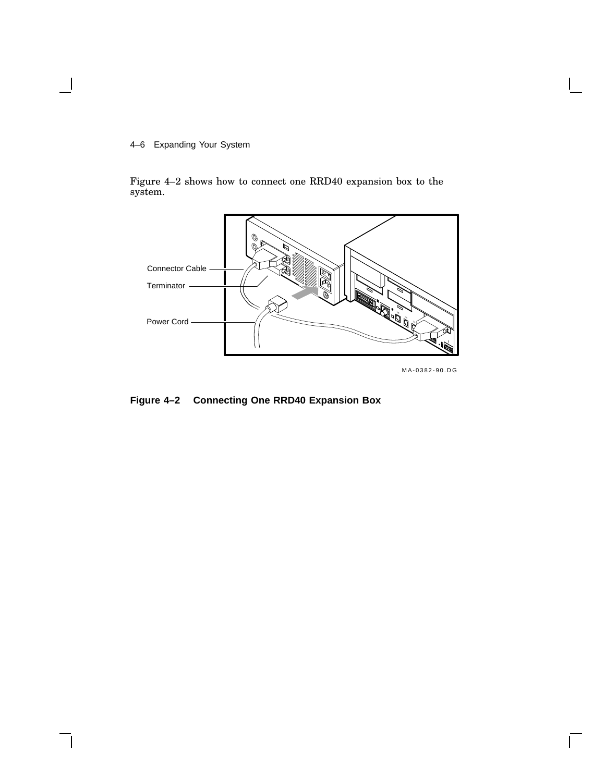## 4–6 Expanding Your System

Figure 4–2 shows how to connect one RRD40 expansion box to the system.



MA-0382-90.DG

 $\Box$ 

## **Figure 4–2 Connecting One RRD40 Expansion Box**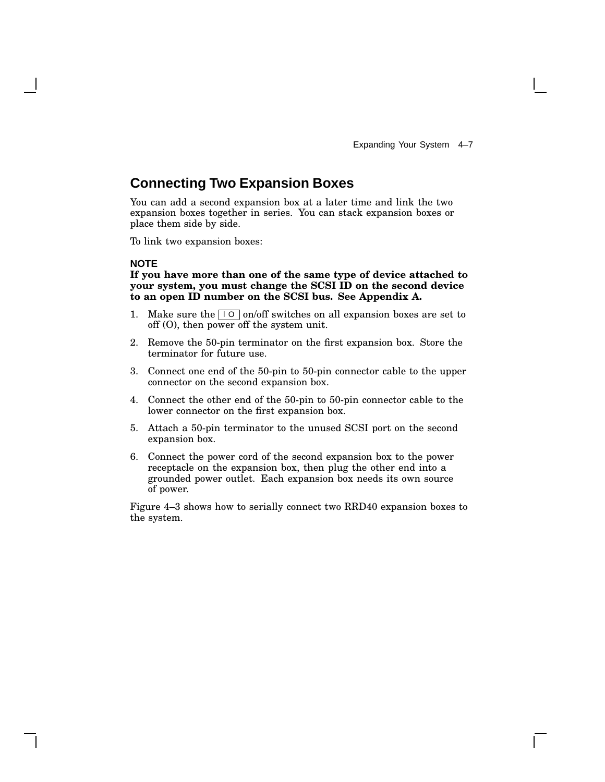# **Connecting Two Expansion Boxes**

You can add a second expansion box at a later time and link the two expansion boxes together in series. You can stack expansion boxes or place them side by side.

To link two expansion boxes:

#### **NOTE**

**If you have more than one of the same type of device attached to your system, you must change the SCSI ID on the second device to an open ID number on the SCSI bus. See Appendix A.**

- 1. Make sure the  $\boxed{10}$  on/off switches on all expansion boxes are set to off (O), then power off the system unit.
- 2. Remove the 50-pin terminator on the first expansion box. Store the terminator for future use.
- 3. Connect one end of the 50-pin to 50-pin connector cable to the upper connector on the second expansion box.
- 4. Connect the other end of the 50-pin to 50-pin connector cable to the lower connector on the first expansion box.
- 5. Attach a 50-pin terminator to the unused SCSI port on the second expansion box.
- 6. Connect the power cord of the second expansion box to the power receptacle on the expansion box, then plug the other end into a grounded power outlet. Each expansion box needs its own source of power.

Figure 4–3 shows how to serially connect two RRD40 expansion boxes to the system.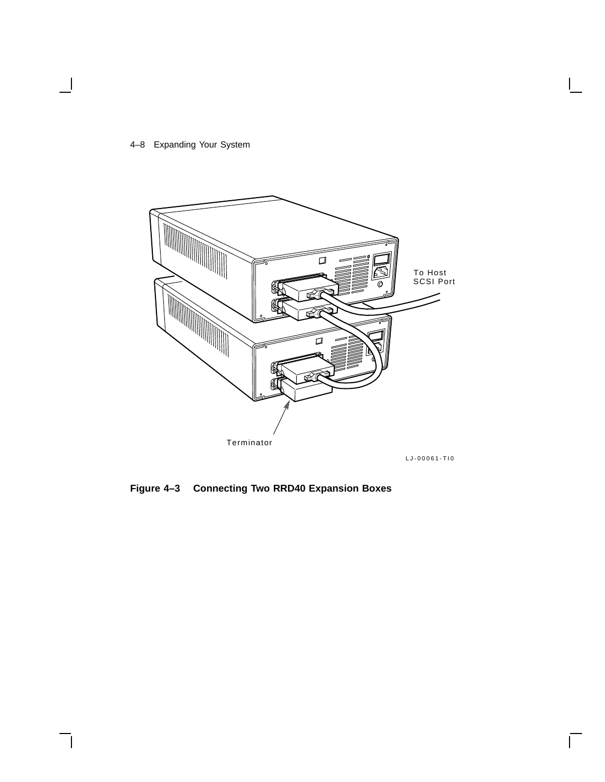## 4–8 Expanding Your System

 $\overline{\phantom{a}}$ 



 $\overline{\Box}$ 

**Figure 4–3 Connecting Two RRD40 Expansion Boxes**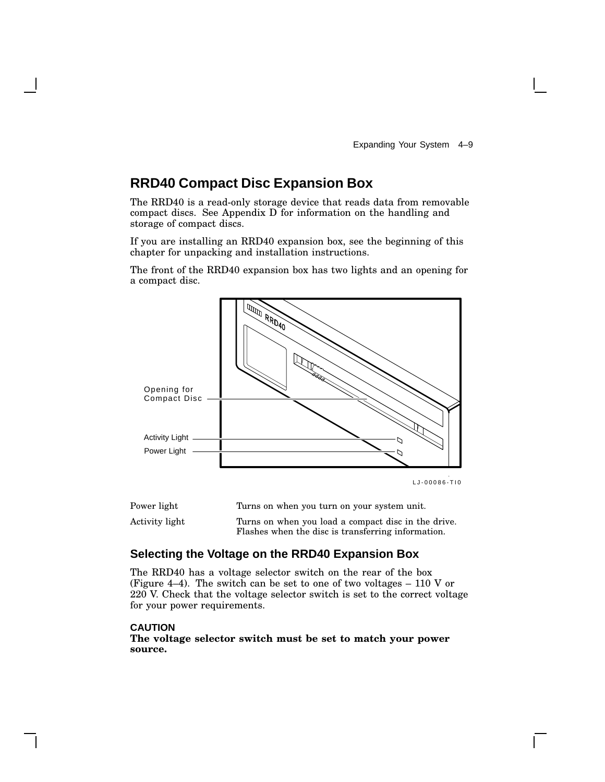# **RRD40 Compact Disc Expansion Box**

The RRD40 is a read-only storage device that reads data from removable compact discs. See Appendix D for information on the handling and storage of compact discs.

If you are installing an RRD40 expansion box, see the beginning of this chapter for unpacking and installation instructions.

The front of the RRD40 expansion box has two lights and an opening for a compact disc.



| Power light    | Turns on when you turn on your system unit.                                                               |
|----------------|-----------------------------------------------------------------------------------------------------------|
| Activity light | Turns on when you load a compact disc in the drive.<br>Flashes when the disc is transferring information. |

## **Selecting the Voltage on the RRD40 Expansion Box**

The RRD40 has a voltage selector switch on the rear of the box (Figure 4–4). The switch can be set to one of two voltages  $-110$  V or 220 V. Check that the voltage selector switch is set to the correct voltage for your power requirements.

#### **CAUTION**

**The voltage selector switch must be set to match your power source.**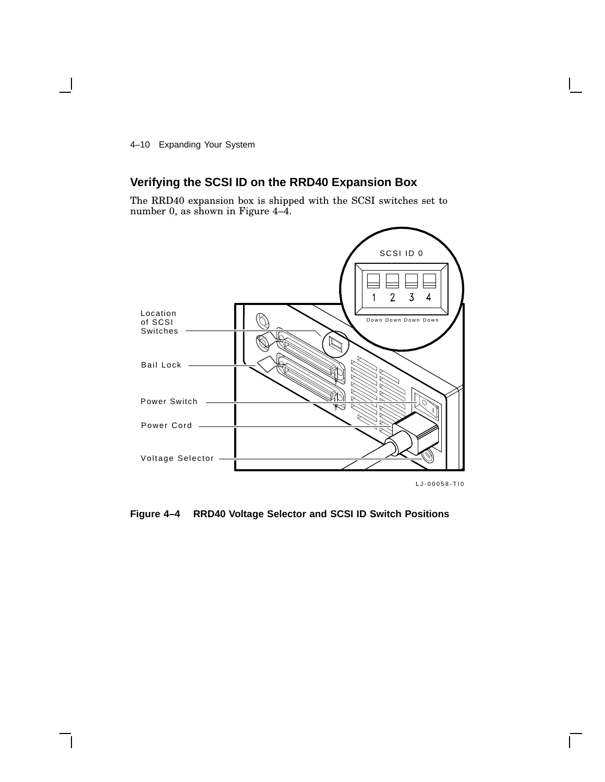4–10 Expanding Your System

# **Verifying the SCSI ID on the RRD40 Expansion Box**

The RRD40 expansion box is shipped with the SCSI switches set to number 0, as shown in Figure 4–4.



**Figure 4–4 RRD40 Voltage Selector and SCSI ID Switch Positions**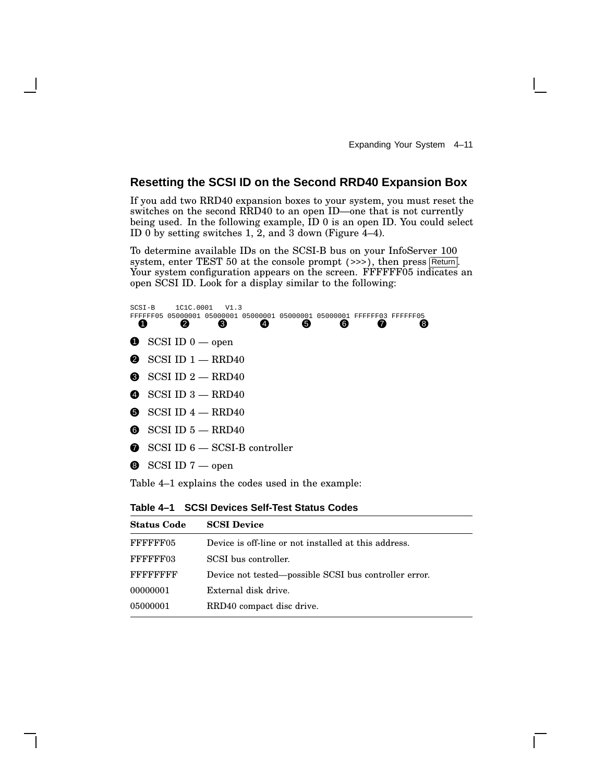Expanding Your System 4–11

## **Resetting the SCSI ID on the Second RRD40 Expansion Box**

If you add two RRD40 expansion boxes to your system, you must reset the switches on the second RRD40 to an open ID—one that is not currently being used. In the following example, ID 0 is an open ID. You could select ID 0 by setting switches 1, 2, and 3 down (Figure 4–4).

To determine available IDs on the SCSI-B bus on your InfoServer 100 system, enter TEST 50 at the console prompt  $(\gg)$ , then press Return. Your system configuration appears on the screen. FFFFFF05 indicates an open SCSI ID. Look for a display similar to the following:

| $SCST - B$ |          | 1C1C.0001                  | V1.3                                    |                  |                                                   |   |                                                                |   |
|------------|----------|----------------------------|-----------------------------------------|------------------|---------------------------------------------------|---|----------------------------------------------------------------|---|
|            | FFFFFF05 |                            |                                         |                  |                                                   |   | 05000001 05000001 05000001 05000001 05000001 FFFFFF03 FFFFFF05 |   |
| Œ          |          | 2                          | ❸                                       | $\boldsymbol{A}$ | 6                                                 | 6 | Ø                                                              | 8 |
|            |          |                            |                                         |                  |                                                   |   |                                                                |   |
|            |          | $\bullet$ SCSI ID 0 — open |                                         |                  |                                                   |   |                                                                |   |
|            |          |                            |                                         |                  |                                                   |   |                                                                |   |
|            |          |                            | $\bullet$ SCSI ID $1 - \text{RRD40}$    |                  |                                                   |   |                                                                |   |
|            |          |                            |                                         |                  |                                                   |   |                                                                |   |
|            |          |                            | $\bullet$ SCSI ID 2 - RRD40             |                  |                                                   |   |                                                                |   |
|            |          |                            |                                         |                  |                                                   |   |                                                                |   |
|            |          |                            | $\bullet$ SCSI ID 3 - RRD40             |                  |                                                   |   |                                                                |   |
|            |          |                            | $\bullet$ SCSI ID 4 $-$ RRD40           |                  |                                                   |   |                                                                |   |
|            |          |                            |                                         |                  |                                                   |   |                                                                |   |
|            |          |                            | $\bullet$ SCSI ID $5$ - RRD40           |                  |                                                   |   |                                                                |   |
|            |          |                            |                                         |                  |                                                   |   |                                                                |   |
|            |          |                            | $\bullet$ SCSI ID 6 - SCSI-B controller |                  |                                                   |   |                                                                |   |
|            |          |                            |                                         |                  |                                                   |   |                                                                |   |
|            |          | $\bullet$ SCSI ID 7 — open |                                         |                  |                                                   |   |                                                                |   |
|            |          |                            |                                         |                  |                                                   |   |                                                                |   |
|            |          |                            |                                         |                  | Table 4–1 explains the codes used in the example: |   |                                                                |   |
|            |          |                            |                                         |                  |                                                   |   |                                                                |   |

**Table 4–1 SCSI Devices Self-Test Status Codes**

| <b>Status Code</b> | <b>SCSI Device</b>                                    |
|--------------------|-------------------------------------------------------|
| FFFFFF05           | Device is off-line or not installed at this address.  |
| FFFFFF03           | SCSI bus controller.                                  |
| FFFFFFFFF          | Device not tested—possible SCSI bus controller error. |
| 00000001           | External disk drive.                                  |
| 05000001           | RRD40 compact disc drive.                             |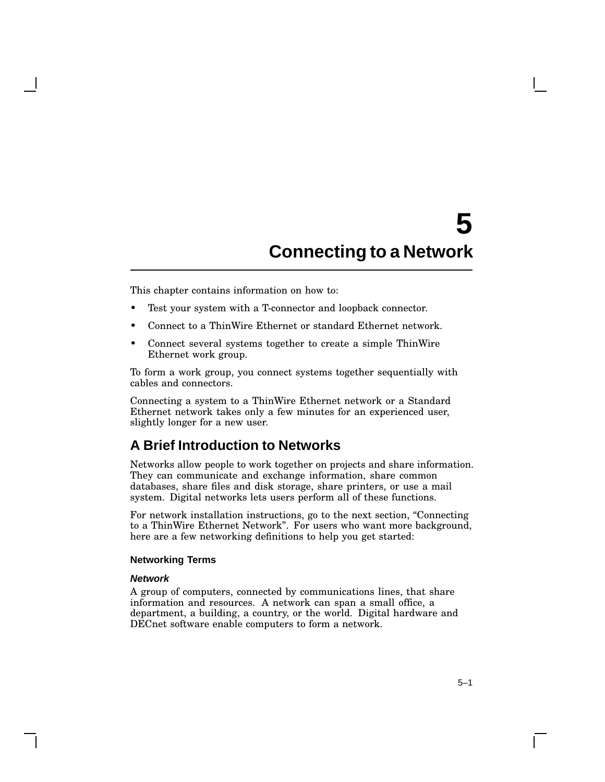# **5 Connecting to a Network**

This chapter contains information on how to:

- Test your system with a T-connector and loopback connector.
- Connect to a ThinWire Ethernet or standard Ethernet network.
- Connect several systems together to create a simple ThinWire Ethernet work group.

To form a work group, you connect systems together sequentially with cables and connectors.

Connecting a system to a ThinWire Ethernet network or a Standard Ethernet network takes only a few minutes for an experienced user, slightly longer for a new user.

## **A Brief Introduction to Networks**

Networks allow people to work together on projects and share information. They can communicate and exchange information, share common databases, share files and disk storage, share printers, or use a mail system. Digital networks lets users perform all of these functions.

For network installation instructions, go to the next section, ''Connecting to a ThinWire Ethernet Network''. For users who want more background, here are a few networking definitions to help you get started:

#### **Networking Terms**

#### **Network**

A group of computers, connected by communications lines, that share information and resources. A network can span a small office, a department, a building, a country, or the world. Digital hardware and DECnet software enable computers to form a network.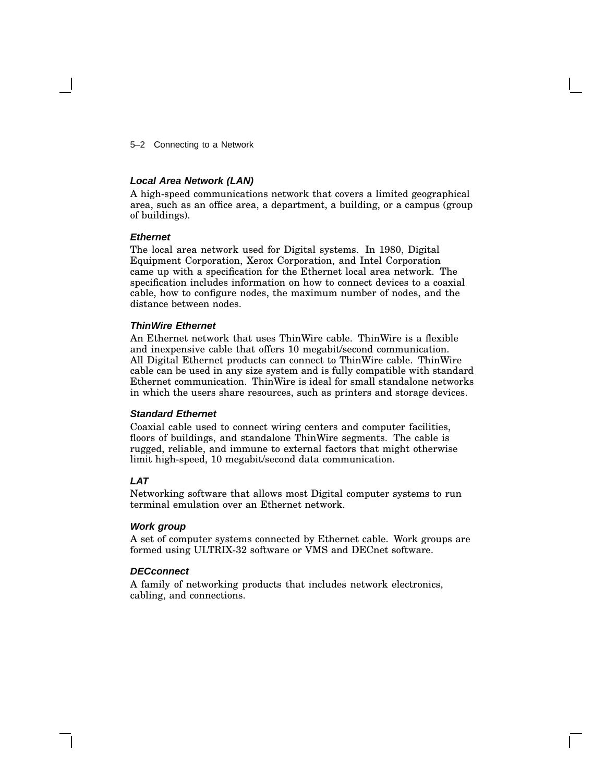5–2 Connecting to a Network

### **Local Area Network (LAN)**

A high-speed communications network that covers a limited geographical area, such as an office area, a department, a building, or a campus (group of buildings).

#### **Ethernet**

The local area network used for Digital systems. In 1980, Digital Equipment Corporation, Xerox Corporation, and Intel Corporation came up with a specification for the Ethernet local area network. The specification includes information on how to connect devices to a coaxial cable, how to configure nodes, the maximum number of nodes, and the distance between nodes.

#### **ThinWire Ethernet**

An Ethernet network that uses ThinWire cable. ThinWire is a flexible and inexpensive cable that offers 10 megabit/second communication. All Digital Ethernet products can connect to ThinWire cable. ThinWire cable can be used in any size system and is fully compatible with standard Ethernet communication. ThinWire is ideal for small standalone networks in which the users share resources, such as printers and storage devices.

#### **Standard Ethernet**

Coaxial cable used to connect wiring centers and computer facilities, floors of buildings, and standalone ThinWire segments. The cable is rugged, reliable, and immune to external factors that might otherwise limit high-speed, 10 megabit/second data communication.

## **LAT**

Networking software that allows most Digital computer systems to run terminal emulation over an Ethernet network.

#### **Work group**

A set of computer systems connected by Ethernet cable. Work groups are formed using ULTRIX-32 software or VMS and DECnet software.

#### **DECconnect**

A family of networking products that includes network electronics, cabling, and connections.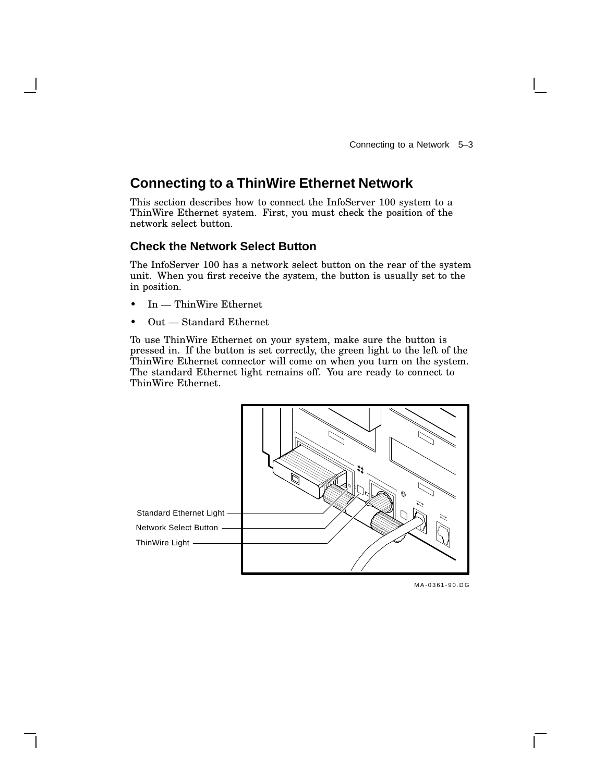# **Connecting to a ThinWire Ethernet Network**

This section describes how to connect the InfoServer 100 system to a ThinWire Ethernet system. First, you must check the position of the network select button.

## **Check the Network Select Button**

The InfoServer 100 has a network select button on the rear of the system unit. When you first receive the system, the button is usually set to the in position.

- In ThinWire Ethernet
- Out Standard Ethernet

To use ThinWire Ethernet on your system, make sure the button is pressed in. If the button is set correctly, the green light to the left of the ThinWire Ethernet connector will come on when you turn on the system. The standard Ethernet light remains off. You are ready to connect to ThinWire Ethernet.



MLO-002753 MA-0361-90.DG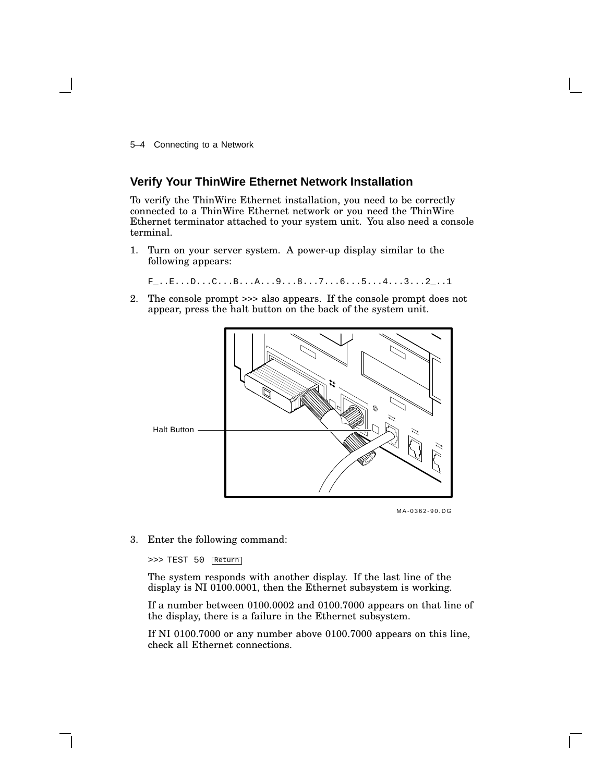5–4 Connecting to a Network

## **Verify Your ThinWire Ethernet Network Installation**

To verify the ThinWire Ethernet installation, you need to be correctly connected to a ThinWire Ethernet network or you need the ThinWire Ethernet terminator attached to your system unit. You also need a console terminal.

1. Turn on your server system. A power-up display similar to the following appears:

F\_..E...D...C...B...A...9...8...7...6...5...4...3...2\_..1

2. The console prompt >>> also appears. If the console prompt does not appear, press the halt button on the back of the system unit.



MA-0362-90.DG

3. Enter the following command:

>>> TEST 50 Return

The system responds with another display. If the last line of the display is NI 0100.0001, then the Ethernet subsystem is working.

If a number between 0100.0002 and 0100.7000 appears on that line of the display, there is a failure in the Ethernet subsystem.

If NI 0100.7000 or any number above 0100.7000 appears on this line, check all Ethernet connections.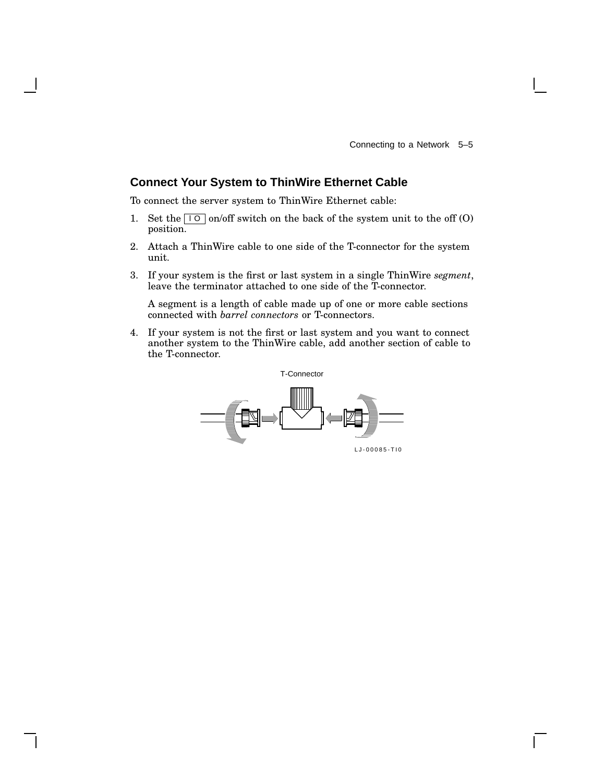## **Connect Your System to ThinWire Ethernet Cable**

To connect the server system to ThinWire Ethernet cable:

- 1. Set the  $\boxed{10}$  on/off switch on the back of the system unit to the off (O) position.
- 2. Attach a ThinWire cable to one side of the T-connector for the system unit.
- 3. If your system is the first or last system in a single ThinWire *segment*, leave the terminator attached to one side of the T-connector.

A segment is a length of cable made up of one or more cable sections connected with *barrel connectors* or T-connectors.

4. If your system is not the first or last system and you want to connect another system to the ThinWire cable, add another section of cable to the T-connector.

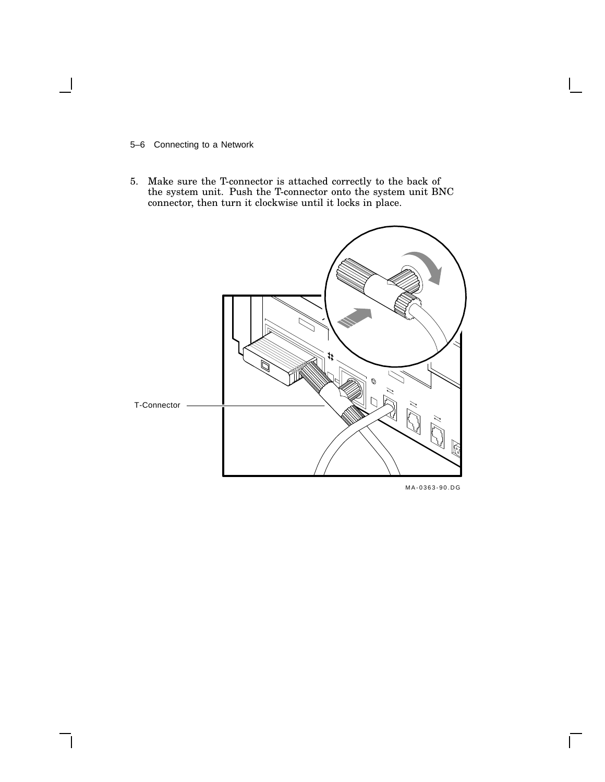#### 5–6 Connecting to a Network

5. Make sure the T-connector is attached correctly to the back of the system unit. Push the T-connector onto the system unit BNC connector, then turn it clockwise until it locks in place.



 $\bar{\Gamma}$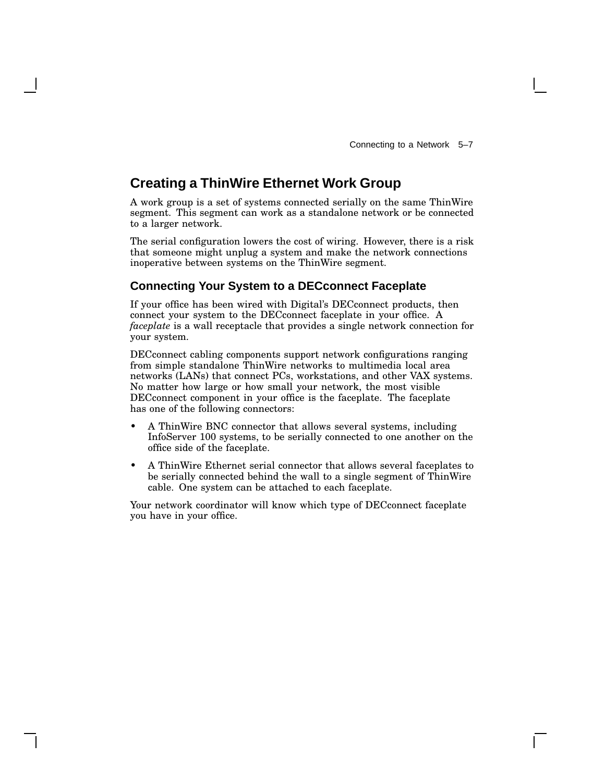# **Creating a ThinWire Ethernet Work Group**

A work group is a set of systems connected serially on the same ThinWire segment. This segment can work as a standalone network or be connected to a larger network.

The serial configuration lowers the cost of wiring. However, there is a risk that someone might unplug a system and make the network connections inoperative between systems on the ThinWire segment.

## **Connecting Your System to a DECconnect Faceplate**

If your office has been wired with Digital's DECconnect products, then connect your system to the DECconnect faceplate in your office. A *faceplate* is a wall receptacle that provides a single network connection for your system.

DECconnect cabling components support network configurations ranging from simple standalone ThinWire networks to multimedia local area networks (LANs) that connect PCs, workstations, and other VAX systems. No matter how large or how small your network, the most visible DECconnect component in your office is the faceplate. The faceplate has one of the following connectors:

- A ThinWire BNC connector that allows several systems, including InfoServer 100 systems, to be serially connected to one another on the office side of the faceplate.
- A ThinWire Ethernet serial connector that allows several faceplates to be serially connected behind the wall to a single segment of ThinWire cable. One system can be attached to each faceplate.

Your network coordinator will know which type of DECconnect faceplate you have in your office.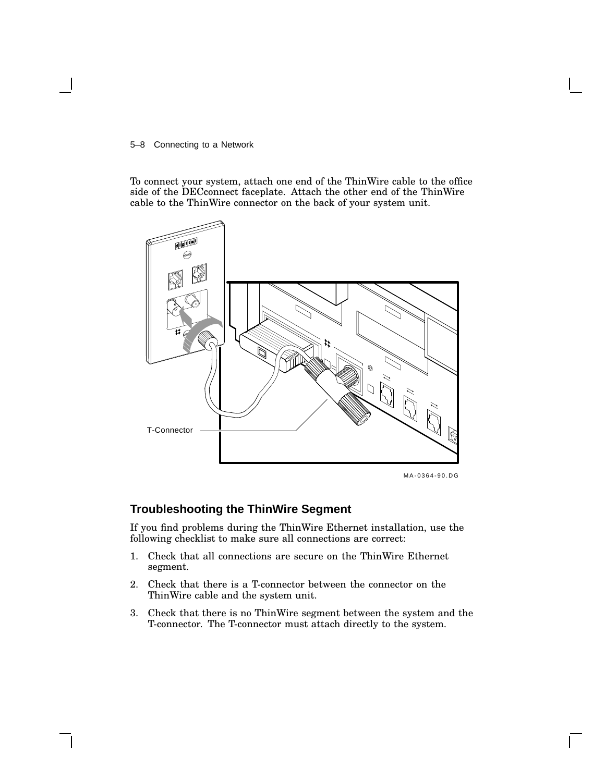#### 5–8 Connecting to a Network

To connect your system, attach one end of the ThinWire cable to the office side of the DECconnect faceplate. Attach the other end of the ThinWire cable to the ThinWire connector on the back of your system unit.



## MLO-002760 MA-0364-90.DG

## **Troubleshooting the ThinWire Segment**

If you find problems during the ThinWire Ethernet installation, use the following checklist to make sure all connections are correct:

- 1. Check that all connections are secure on the ThinWire Ethernet segment.
- 2. Check that there is a T-connector between the connector on the ThinWire cable and the system unit.
- 3. Check that there is no ThinWire segment between the system and the T-connector. The T-connector must attach directly to the system.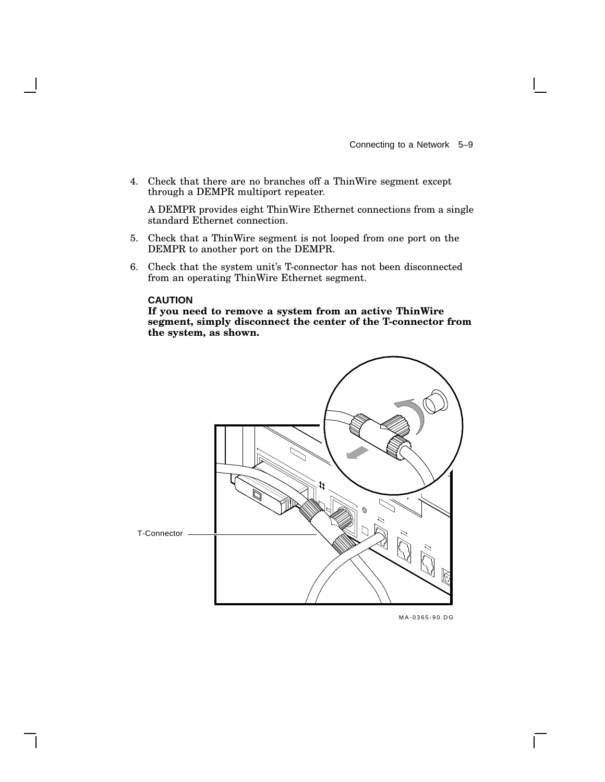4. Check that there are no branches off a ThinWire segment except through a DEMPR multiport repeater.

A DEMPR provides eight ThinWire Ethernet connections from a single standard Ethernet connection.

- 5. Check that a ThinWire segment is not looped from one port on the DEMPR to another port on the DEMPR.
- 6. Check that the system unit's T-connector has not been disconnected from an operating ThinWire Ethernet segment.

#### **CAUTION**

**If you need to remove a system from an active ThinWire segment, simply disconnect the center of the T-connector from the system, as shown.**



MLO-002759 MA-0365-90.DG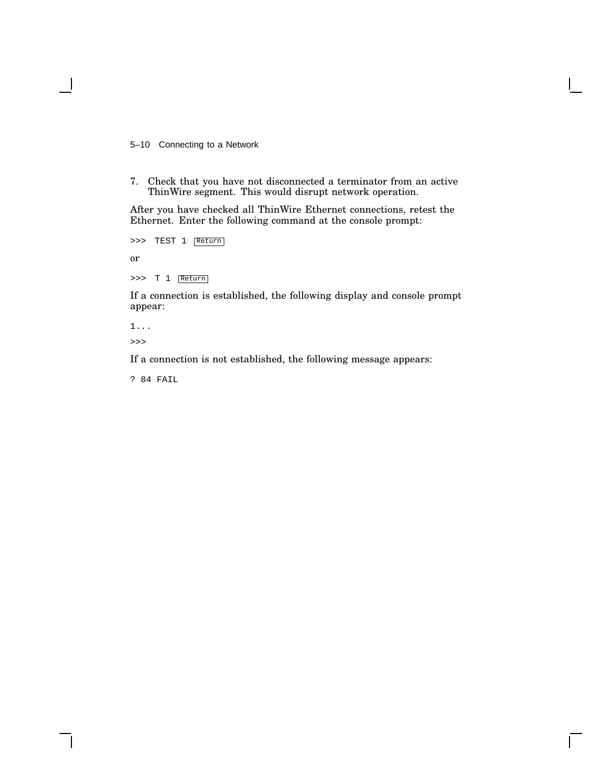5–10 Connecting to a Network

7. Check that you have not disconnected a terminator from an active ThinWire segment. This would disrupt network operation.

After you have checked all ThinWire Ethernet connections, retest the Ethernet. Enter the following command at the console prompt:

>>> TEST 1 Return

or

>>> T 1 Return

If a connection is established, the following display and console prompt appear:

1... >>>

If a connection is not established, the following message appears:

? 84 FAIL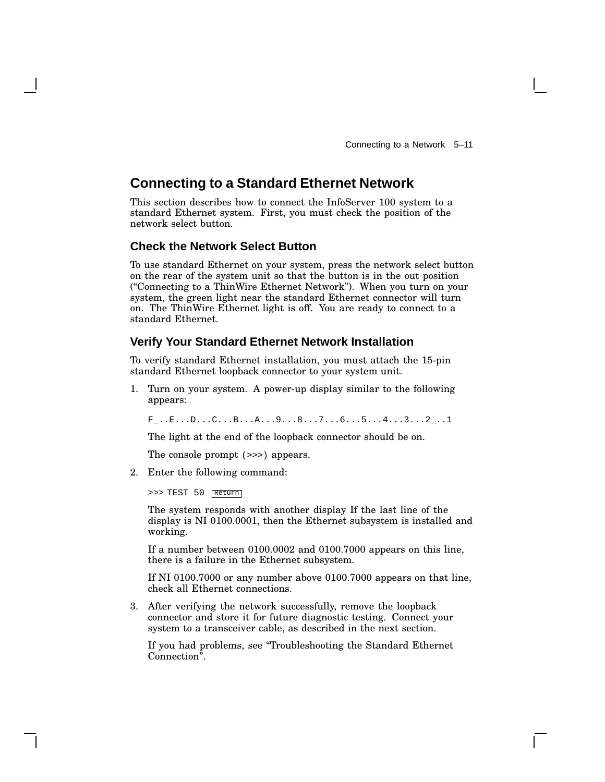## **Connecting to a Standard Ethernet Network**

This section describes how to connect the InfoServer 100 system to a standard Ethernet system. First, you must check the position of the network select button.

## **Check the Network Select Button**

To use standard Ethernet on your system, press the network select button on the rear of the system unit so that the button is in the out position (''Connecting to a ThinWire Ethernet Network''). When you turn on your system, the green light near the standard Ethernet connector will turn on. The ThinWire Ethernet light is off. You are ready to connect to a standard Ethernet.

## **Verify Your Standard Ethernet Network Installation**

To verify standard Ethernet installation, you must attach the 15-pin standard Ethernet loopback connector to your system unit.

1. Turn on your system. A power-up display similar to the following appears:

F\_..E...D...C...B...A...9...8...7...6...5...4...3...2\_..1

The light at the end of the loopback connector should be on.

The console prompt (>>>) appears.

2. Enter the following command:

>>> TEST 50 Return

The system responds with another display If the last line of the display is NI 0100.0001, then the Ethernet subsystem is installed and working.

If a number between 0100.0002 and 0100.7000 appears on this line, there is a failure in the Ethernet subsystem.

If NI 0100.7000 or any number above 0100.7000 appears on that line, check all Ethernet connections.

3. After verifying the network successfully, remove the loopback connector and store it for future diagnostic testing. Connect your system to a transceiver cable, as described in the next section.

If you had problems, see ''Troubleshooting the Standard Ethernet Connection''.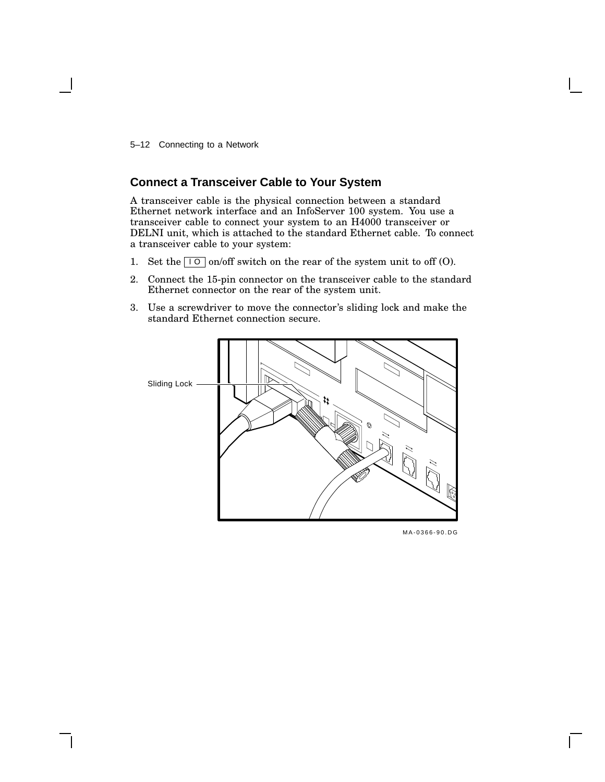5–12 Connecting to a Network

## **Connect a Transceiver Cable to Your System**

A transceiver cable is the physical connection between a standard Ethernet network interface and an InfoServer 100 system. You use a transceiver cable to connect your system to an H4000 transceiver or DELNI unit, which is attached to the standard Ethernet cable. To connect a transceiver cable to your system:

- 1. Set the  $\boxed{\phantom{0}1\phantom{0}}$  on/off switch on the rear of the system unit to off (O).
- 2. Connect the 15-pin connector on the transceiver cable to the standard Ethernet connector on the rear of the system unit.
- 3. Use a screwdriver to move the connector's sliding lock and make the standard Ethernet connection secure.



MLO-002761 MA-0366-90.DG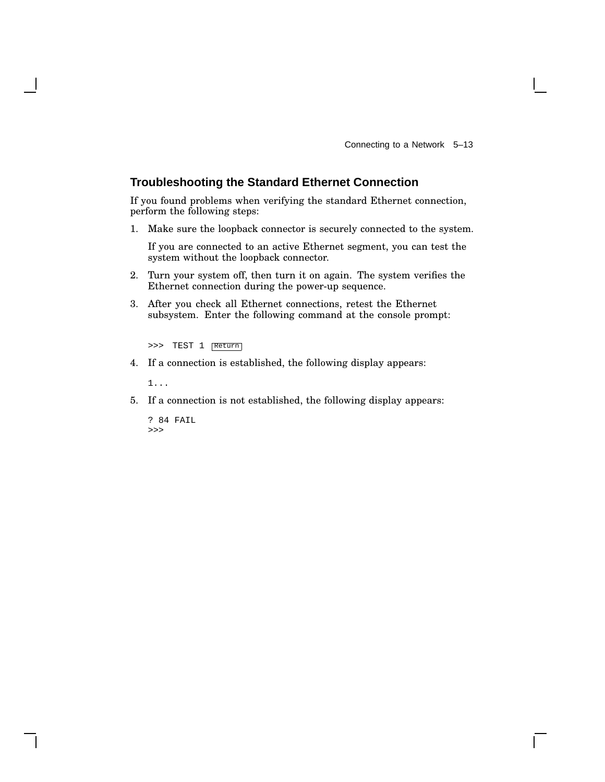## **Troubleshooting the Standard Ethernet Connection**

If you found problems when verifying the standard Ethernet connection, perform the following steps:

1. Make sure the loopback connector is securely connected to the system.

If you are connected to an active Ethernet segment, you can test the system without the loopback connector.

- 2. Turn your system off, then turn it on again. The system verifies the Ethernet connection during the power-up sequence.
- 3. After you check all Ethernet connections, retest the Ethernet subsystem. Enter the following command at the console prompt:

>>> TEST 1 Return

4. If a connection is established, the following display appears:

1...

5. If a connection is not established, the following display appears:

```
? 84 FAIL
>>>
```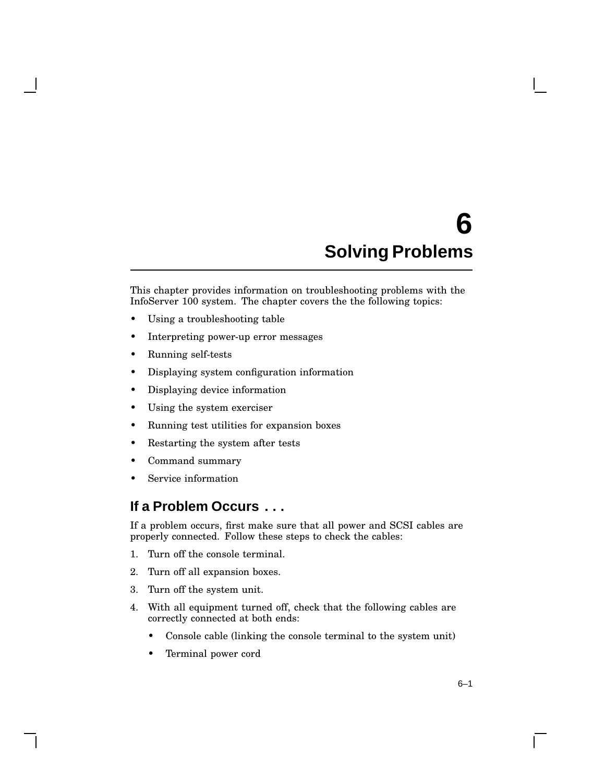# **6 Solving Problems**

This chapter provides information on troubleshooting problems with the InfoServer 100 system. The chapter covers the the following topics:

- Using a troubleshooting table
- Interpreting power-up error messages
- Running self-tests
- Displaying system configuration information
- Displaying device information
- Using the system exerciser
- Running test utilities for expansion boxes
- Restarting the system after tests
- Command summary
- Service information

## **If a Problem Occurs . . .**

If a problem occurs, first make sure that all power and SCSI cables are properly connected. Follow these steps to check the cables:

- 1. Turn off the console terminal.
- 2. Turn off all expansion boxes.
- 3. Turn off the system unit.
- 4. With all equipment turned off, check that the following cables are correctly connected at both ends:
	- Console cable (linking the console terminal to the system unit)
	- Terminal power cord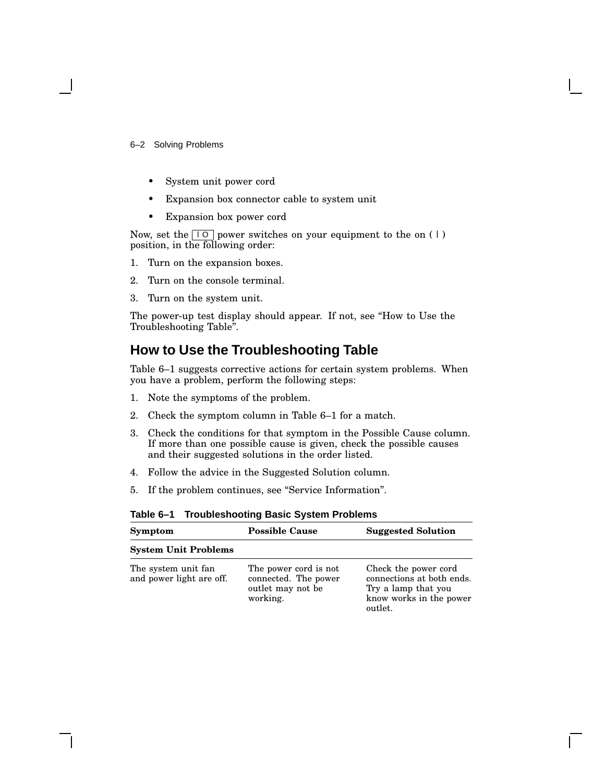#### 6–2 Solving Problems

- System unit power cord
- Expansion box connector cable to system unit
- Expansion box power cord

Now, set the  $\boxed{10}$  power switches on your equipment to the on (1) position, in the following order:

- 1. Turn on the expansion boxes.
- 2. Turn on the console terminal.
- 3. Turn on the system unit.

The power-up test display should appear. If not, see ''How to Use the Troubleshooting Table''.

## **How to Use the Troubleshooting Table**

Table 6–1 suggests corrective actions for certain system problems. When you have a problem, perform the following steps:

- 1. Note the symptoms of the problem.
- 2. Check the symptom column in Table 6–1 for a match.
- 3. Check the conditions for that symptom in the Possible Cause column. If more than one possible cause is given, check the possible causes and their suggested solutions in the order listed.
- 4. Follow the advice in the Suggested Solution column.
- 5. If the problem continues, see ''Service Information''.

| Symptom                                         | <b>Possible Cause</b>                                                          | <b>Suggested Solution</b>                                                                                      |
|-------------------------------------------------|--------------------------------------------------------------------------------|----------------------------------------------------------------------------------------------------------------|
| <b>System Unit Problems</b>                     |                                                                                |                                                                                                                |
| The system unit fan<br>and power light are off. | The power cord is not<br>connected. The power<br>outlet may not be<br>working. | Check the power cord<br>connections at both ends.<br>Try a lamp that you<br>know works in the power<br>outlet. |

#### **Table 6–1 Troubleshooting Basic System Problems**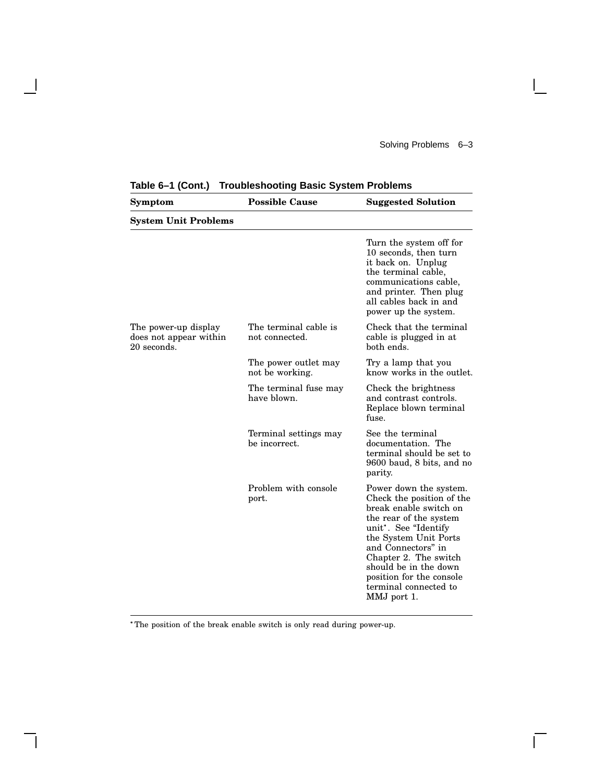$\mathbf{L}$ 

| Symptom                                                       | <b>Possible Cause</b>                   | <b>Suggested Solution</b>                                                                                                                                                                                                                                                                            |  |  |  |  |
|---------------------------------------------------------------|-----------------------------------------|------------------------------------------------------------------------------------------------------------------------------------------------------------------------------------------------------------------------------------------------------------------------------------------------------|--|--|--|--|
| <b>System Unit Problems</b>                                   |                                         |                                                                                                                                                                                                                                                                                                      |  |  |  |  |
|                                                               |                                         | Turn the system off for<br>10 seconds, then turn<br>it back on. Unplug<br>the terminal cable,<br>communications cable,<br>and printer. Then plug<br>all cables back in and<br>power up the system.                                                                                                   |  |  |  |  |
| The power-up display<br>does not appear within<br>20 seconds. | The terminal cable is<br>not connected. | Check that the terminal<br>cable is plugged in at<br>both ends.                                                                                                                                                                                                                                      |  |  |  |  |
|                                                               | The power outlet may<br>not be working. | Try a lamp that you<br>know works in the outlet.                                                                                                                                                                                                                                                     |  |  |  |  |
|                                                               | The terminal fuse may<br>have blown.    | Check the brightness<br>and contrast controls.<br>Replace blown terminal<br>fuse.                                                                                                                                                                                                                    |  |  |  |  |
|                                                               | Terminal settings may<br>be incorrect.  | See the terminal<br>documentation. The<br>terminal should be set to<br>9600 baud, 8 bits, and no<br>parity.                                                                                                                                                                                          |  |  |  |  |
|                                                               | Problem with console<br>port.           | Power down the system.<br>Check the position of the<br>break enable switch on<br>the rear of the system<br>unit". See "Identify<br>the System Unit Ports<br>and Connectors" in<br>Chapter 2. The switch<br>should be in the down<br>position for the console<br>terminal connected to<br>MMJ port 1. |  |  |  |  |

**Table 6–1 (Cont.) Troubleshooting Basic System Problems**

The position of the break enable switch is only read during power-up.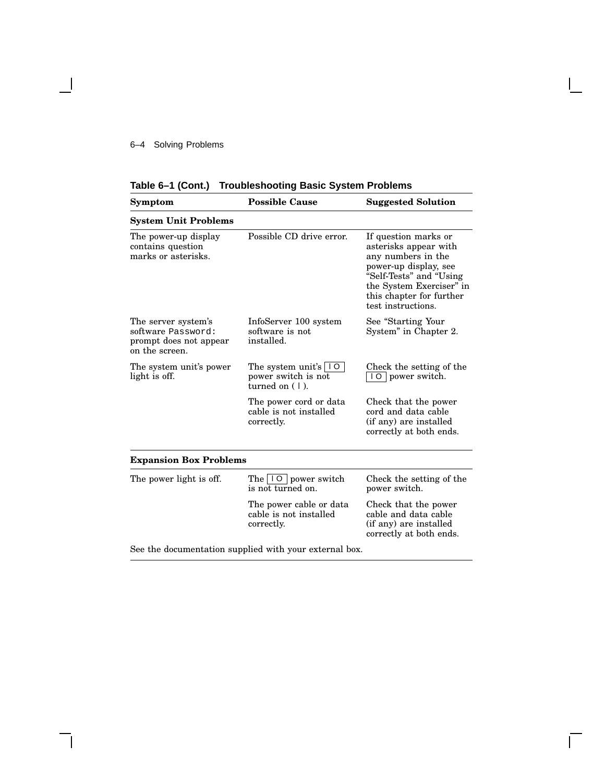## 6–4 Solving Problems

 $\overline{\phantom{0}}$ 

 $\mathbf{I}$ 

|  | Table 6-1 (Cont.) Troubleshooting Basic System Problems |  |  |
|--|---------------------------------------------------------|--|--|
|--|---------------------------------------------------------|--|--|

 $\mathsf{I}$ 

 $\overline{\Gamma}$ 

| Symptom                                                                               | <b>Possible Cause</b>                                                               | <b>Suggested Solution</b>                                                                                                                                                                             |  |  |
|---------------------------------------------------------------------------------------|-------------------------------------------------------------------------------------|-------------------------------------------------------------------------------------------------------------------------------------------------------------------------------------------------------|--|--|
| <b>System Unit Problems</b>                                                           |                                                                                     |                                                                                                                                                                                                       |  |  |
| The power-up display<br>contains question<br>marks or asterisks.                      | Possible CD drive error.                                                            | If question marks or<br>asterisks appear with<br>any numbers in the<br>power-up display, see<br>"Self-Tests" and "Using<br>the System Exerciser" in<br>this chapter for further<br>test instructions. |  |  |
| The server system's<br>software Password:<br>prompt does not appear<br>on the screen. | InfoServer 100 system<br>software is not<br>installed.                              | See "Starting Your<br>System" in Chapter 2.                                                                                                                                                           |  |  |
| The system unit's power<br>light is off.                                              | The system unit's $\vert \vert 0 \vert$<br>power switch is not<br>turned on $(1)$ . | Check the setting of the<br>10 power switch.                                                                                                                                                          |  |  |
|                                                                                       | The power cord or data<br>cable is not installed<br>correctly.                      | Check that the power<br>cord and data cable<br>(if any) are installed<br>correctly at both ends.                                                                                                      |  |  |
| <b>Expansion Box Problems</b>                                                         |                                                                                     |                                                                                                                                                                                                       |  |  |
| The power light is off.                                                               | The     0   power switch<br>is not turned on.                                       | Check the setting of the<br>power switch.                                                                                                                                                             |  |  |
|                                                                                       | The power cable or data<br>cable is not installed<br>correctly.                     | Check that the power<br>cable and data cable<br>(if any) are installed<br>correctly at both ends.                                                                                                     |  |  |

See the documentation supplied with your external box.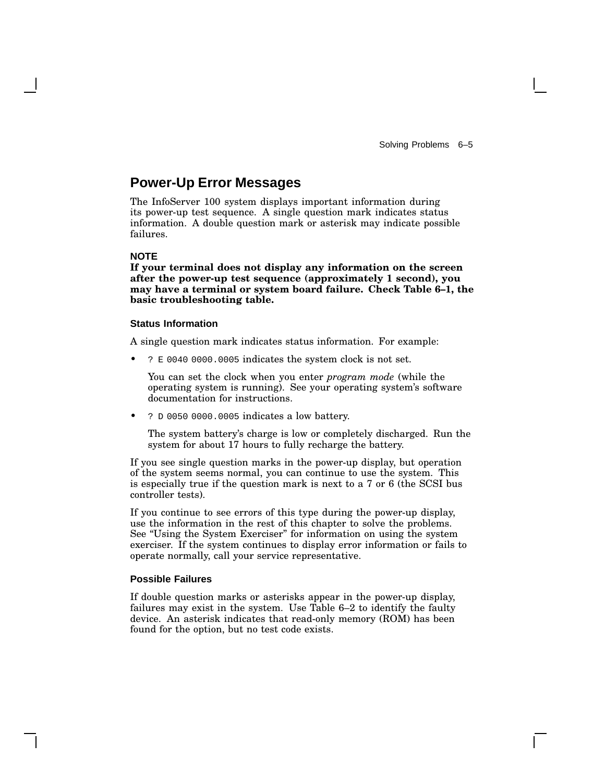# **Power-Up Error Messages**

The InfoServer 100 system displays important information during its power-up test sequence. A single question mark indicates status information. A double question mark or asterisk may indicate possible failures.

## **NOTE**

**If your terminal does not display any information on the screen after the power-up test sequence (approximately 1 second), you may have a terminal or system board failure. Check Table 6–1, the basic troubleshooting table.**

#### **Status Information**

A single question mark indicates status information. For example:

• ? E 0040 0000.0005 indicates the system clock is not set.

You can set the clock when you enter *program mode* (while the operating system is running). See your operating system's software documentation for instructions.

• ? D 0050 0000.0005 indicates a low battery.

The system battery's charge is low or completely discharged. Run the system for about 17 hours to fully recharge the battery.

If you see single question marks in the power-up display, but operation of the system seems normal, you can continue to use the system. This is especially true if the question mark is next to a 7 or 6 (the SCSI bus controller tests).

If you continue to see errors of this type during the power-up display, use the information in the rest of this chapter to solve the problems. See ''Using the System Exerciser'' for information on using the system exerciser. If the system continues to display error information or fails to operate normally, call your service representative.

#### **Possible Failures**

If double question marks or asterisks appear in the power-up display, failures may exist in the system. Use Table 6–2 to identify the faulty device. An asterisk indicates that read-only memory (ROM) has been found for the option, but no test code exists.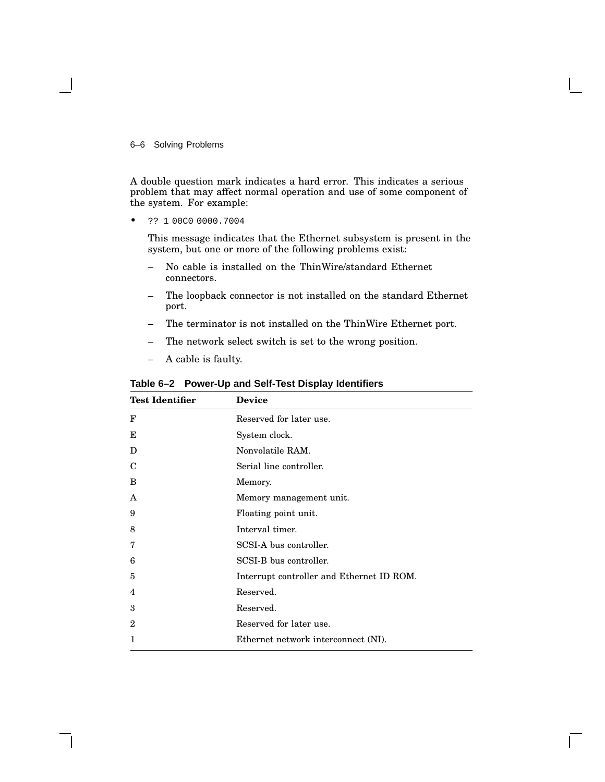#### 6–6 Solving Problems

A double question mark indicates a hard error. This indicates a serious problem that may affect normal operation and use of some component of the system. For example:

• ?? 1 00C0 0000.7004

This message indicates that the Ethernet subsystem is present in the system, but one or more of the following problems exist:

- No cable is installed on the ThinWire/standard Ethernet connectors.
- The loopback connector is not installed on the standard Ethernet port.
- The terminator is not installed on the ThinWire Ethernet port.
- The network select switch is set to the wrong position.
- A cable is faulty.

| Device                                    |
|-------------------------------------------|
| Reserved for later use.                   |
| System clock.                             |
| Nonvolatile RAM.                          |
| Serial line controller.                   |
| Memory.                                   |
| Memory management unit.                   |
| Floating point unit.                      |
| Interval timer.                           |
| SCSI-A bus controller.                    |
| SCSI-B bus controller.                    |
| Interrupt controller and Ethernet ID ROM. |
| Reserved.                                 |
| Reserved.                                 |
| Reserved for later use.                   |
| Ethernet network interconnect (NI).       |
|                                           |

**Table 6–2 Power-Up and Self-Test Display Identifiers**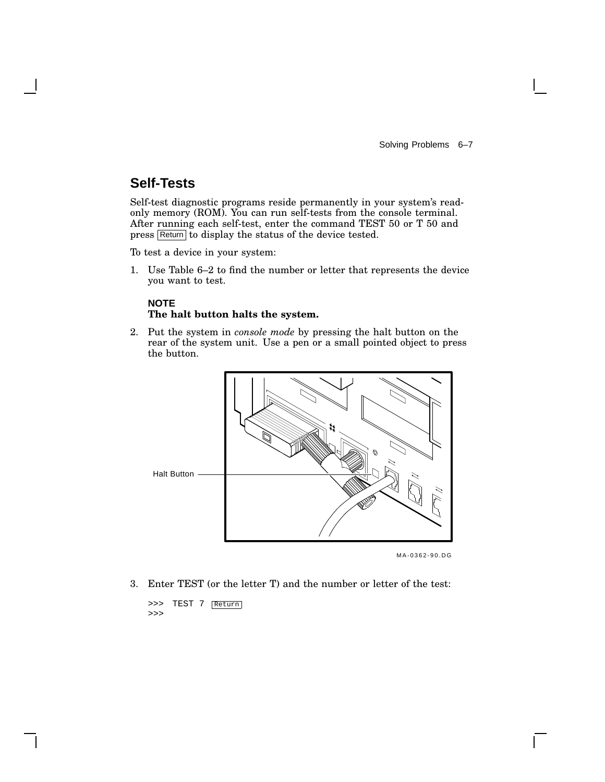Solving Problems 6–7

# **Self-Tests**

Self-test diagnostic programs reside permanently in your system's readonly memory (ROM). You can run self-tests from the console terminal. After running each self-test, enter the command TEST 50 or T 50 and press Return to display the status of the device tested.

To test a device in your system:

1. Use Table 6–2 to find the number or letter that represents the device you want to test.

## **NOTE The halt button halts the system.**

2. Put the system in *console mode* by pressing the halt button on the rear of the system unit. Use a pen or a small pointed object to press the button.



MA-0362-90.DG

3. Enter TEST (or the letter T) and the number or letter of the test:

>>> TEST 7 Return >>>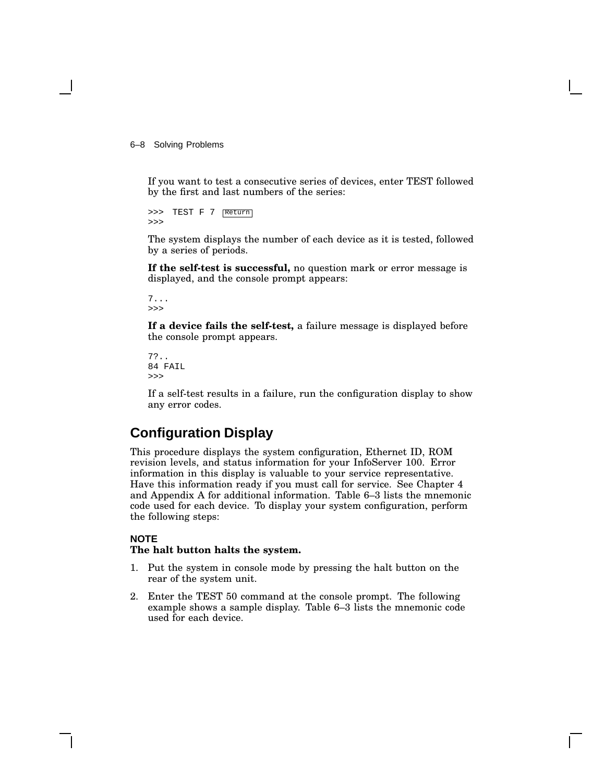6–8 Solving Problems

If you want to test a consecutive series of devices, enter TEST followed by the first and last numbers of the series:

>>> TEST F 7 Return >>>

The system displays the number of each device as it is tested, followed by a series of periods.

**If the self-test is successful,** no question mark or error message is displayed, and the console prompt appears:

7... >>>

**If a device fails the self-test,** a failure message is displayed before the console prompt appears.

```
7?..
84 FAIL
>>>
```
If a self-test results in a failure, run the configuration display to show any error codes.

# **Configuration Display**

This procedure displays the system configuration, Ethernet ID, ROM revision levels, and status information for your InfoServer 100. Error information in this display is valuable to your service representative. Have this information ready if you must call for service. See Chapter 4 and Appendix A for additional information. Table 6–3 lists the mnemonic code used for each device. To display your system configuration, perform the following steps:

#### **NOTE**

#### **The halt button halts the system.**

- 1. Put the system in console mode by pressing the halt button on the rear of the system unit.
- 2. Enter the TEST 50 command at the console prompt. The following example shows a sample display. Table 6–3 lists the mnemonic code used for each device.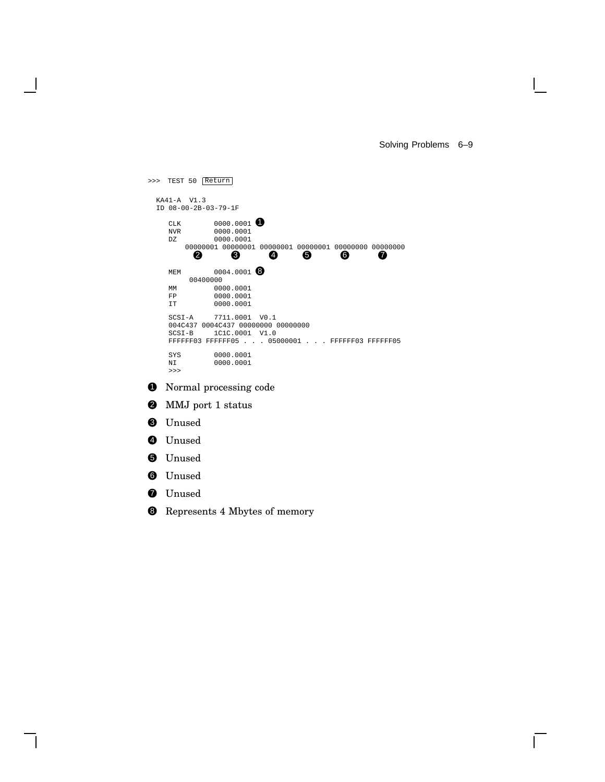Solving Problems 6–9

 $\mathbf{L}$ 

>>> TEST 50 Return KA41-A V1.3 ID 08-00-2B-03-79-1F  $CLK$  0000.0001 <br>
NVR 0000.0001 NVR 0000.0001<br>DZ 0000.0001 0000.0001 00000001 00000001 00000001 00000001 00000000 00000000 2 3 4 5 6 7 MEM 0004.0001<br>
00400000<br>
0000.0001<br>
FP 0000.0001<br>
IT 0000.0001 SCSI-A 7711.0001 V0.1 004C437 0004C437 00000000 00000000<br>SCSI-B 1C1C.0001 V1.0 1C1C.0001 V1.0 FFFFFF03 FFFFFF05 . . . 05000001 . . . FFFFFF03 FFFFFF05 SYS 0000.0001<br>NI 0000.0001 0000.0001 >>> **1** Normal processing code 2 MMJ port 1 status <sup>3</sup> Unused 4 Unused **6** Unused 6 Unused *O* Unused

8 Represents 4 Mbytes of memory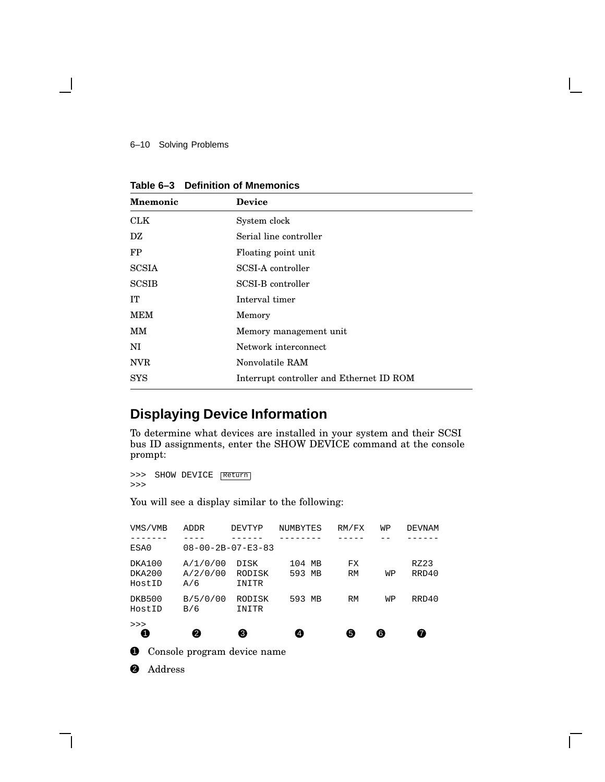6–10 Solving Problems

| <b>Mnemonic</b> | <b>Device</b>                            |  |  |  |
|-----------------|------------------------------------------|--|--|--|
| <b>CLK</b>      | System clock                             |  |  |  |
| DZ              | Serial line controller                   |  |  |  |
| <b>FP</b>       | Floating point unit                      |  |  |  |
| <b>SCSIA</b>    | SCSI-A controller                        |  |  |  |
| <b>SCSIB</b>    | SCSI-B controller                        |  |  |  |
| IT              | Interval timer                           |  |  |  |
| <b>MEM</b>      | Memory                                   |  |  |  |
| MМ              | Memory management unit                   |  |  |  |
| NI              | Network interconnect                     |  |  |  |
| <b>NVR</b>      | Nonvolatile RAM                          |  |  |  |
| <b>SYS</b>      | Interrupt controller and Ethernet ID ROM |  |  |  |

**Table 6–3 Definition of Mnemonics**

# **Displaying Device Information**

To determine what devices are installed in your system and their SCSI bus ID assignments, enter the SHOW DEVICE command at the console prompt:

>>> SHOW DEVICE Return >>>

You will see a display similar to the following:

| ➊                          | Console program device name |                                |                  |                        |    |               |
|----------------------------|-----------------------------|--------------------------------|------------------|------------------------|----|---------------|
| >><br>O                    | A                           | €                              | 4                | 6                      | 6  | 0             |
| DKB500<br>HostID           | B/5/0/00<br>B/6             | RODISK<br>INITR                | 593 MB           | <b>RM</b>              | WP | RRD40         |
| DKA100<br>DKA200<br>HostID | A/1/0/00<br>A/2/0/00<br>A/6 | <b>DISK</b><br>RODISK<br>INITR | 104 MB<br>593 MB | <b>FX</b><br><b>RM</b> | WP | RZ23<br>RRD40 |
| ESA0                       |                             | $08 - 00 - 2B - 07 - E3 - 83$  |                  |                        |    |               |
| VMS/VMB                    | <b>ADDR</b>                 | DEVTYP                         | NUMBYTES         | RM/FX                  | WP | DEVNAM        |

<sup>2</sup> Address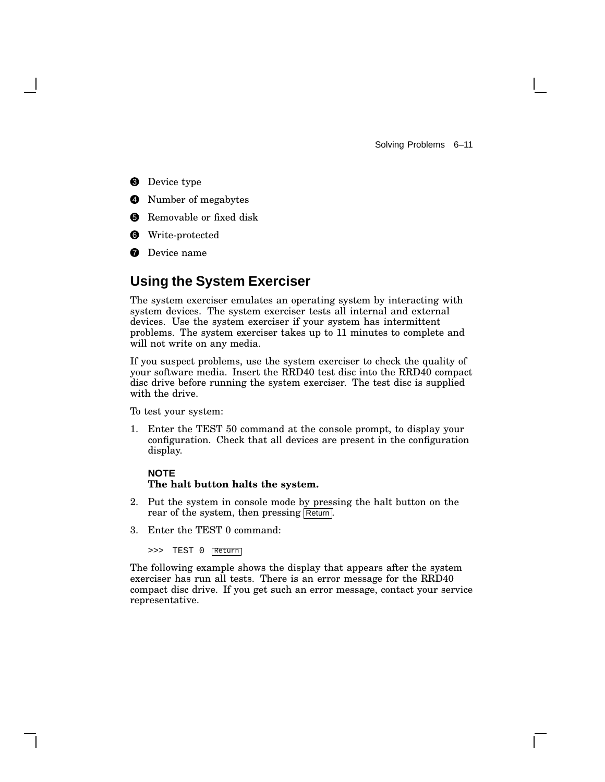Solving Problems 6–11

- **3** Device type
- **4** Number of megabytes
- **6** Removable or fixed disk
- **6** Write-protected
- **2** Device name

# **Using the System Exerciser**

The system exerciser emulates an operating system by interacting with system devices. The system exerciser tests all internal and external devices. Use the system exerciser if your system has intermittent problems. The system exerciser takes up to 11 minutes to complete and will not write on any media.

If you suspect problems, use the system exerciser to check the quality of your software media. Insert the RRD40 test disc into the RRD40 compact disc drive before running the system exerciser. The test disc is supplied with the drive.

To test your system:

1. Enter the TEST 50 command at the console prompt, to display your configuration. Check that all devices are present in the configuration display.

#### **NOTE The halt button halts the system.**

- 2. Put the system in console mode by pressing the halt button on the rear of the system, then pressing Return.
- 3. Enter the TEST 0 command:

>>> TEST 0 Return

The following example shows the display that appears after the system exerciser has run all tests. There is an error message for the RRD40 compact disc drive. If you get such an error message, contact your service representative.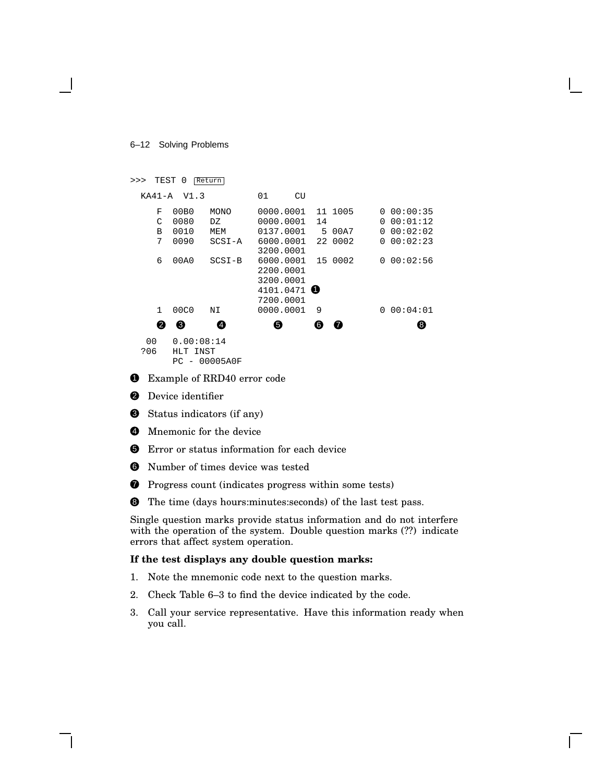6–12 Solving Problems

```
>>> TEST 0 Return
 KA41-A V1.3 01 CU
   F 00B0 MONO 0000.0001 11 1005 0 00:00:35
   C 0080 DZ 0000.0001 14 0 00:01:12
   B 0010 MEM 0137.0001 5 00A7 0 00:02:02
   7 0090 SCSI-A 6000.0001 22 0002 0 00:02:23
                 3200.0001
   6 00A0 SCSI-B 6000.0001 15 0002 0 00:02:56
                 2200.0001
                 3200.0001
                 4101.0471 0
                 7200.0001
   1 00C0 NI 0000.0001 9 0 00:04:01
    2 3 4 5 6 7 8
  00 0.00:08:14
```
?06 HLT INST PC - 00005A0F

**1** Example of RRD40 error code

- <sup>2</sup> Device identifier
- **3** Status indicators (if any)
- **4** Mnemonic for the device
- **6** Error or status information for each device
- 6 Number of times device was tested
- **2** Progress count (indicates progress within some tests)
- **8** The time (days hours: minutes: seconds) of the last test pass.

Single question marks provide status information and do not interfere with the operation of the system. Double question marks (??) indicate errors that affect system operation.

#### **If the test displays any double question marks:**

- 1. Note the mnemonic code next to the question marks.
- 2. Check Table 6–3 to find the device indicated by the code.
- 3. Call your service representative. Have this information ready when you call.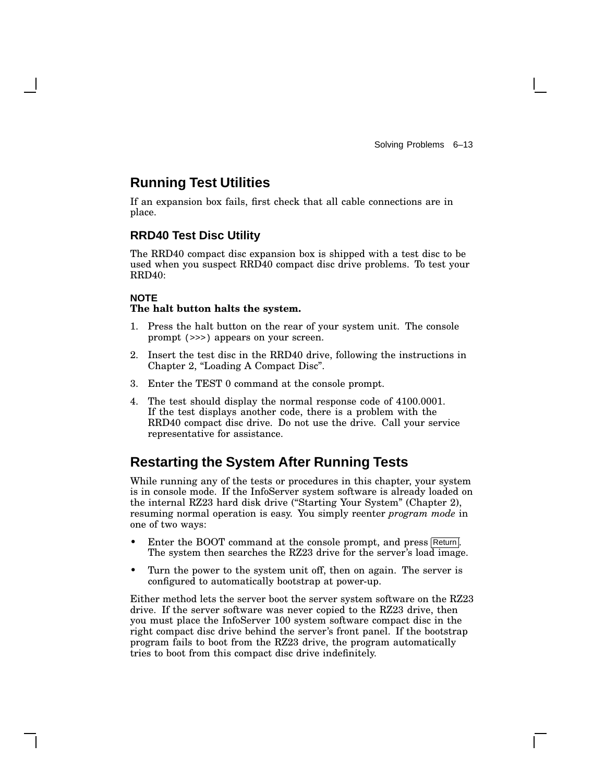## **Running Test Utilities**

If an expansion box fails, first check that all cable connections are in place.

## **RRD40 Test Disc Utility**

The RRD40 compact disc expansion box is shipped with a test disc to be used when you suspect RRD40 compact disc drive problems. To test your RRD40:

## **NOTE**

#### **The halt button halts the system.**

- 1. Press the halt button on the rear of your system unit. The console prompt (>>>) appears on your screen.
- 2. Insert the test disc in the RRD40 drive, following the instructions in Chapter 2, "Loading A Compact Disc".
- 3. Enter the TEST 0 command at the console prompt.
- 4. The test should display the normal response code of 4100.0001. If the test displays another code, there is a problem with the RRD40 compact disc drive. Do not use the drive. Call your service representative for assistance.

## **Restarting the System After Running Tests**

While running any of the tests or procedures in this chapter, your system is in console mode. If the InfoServer system software is already loaded on the internal RZ23 hard disk drive (''Starting Your System'' (Chapter 2), resuming normal operation is easy. You simply reenter *program mode* in one of two ways:

- Enter the BOOT command at the console prompt, and press Return. The system then searches the RZ23 drive for the server's load image.
- Turn the power to the system unit off, then on again. The server is configured to automatically bootstrap at power-up.

Either method lets the server boot the server system software on the RZ23 drive. If the server software was never copied to the RZ23 drive, then you must place the InfoServer 100 system software compact disc in the right compact disc drive behind the server's front panel. If the bootstrap program fails to boot from the RZ23 drive, the program automatically tries to boot from this compact disc drive indefinitely.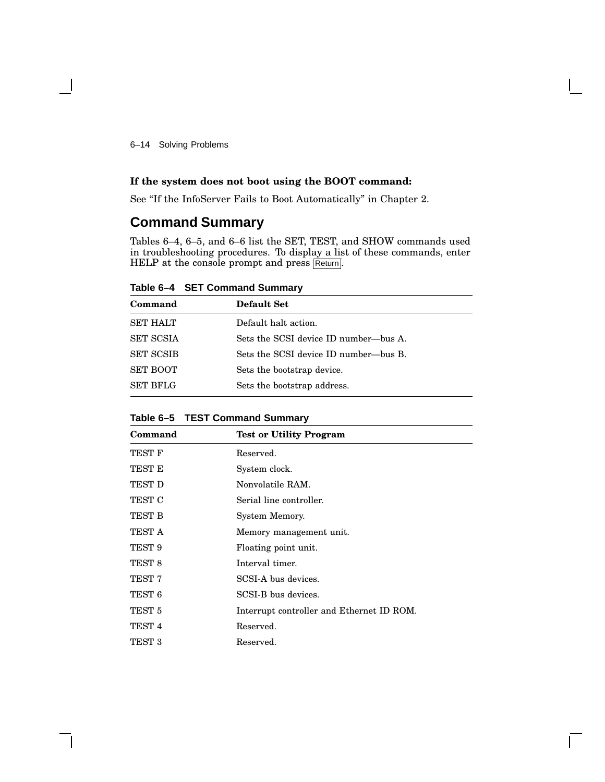6–14 Solving Problems

## **If the system does not boot using the BOOT command:**

See ''If the InfoServer Fails to Boot Automatically'' in Chapter 2.

## **Command Summary**

Tables 6–4, 6–5, and 6–6 list the SET, TEST, and SHOW commands used in troubleshooting procedures. To display a list of these commands, enter HELP at the console prompt and press Return.

**Table 6–4 SET Command Summary**

| Command          | <b>Default Set</b>                    |
|------------------|---------------------------------------|
| <b>SET HALT</b>  | Default halt action.                  |
| <b>SET SCSIA</b> | Sets the SCSI device ID number—bus A. |
| <b>SET SCSIB</b> | Sets the SCSI device ID number—bus B. |
| <b>SET BOOT</b>  | Sets the bootstrap device.            |
| <b>SET BFLG</b>  | Sets the bootstrap address.           |

**Table 6–5 TEST Command Summary**

| Command           | <b>Test or Utility Program</b>            |
|-------------------|-------------------------------------------|
| TEST F            | Reserved.                                 |
| TEST E            | System clock.                             |
| TEST D            | Nonvolatile RAM.                          |
| TEST C            | Serial line controller.                   |
| TEST B            | System Memory.                            |
| TEST A            | Memory management unit.                   |
| TEST 9            | Floating point unit.                      |
| TEST <sub>8</sub> | Interval timer.                           |
| TEST 7            | SCSI-A bus devices.                       |
| TEST <sub>6</sub> | SCSI-B bus devices.                       |
| TEST <sub>5</sub> | Interrupt controller and Ethernet ID ROM. |
| TEST <sub>4</sub> | Reserved.                                 |
| TEST 3            | Reserved.                                 |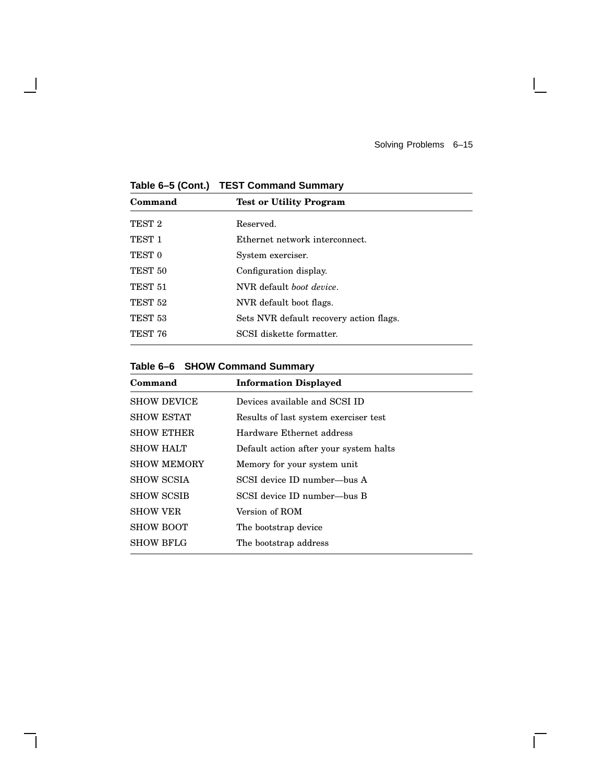Solving Problems 6–15

 $\mathbb{R}^n$ 

 $\overline{\Gamma}$ 

**Table 6–5 (Cont.) TEST Command Summary**

 $\overline{\phantom{a}}$ 

| Command            | <b>Test or Utility Program</b>          |  |
|--------------------|-----------------------------------------|--|
| TEST <sub>2</sub>  | Reserved.                               |  |
| TEST <sub>1</sub>  | Ethernet network interconnect.          |  |
| TEST <sub>0</sub>  | System exerciser.                       |  |
| TEST <sub>50</sub> | Configuration display.                  |  |
| TEST <sub>51</sub> | NVR default <i>boot device</i> .        |  |
| TEST <sub>52</sub> | NVR default boot flags.                 |  |
| TEST <sub>53</sub> | Sets NVR default recovery action flags. |  |
| TEST 76            | SCSI diskette formatter.                |  |
|                    |                                         |  |

**Table 6–6 SHOW Command Summary**

| Command            | <b>Information Displayed</b>           |
|--------------------|----------------------------------------|
| <b>SHOW DEVICE</b> | Devices available and SCSI ID          |
| <b>SHOW ESTAT</b>  | Results of last system exerciser test  |
| <b>SHOW ETHER</b>  | Hardware Ethernet address              |
| <b>SHOW HALT</b>   | Default action after your system halts |
| <b>SHOW MEMORY</b> | Memory for your system unit            |
| <b>SHOW SCSIA</b>  | SCSI device ID number—bus A            |
| <b>SHOW SCSIB</b>  | SCSI device ID number—bus B            |
| <b>SHOW VER</b>    | Version of ROM                         |
| <b>SHOW BOOT</b>   | The bootstrap device                   |
| <b>SHOW BFLG</b>   | The bootstrap address                  |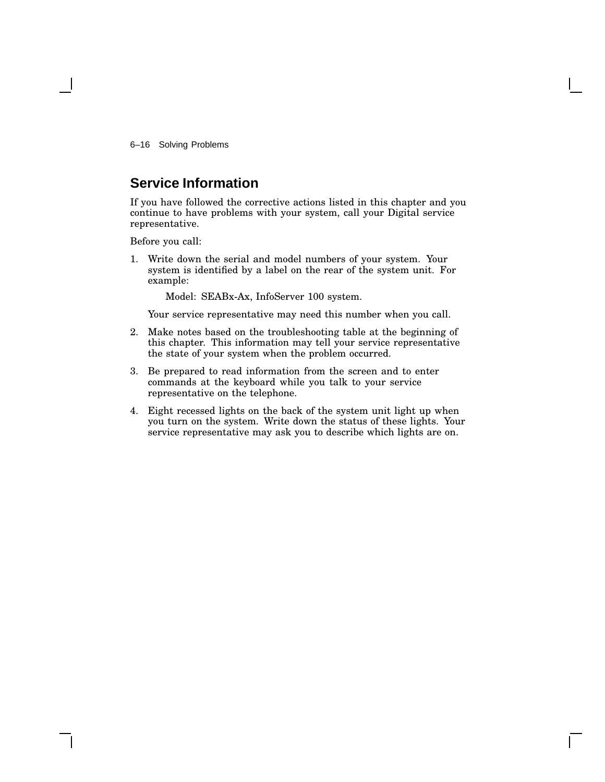6–16 Solving Problems

# **Service Information**

If you have followed the corrective actions listed in this chapter and you continue to have problems with your system, call your Digital service representative.

Before you call:

1. Write down the serial and model numbers of your system. Your system is identified by a label on the rear of the system unit. For example:

Model: SEABx-Ax, InfoServer 100 system.

Your service representative may need this number when you call.

- 2. Make notes based on the troubleshooting table at the beginning of this chapter. This information may tell your service representative the state of your system when the problem occurred.
- 3. Be prepared to read information from the screen and to enter commands at the keyboard while you talk to your service representative on the telephone.
- 4. Eight recessed lights on the back of the system unit light up when you turn on the system. Write down the status of these lights. Your service representative may ask you to describe which lights are on.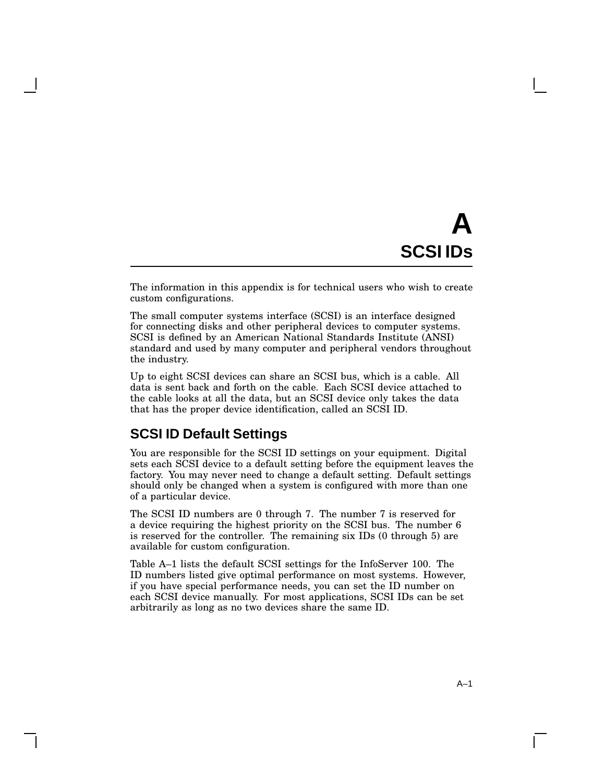# **A SCSI IDs**

The information in this appendix is for technical users who wish to create custom configurations.

The small computer systems interface (SCSI) is an interface designed for connecting disks and other peripheral devices to computer systems. SCSI is defined by an American National Standards Institute (ANSI) standard and used by many computer and peripheral vendors throughout the industry.

Up to eight SCSI devices can share an SCSI bus, which is a cable. All data is sent back and forth on the cable. Each SCSI device attached to the cable looks at all the data, but an SCSI device only takes the data that has the proper device identification, called an SCSI ID.

# **SCSI ID Default Settings**

You are responsible for the SCSI ID settings on your equipment. Digital sets each SCSI device to a default setting before the equipment leaves the factory. You may never need to change a default setting. Default settings should only be changed when a system is configured with more than one of a particular device.

The SCSI ID numbers are 0 through 7. The number 7 is reserved for a device requiring the highest priority on the SCSI bus. The number 6 is reserved for the controller. The remaining six IDs (0 through 5) are available for custom configuration.

Table A–1 lists the default SCSI settings for the InfoServer 100. The ID numbers listed give optimal performance on most systems. However, if you have special performance needs, you can set the ID number on each SCSI device manually. For most applications, SCSI IDs can be set arbitrarily as long as no two devices share the same ID.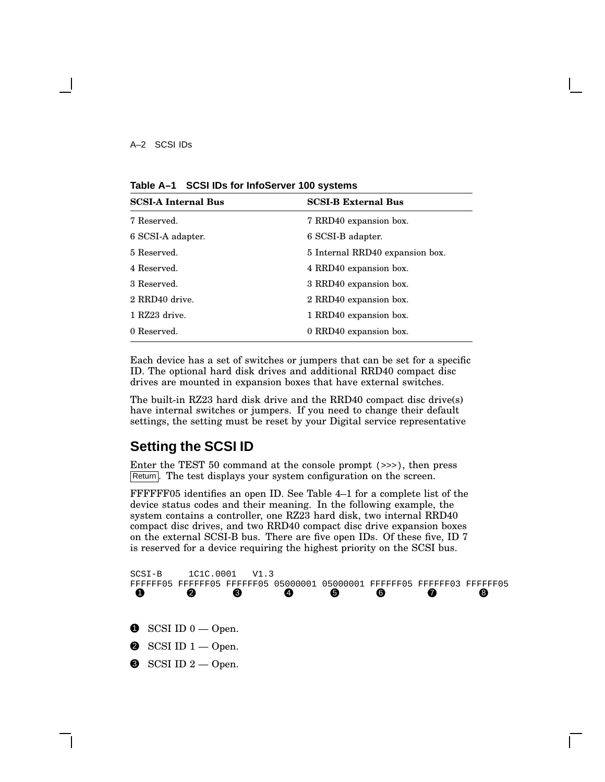**Table A–1 SCSI IDs for InfoServer 100 systems**

| <b>SCSI-A Internal Bus</b> | <b>SCSI-B External Bus</b>      |  |
|----------------------------|---------------------------------|--|
| 7 Reserved.                | 7 RRD40 expansion box.          |  |
| 6 SCSI-A adapter.          | 6 SCSI-B adapter.               |  |
| 5 Reserved.                | 5 Internal RRD40 expansion box. |  |
| 4 Reserved.                | 4 RRD40 expansion box.          |  |
| 3 Reserved.                | 3 RRD40 expansion box.          |  |
| 2 RRD40 drive.             | 2 RRD40 expansion box.          |  |
| 1 RZ23 drive.              | 1 RRD40 expansion box.          |  |
| 0 Reserved.                | 0 RRD40 expansion box.          |  |

Each device has a set of switches or jumpers that can be set for a specific ID. The optional hard disk drives and additional RRD40 compact disc drives are mounted in expansion boxes that have external switches.

The built-in RZ23 hard disk drive and the RRD40 compact disc drive(s) have internal switches or jumpers. If you need to change their default settings, the setting must be reset by your Digital service representative

# **Setting the SCSI ID**

Enter the TEST 50 command at the console prompt (>>>), then press Return. The test displays your system configuration on the screen.

FFFFFF05 identifies an open ID. See Table 4–1 for a complete list of the device status codes and their meaning. In the following example, the system contains a controller, one RZ23 hard disk, two internal RRD40 compact disc drives, and two RRD40 compact disc drive expansion boxes on the external SCSI-B bus. There are five open IDs. Of these five, ID 7 is reserved for a device requiring the highest priority on the SCSI bus.

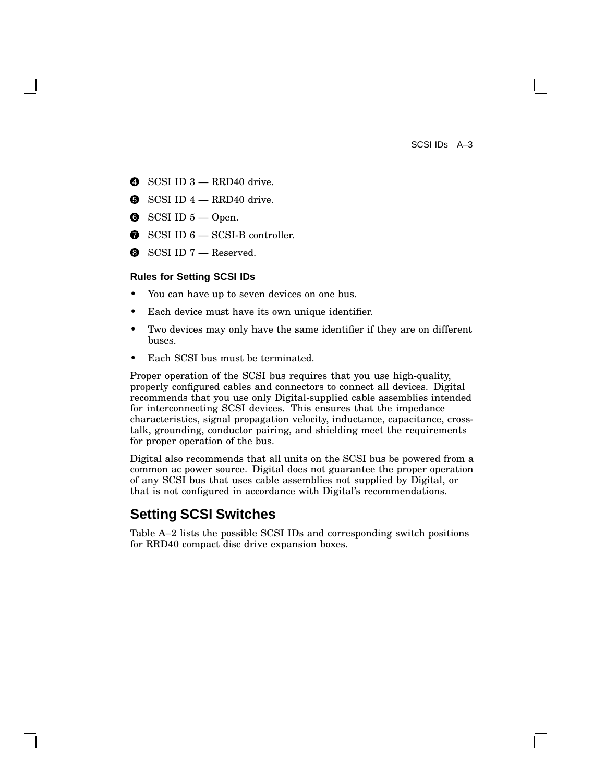SCSI IDs A–3

- $\bullet$  SCSI ID 3 RRD40 drive.
- $\bullet$  SCSI ID  $4 \text{RRD}40$  drive.
- $\bullet$  SCSI ID  $5$  Open.
- $\bullet$  SCSI ID  $6$  SCSI-B controller.
- $\bullet$  SCSI ID 7 Reserved.

#### **Rules for Setting SCSI IDs**

- You can have up to seven devices on one bus.
- Each device must have its own unique identifier.
- Two devices may only have the same identifier if they are on different buses.
- Each SCSI bus must be terminated.

Proper operation of the SCSI bus requires that you use high-quality, properly configured cables and connectors to connect all devices. Digital recommends that you use only Digital-supplied cable assemblies intended for interconnecting SCSI devices. This ensures that the impedance characteristics, signal propagation velocity, inductance, capacitance, crosstalk, grounding, conductor pairing, and shielding meet the requirements for proper operation of the bus.

Digital also recommends that all units on the SCSI bus be powered from a common ac power source. Digital does not guarantee the proper operation of any SCSI bus that uses cable assemblies not supplied by Digital, or that is not configured in accordance with Digital's recommendations.

# **Setting SCSI Switches**

Table A–2 lists the possible SCSI IDs and corresponding switch positions for RRD40 compact disc drive expansion boxes.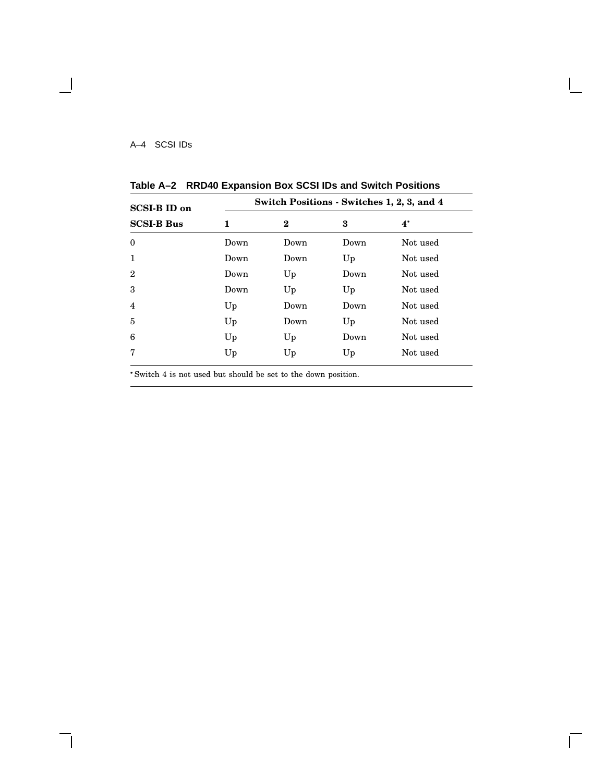A–4 SCSI IDs

 $\overline{\phantom{a}}$ 

| <b>SCSI-B ID on</b> | Switch Positions - Switches 1, 2, 3, and 4 |          |      |          |
|---------------------|--------------------------------------------|----------|------|----------|
| <b>SCSI-B Bus</b>   | 1                                          | $\bf{2}$ | 3    | $4^*$    |
| $\bf{0}$            | Down                                       | Down     | Down | Not used |
| $\mathbf{1}$        | Down                                       | Down     | Up   | Not used |
| $\overline{2}$      | Down                                       | Up       | Down | Not used |
| 3                   | Down                                       | Up       | Up   | Not used |
| $\overline{4}$      | Up                                         | Down     | Down | Not used |
| 5                   | Up                                         | Down     | Up   | Not used |
| 6                   | Up                                         | Up       | Down | Not used |
| 7                   | Up                                         | Up       | Up   | Not used |

 $\overline{\Gamma}$ 

**Table A–2 RRD40 Expansion Box SCSI IDs and Switch Positions**

Switch 4 is not used but should be set to the down position.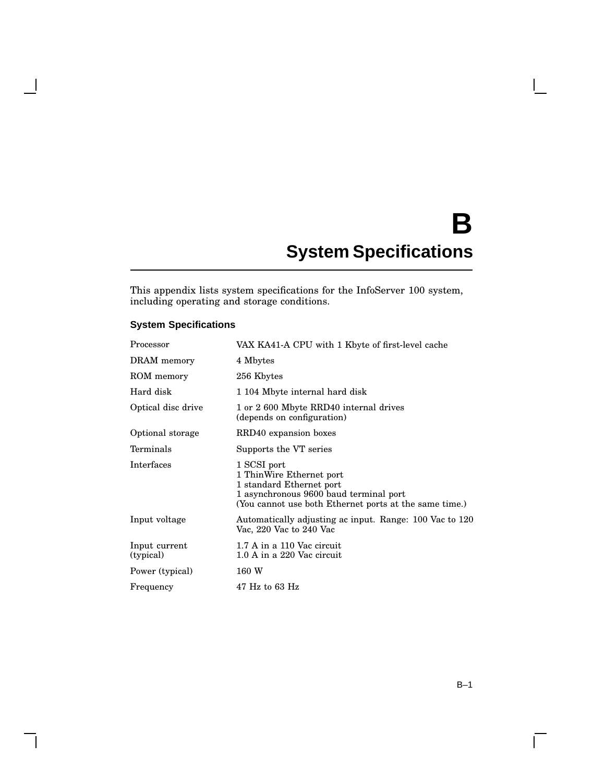# **B System Specifications**

This appendix lists system specifications for the InfoServer 100 system, including operating and storage conditions.

# **System Specifications**

H

| Processor                  | VAX KA41-A CPU with 1 Kbyte of first-level cache                                                                                                                        |  |
|----------------------------|-------------------------------------------------------------------------------------------------------------------------------------------------------------------------|--|
| DRAM memory                | 4 Mbytes                                                                                                                                                                |  |
| ROM memory                 | 256 Kbytes                                                                                                                                                              |  |
| Hard disk                  | 1 104 Mbyte internal hard disk                                                                                                                                          |  |
| Optical disc drive         | 1 or 2 600 Mbyte RRD40 internal drives<br>(depends on configuration)                                                                                                    |  |
| Optional storage           | RRD40 expansion boxes                                                                                                                                                   |  |
| Terminals                  | Supports the VT series                                                                                                                                                  |  |
| Interfaces                 | 1 SCSI port<br>1 ThinWire Ethernet port<br>1 standard Ethernet port<br>1 asynchronous 9600 baud terminal port<br>(You cannot use both Ethernet ports at the same time.) |  |
| Input voltage              | Automatically adjusting ac input. Range: 100 Vac to 120<br>Vac, 220 Vac to 240 Vac                                                                                      |  |
| Input current<br>(typical) | 1.7 A in a 110 Vac circuit<br>1.0 A in a 220 Vac circuit                                                                                                                |  |
| Power (typical)            | 160 W                                                                                                                                                                   |  |
| Frequency                  | $47$ Hz to 63 Hz                                                                                                                                                        |  |

 $\overline{\Gamma}$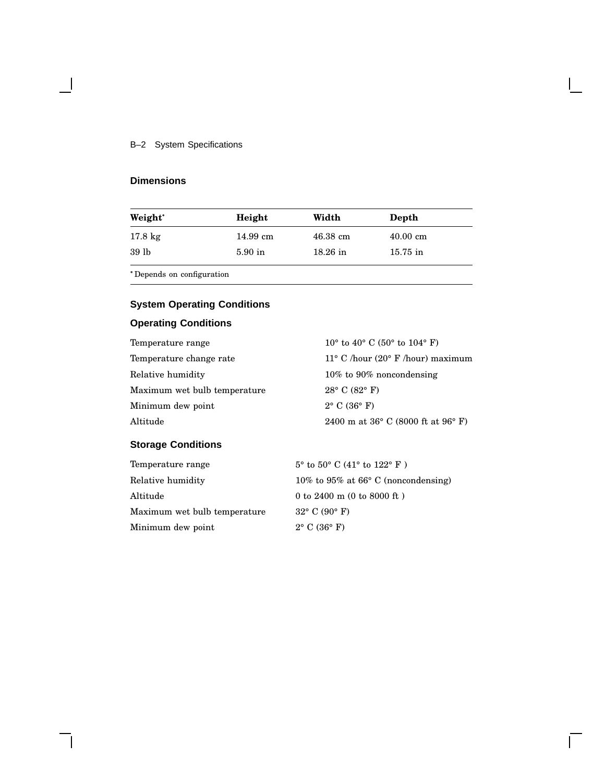#### B–2 System Specifications

# **Dimensions**

 $\blacksquare$ 

| Weight*           | Height    | Width              | Depth              |
|-------------------|-----------|--------------------|--------------------|
| $17.8 \text{ kg}$ | 14.99 cm  | $46.38 \text{ cm}$ | $40.00 \text{ cm}$ |
| 39 lb             | $5.90$ in | $18.26$ in         | $15.75$ in         |
|                   |           |                    |                    |

Depends on configuration

# **System Operating Conditions**

# **Operating Conditions**

| 10° to 40° C (50° to 104° F)                         |
|------------------------------------------------------|
| $11^{\circ}$ C /hour (20° F /hour) maximum           |
| $10\%$ to 90% noncondensing                          |
| $28^{\circ}$ C (82 $^{\circ}$ F)                     |
| $2^{\circ}$ C (36 $^{\circ}$ F)                      |
| 2400 m at $36^{\circ}$ C (8000 ft at $96^{\circ}$ F) |
|                                                      |

# **Storage Conditions**

| Temperature range            | $5^{\circ}$ to $50^{\circ}$ C (41° to $122^{\circ}$ F) |
|------------------------------|--------------------------------------------------------|
| Relative humidity            | 10% to 95% at 66 $\degree$ C (noncondensing)           |
| Altitude                     | 0 to 2400 m (0 to 8000 ft)                             |
| Maximum wet bulb temperature | $32^{\circ}$ C (90 $^{\circ}$ F)                       |
| Minimum dew point            | $2^{\circ}$ C (36 $^{\circ}$ F)                        |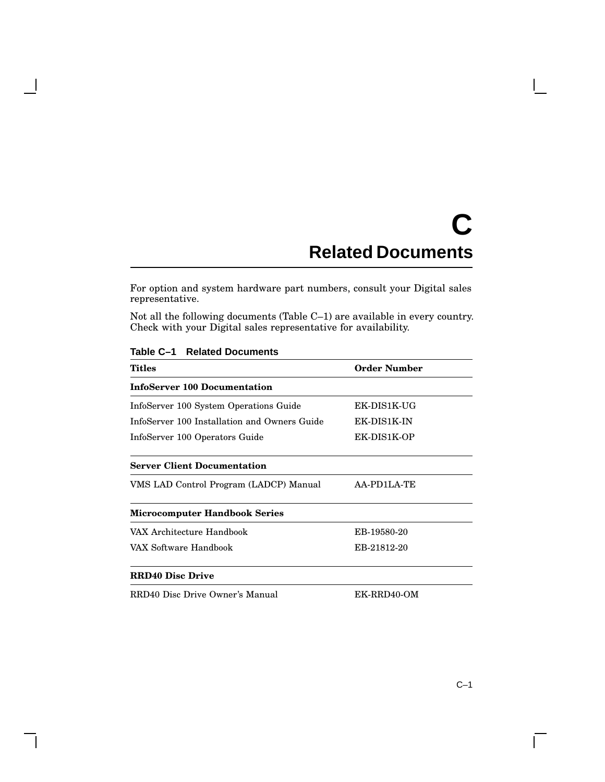# **C Related Documents**

For option and system hardware part numbers, consult your Digital sales representative.

Not all the following documents (Table C–1) are available in every country. Check with your Digital sales representative for availability.

| Titles                                       | Order Number |  |
|----------------------------------------------|--------------|--|
| <b>InfoServer 100 Documentation</b>          |              |  |
| InfoServer 100 System Operations Guide       | EK-DIS1K-UG  |  |
| InfoServer 100 Installation and Owners Guide | EK-DIS1K-IN  |  |
| InfoServer 100 Operators Guide               | EK-DIS1K-OP  |  |
| <b>Server Client Documentation</b>           |              |  |
| VMS LAD Control Program (LADCP) Manual       | AA-PD1LA-TE  |  |
| <b>Microcomputer Handbook Series</b>         |              |  |
| VAX Architecture Handbook                    | EB-19580-20  |  |
| VAX Software Handbook                        | EB-21812-20  |  |
| <b>RRD40 Disc Drive</b>                      |              |  |
| RRD40 Disc Drive Owner's Manual              | EK-RRD40-OM  |  |

**Table C–1 Related Documents**

 $\mathbf{I}$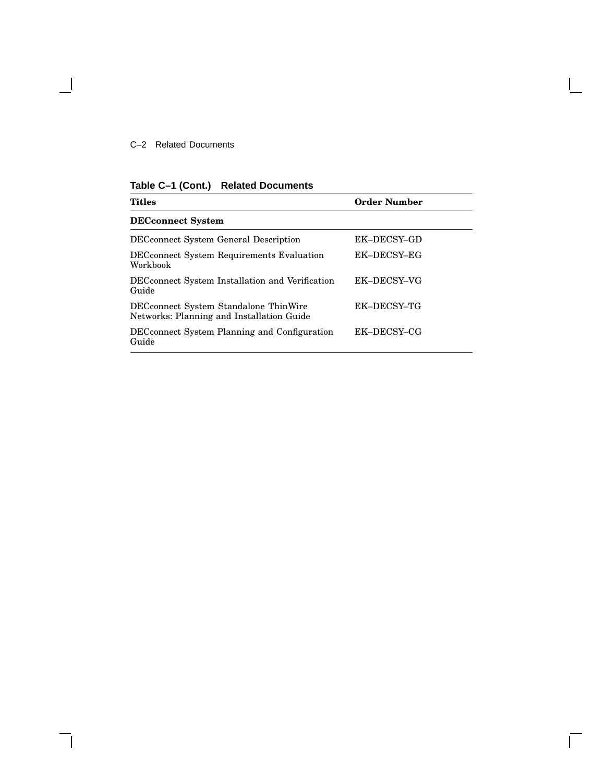#### C–2 Related Documents

 $\blacksquare$ 

**Table C–1 (Cont.) Related Documents**

| <b>Titles</b>                                                                      | <b>Order Number</b> |
|------------------------------------------------------------------------------------|---------------------|
| <b>DECconnect System</b>                                                           |                     |
| <b>DEC</b> connect System General Description                                      | EK-DECSY-GD         |
| <b>DECconnect System Requirements Evaluation</b><br>Workbook                       | EK-DECSY-EG         |
| DECconnect System Installation and Verification<br>Guide                           | EK-DECSY-VG         |
| DECconnect System Standalone ThinWire<br>Networks: Planning and Installation Guide | EK-DECSY-TG         |
| DEC connect System Planning and Configuration<br>Guide                             | EK-DECSY-CG         |

 $\mathbf{I}$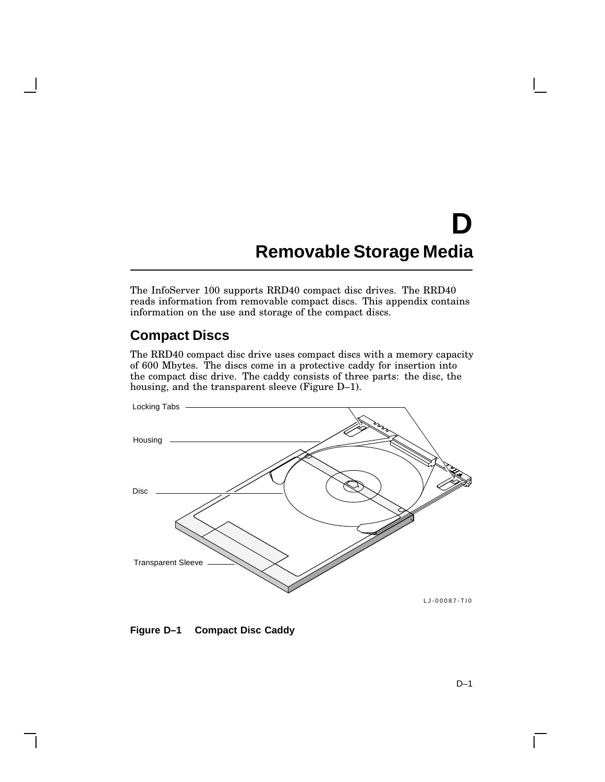# **D Removable Storage Media**

The InfoServer 100 supports RRD40 compact disc drives. The RRD40 reads information from removable compact discs. This appendix contains information on the use and storage of the compact discs.

# **Compact Discs**

The RRD40 compact disc drive uses compact discs with a memory capacity of 600 Mbytes. The discs come in a protective caddy for insertion into the compact disc drive. The caddy consists of three parts: the disc, the housing, and the transparent sleeve (Figure D–1).



**Figure D–1 Compact Disc Caddy**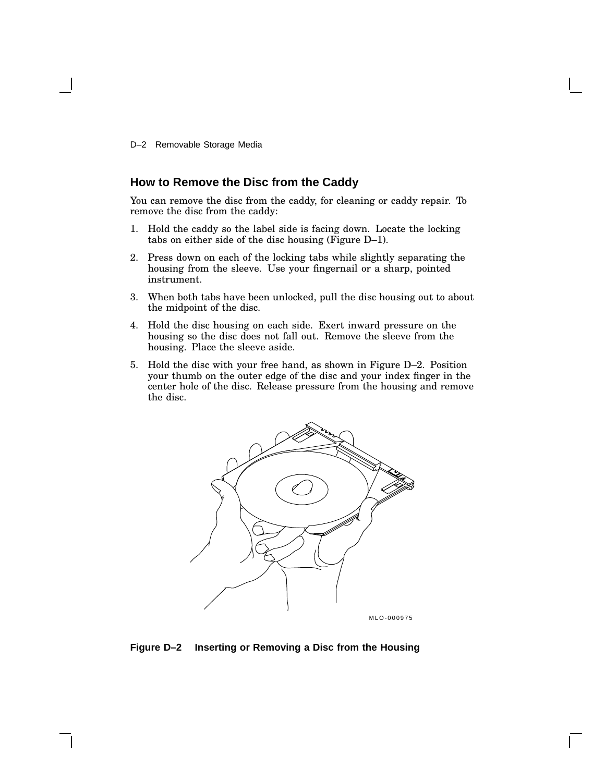D–2 Removable Storage Media

#### **How to Remove the Disc from the Caddy**

You can remove the disc from the caddy, for cleaning or caddy repair. To remove the disc from the caddy:

- 1. Hold the caddy so the label side is facing down. Locate the locking tabs on either side of the disc housing (Figure D–1).
- 2. Press down on each of the locking tabs while slightly separating the housing from the sleeve. Use your fingernail or a sharp, pointed instrument.
- 3. When both tabs have been unlocked, pull the disc housing out to about the midpoint of the disc.
- 4. Hold the disc housing on each side. Exert inward pressure on the housing so the disc does not fall out. Remove the sleeve from the housing. Place the sleeve aside.
- 5. Hold the disc with your free hand, as shown in Figure D–2. Position your thumb on the outer edge of the disc and your index finger in the center hole of the disc. Release pressure from the housing and remove the disc.



MLO-000975

#### **Figure D–2 Inserting or Removing a Disc from the Housing**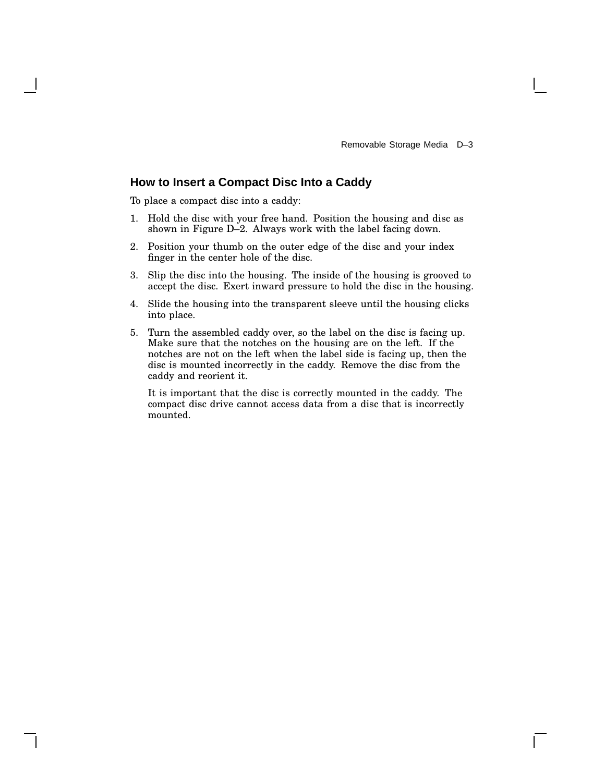#### **How to Insert a Compact Disc Into a Caddy**

To place a compact disc into a caddy:

- 1. Hold the disc with your free hand. Position the housing and disc as shown in Figure D–2. Always work with the label facing down.
- 2. Position your thumb on the outer edge of the disc and your index finger in the center hole of the disc.
- 3. Slip the disc into the housing. The inside of the housing is grooved to accept the disc. Exert inward pressure to hold the disc in the housing.
- 4. Slide the housing into the transparent sleeve until the housing clicks into place.
- 5. Turn the assembled caddy over, so the label on the disc is facing up. Make sure that the notches on the housing are on the left. If the notches are not on the left when the label side is facing up, then the disc is mounted incorrectly in the caddy. Remove the disc from the caddy and reorient it.

It is important that the disc is correctly mounted in the caddy. The compact disc drive cannot access data from a disc that is incorrectly mounted.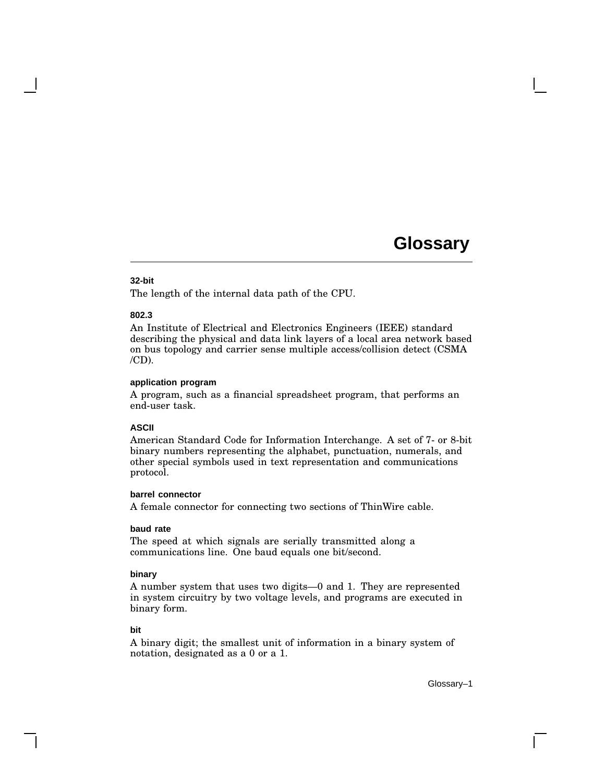#### **32-bit**

The length of the internal data path of the CPU.

#### **802.3**

An Institute of Electrical and Electronics Engineers (IEEE) standard describing the physical and data link layers of a local area network based on bus topology and carrier sense multiple access/collision detect (CSMA  $/CD$ ).

#### **application program**

A program, such as a financial spreadsheet program, that performs an end-user task.

#### **ASCII**

American Standard Code for Information Interchange. A set of 7- or 8-bit binary numbers representing the alphabet, punctuation, numerals, and other special symbols used in text representation and communications protocol.

#### **barrel connector**

A female connector for connecting two sections of ThinWire cable.

#### **baud rate**

The speed at which signals are serially transmitted along a communications line. One baud equals one bit/second.

#### **binary**

A number system that uses two digits—0 and 1. They are represented in system circuitry by two voltage levels, and programs are executed in binary form.

#### **bit**

A binary digit; the smallest unit of information in a binary system of notation, designated as a 0 or a 1.

Glossary–1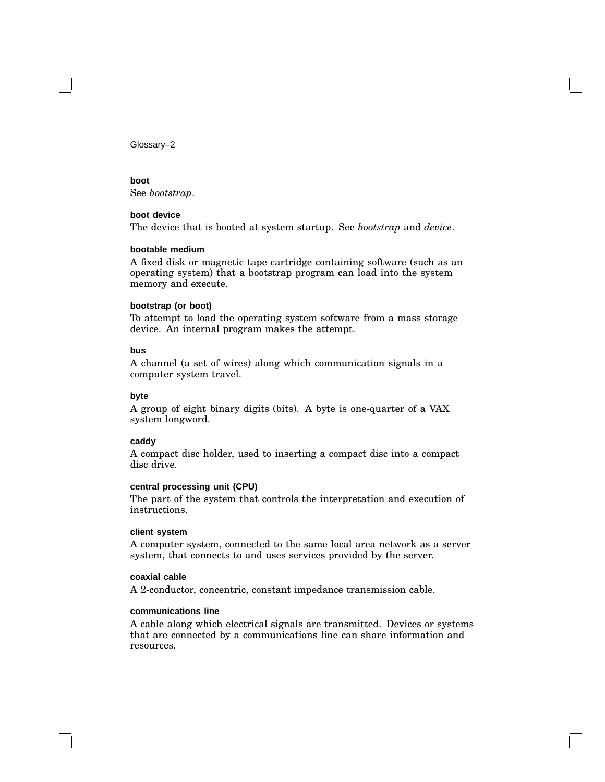# **boot**

See *bootstrap*.

#### **boot device**

The device that is booted at system startup. See *bootstrap* and *device*.

#### **bootable medium**

A fixed disk or magnetic tape cartridge containing software (such as an operating system) that a bootstrap program can load into the system memory and execute.

#### **bootstrap (or boot)**

To attempt to load the operating system software from a mass storage device. An internal program makes the attempt.

#### **bus**

A channel (a set of wires) along which communication signals in a computer system travel.

#### **byte**

A group of eight binary digits (bits). A byte is one-quarter of a VAX system longword.

#### **caddy**

A compact disc holder, used to inserting a compact disc into a compact disc drive.

#### **central processing unit (CPU)**

The part of the system that controls the interpretation and execution of instructions.

#### **client system**

A computer system, connected to the same local area network as a server system, that connects to and uses services provided by the server.

#### **coaxial cable**

A 2-conductor, concentric, constant impedance transmission cable.

#### **communications line**

A cable along which electrical signals are transmitted. Devices or systems that are connected by a communications line can share information and resources.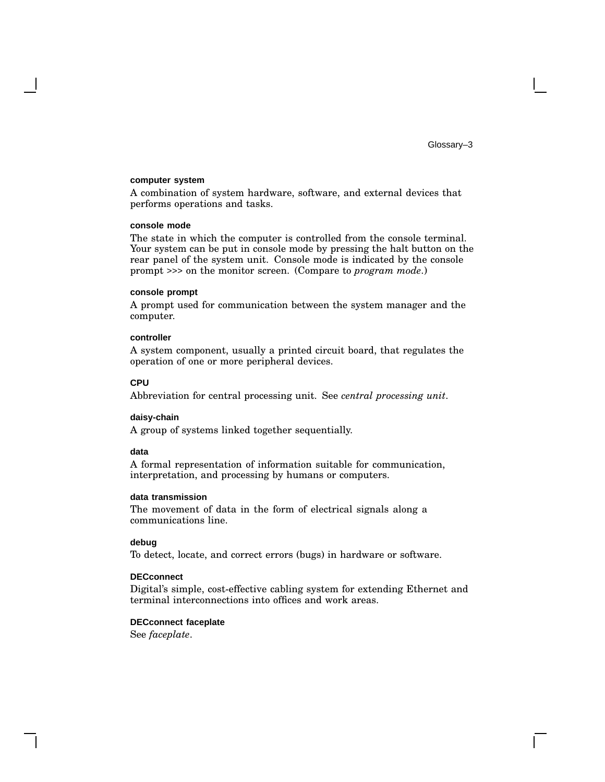#### **computer system**

A combination of system hardware, software, and external devices that performs operations and tasks.

#### **console mode**

The state in which the computer is controlled from the console terminal. Your system can be put in console mode by pressing the halt button on the rear panel of the system unit. Console mode is indicated by the console prompt >>> on the monitor screen. (Compare to *program mode*.)

#### **console prompt**

A prompt used for communication between the system manager and the computer.

#### **controller**

A system component, usually a printed circuit board, that regulates the operation of one or more peripheral devices.

#### **CPU**

Abbreviation for central processing unit. See *central processing unit*.

#### **daisy-chain**

A group of systems linked together sequentially.

#### **data**

A formal representation of information suitable for communication, interpretation, and processing by humans or computers.

#### **data transmission**

The movement of data in the form of electrical signals along a communications line.

#### **debug**

To detect, locate, and correct errors (bugs) in hardware or software.

#### **DECconnect**

Digital's simple, cost-effective cabling system for extending Ethernet and terminal interconnections into offices and work areas.

#### **DECconnect faceplate**

See *faceplate*.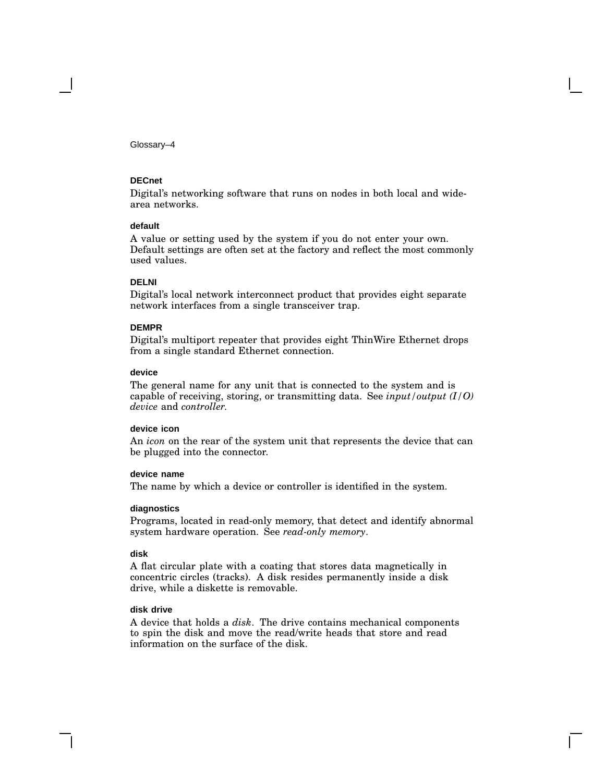#### **DECnet**

Digital's networking software that runs on nodes in both local and widearea networks.

#### **default**

A value or setting used by the system if you do not enter your own. Default settings are often set at the factory and reflect the most commonly used values.

#### **DELNI**

Digital's local network interconnect product that provides eight separate network interfaces from a single transceiver trap.

#### **DEMPR**

Digital's multiport repeater that provides eight ThinWire Ethernet drops from a single standard Ethernet connection.

#### **device**

The general name for any unit that is connected to the system and is capable of receiving, storing, or transmitting data. See *input/output (I/O) device* and *controller.*

#### **device icon**

An *icon* on the rear of the system unit that represents the device that can be plugged into the connector.

#### **device name**

The name by which a device or controller is identified in the system.

#### **diagnostics**

Programs, located in read-only memory, that detect and identify abnormal system hardware operation. See *read-only memory*.

#### **disk**

A flat circular plate with a coating that stores data magnetically in concentric circles (tracks). A disk resides permanently inside a disk drive, while a diskette is removable.

#### **disk drive**

A device that holds a *disk*. The drive contains mechanical components to spin the disk and move the read/write heads that store and read information on the surface of the disk.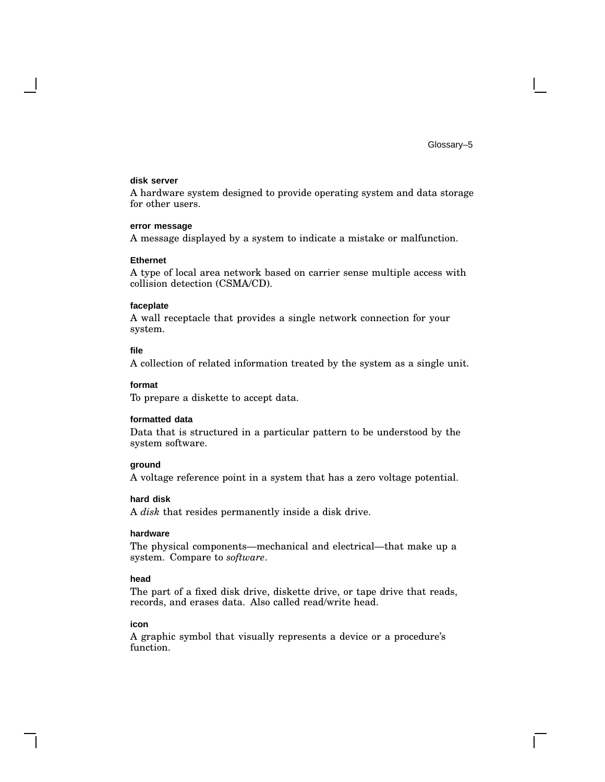#### **disk server**

A hardware system designed to provide operating system and data storage for other users.

#### **error message**

A message displayed by a system to indicate a mistake or malfunction.

#### **Ethernet**

A type of local area network based on carrier sense multiple access with collision detection (CSMA/CD).

#### **faceplate**

A wall receptacle that provides a single network connection for your system.

#### **file**

A collection of related information treated by the system as a single unit.

#### **format**

To prepare a diskette to accept data.

#### **formatted data**

Data that is structured in a particular pattern to be understood by the system software.

#### **ground**

A voltage reference point in a system that has a zero voltage potential.

#### **hard disk**

A *disk* that resides permanently inside a disk drive.

#### **hardware**

The physical components—mechanical and electrical—that make up a system. Compare to *software*.

#### **head**

The part of a fixed disk drive, diskette drive, or tape drive that reads, records, and erases data. Also called read/write head.

#### **icon**

A graphic symbol that visually represents a device or a procedure's function.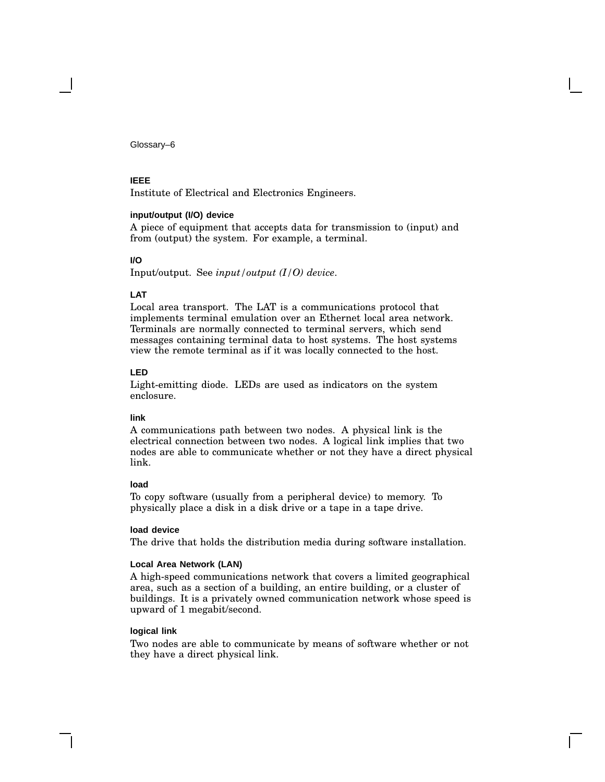#### **IEEE**

Institute of Electrical and Electronics Engineers.

#### **input/output (I/O) device**

A piece of equipment that accepts data for transmission to (input) and from (output) the system. For example, a terminal.

#### **I/O**

Input/output. See *input/output (I/O) device*.

#### **LAT**

Local area transport. The LAT is a communications protocol that implements terminal emulation over an Ethernet local area network. Terminals are normally connected to terminal servers, which send messages containing terminal data to host systems. The host systems view the remote terminal as if it was locally connected to the host.

#### **LED**

Light-emitting diode. LEDs are used as indicators on the system enclosure.

#### **link**

A communications path between two nodes. A physical link is the electrical connection between two nodes. A logical link implies that two nodes are able to communicate whether or not they have a direct physical link.

#### **load**

To copy software (usually from a peripheral device) to memory. To physically place a disk in a disk drive or a tape in a tape drive.

#### **load device**

The drive that holds the distribution media during software installation.

#### **Local Area Network (LAN)**

A high-speed communications network that covers a limited geographical area, such as a section of a building, an entire building, or a cluster of buildings. It is a privately owned communication network whose speed is upward of 1 megabit/second.

#### **logical link**

Two nodes are able to communicate by means of software whether or not they have a direct physical link.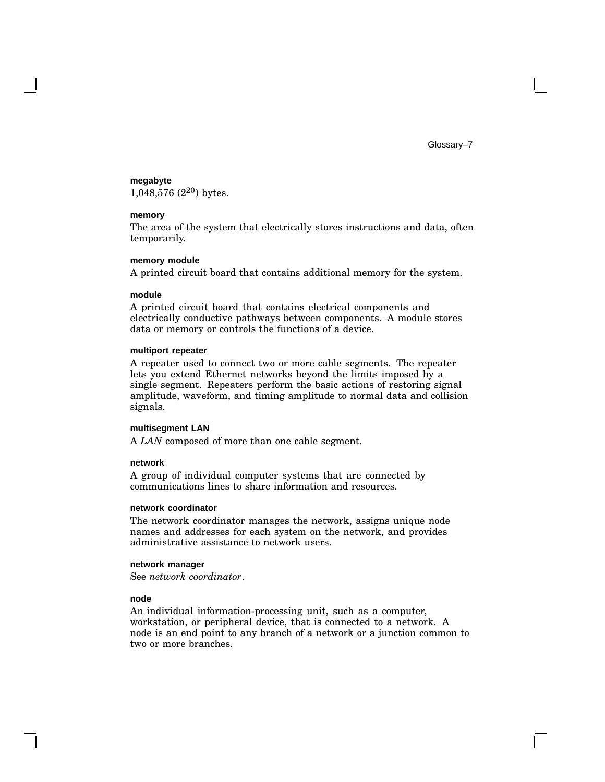#### **megabyte**

1,048,576 $(2^{20})$  bytes.

#### **memory**

The area of the system that electrically stores instructions and data, often temporarily.

#### **memory module**

A printed circuit board that contains additional memory for the system.

#### **module**

A printed circuit board that contains electrical components and electrically conductive pathways between components. A module stores data or memory or controls the functions of a device.

#### **multiport repeater**

A repeater used to connect two or more cable segments. The repeater lets you extend Ethernet networks beyond the limits imposed by a single segment. Repeaters perform the basic actions of restoring signal amplitude, waveform, and timing amplitude to normal data and collision signals.

#### **multisegment LAN**

A *LAN* composed of more than one cable segment.

#### **network**

A group of individual computer systems that are connected by communications lines to share information and resources.

#### **network coordinator**

The network coordinator manages the network, assigns unique node names and addresses for each system on the network, and provides administrative assistance to network users.

#### **network manager**

See *network coordinator*.

#### **node**

An individual information-processing unit, such as a computer, workstation, or peripheral device, that is connected to a network. A node is an end point to any branch of a network or a junction common to two or more branches.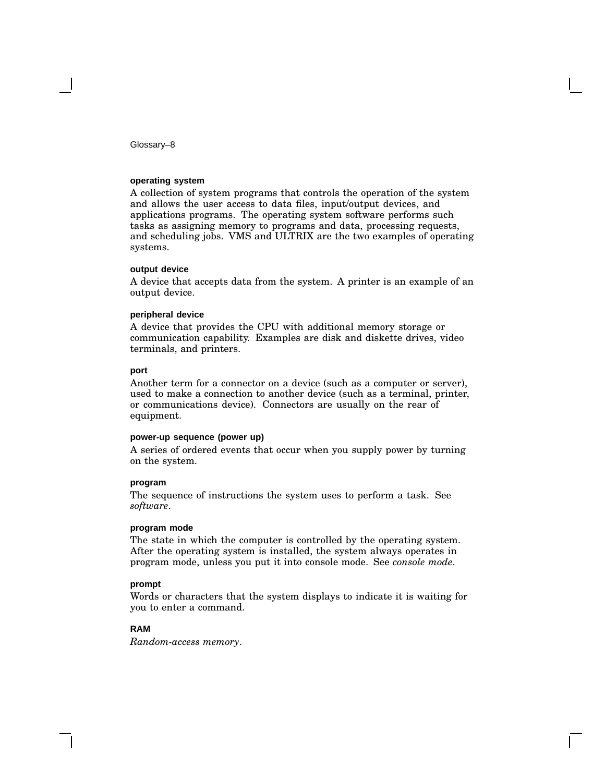#### **operating system**

A collection of system programs that controls the operation of the system and allows the user access to data files, input/output devices, and applications programs. The operating system software performs such tasks as assigning memory to programs and data, processing requests, and scheduling jobs. VMS and ULTRIX are the two examples of operating systems.

#### **output device**

A device that accepts data from the system. A printer is an example of an output device.

#### **peripheral device**

A device that provides the CPU with additional memory storage or communication capability. Examples are disk and diskette drives, video terminals, and printers.

#### **port**

Another term for a connector on a device (such as a computer or server), used to make a connection to another device (such as a terminal, printer, or communications device). Connectors are usually on the rear of equipment.

#### **power-up sequence (power up)**

A series of ordered events that occur when you supply power by turning on the system.

#### **program**

The sequence of instructions the system uses to perform a task. See *software*.

#### **program mode**

The state in which the computer is controlled by the operating system. After the operating system is installed, the system always operates in program mode, unless you put it into console mode. See *console mode*.

#### **prompt**

Words or characters that the system displays to indicate it is waiting for you to enter a command.

#### **RAM**

*Random-access memory*.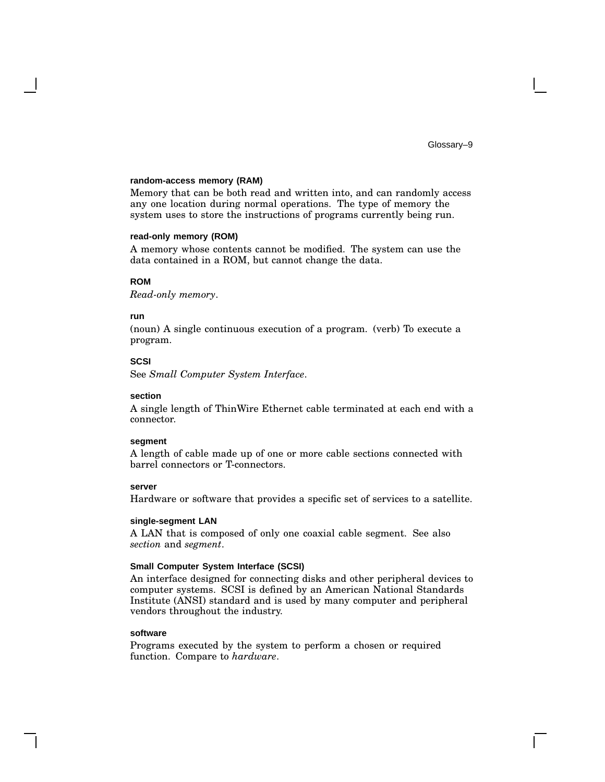#### **random-access memory (RAM)**

Memory that can be both read and written into, and can randomly access any one location during normal operations. The type of memory the system uses to store the instructions of programs currently being run.

#### **read-only memory (ROM)**

A memory whose contents cannot be modified. The system can use the data contained in a ROM, but cannot change the data.

#### **ROM**

*Read-only memory*.

#### **run**

(noun) A single continuous execution of a program. (verb) To execute a program.

#### **SCSI**

See *Small Computer System Interface*.

#### **section**

A single length of ThinWire Ethernet cable terminated at each end with a connector.

#### **segment**

A length of cable made up of one or more cable sections connected with barrel connectors or T-connectors.

#### **server**

Hardware or software that provides a specific set of services to a satellite.

#### **single-segment LAN**

A LAN that is composed of only one coaxial cable segment. See also *section* and *segment*.

#### **Small Computer System Interface (SCSI)**

An interface designed for connecting disks and other peripheral devices to computer systems. SCSI is defined by an American National Standards Institute (ANSI) standard and is used by many computer and peripheral vendors throughout the industry.

#### **software**

Programs executed by the system to perform a chosen or required function. Compare to *hardware*.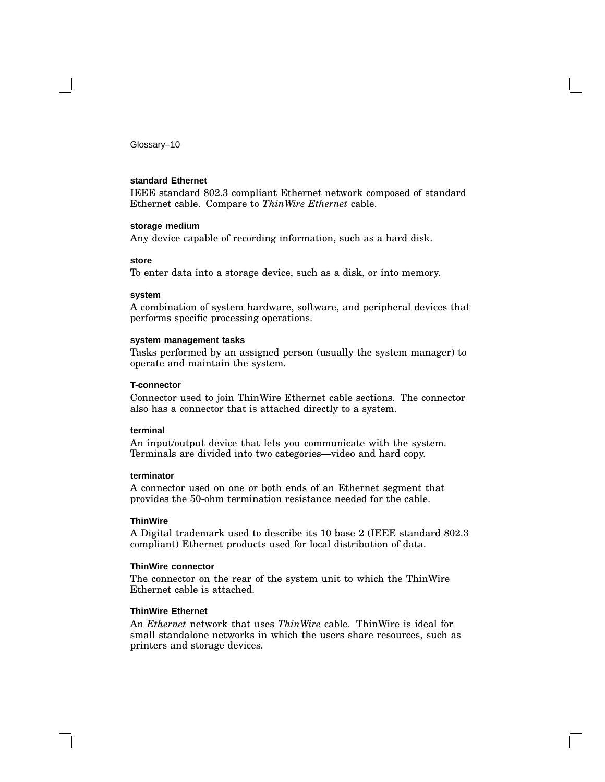#### **standard Ethernet**

IEEE standard 802.3 compliant Ethernet network composed of standard Ethernet cable. Compare to *ThinWire Ethernet* cable.

#### **storage medium**

Any device capable of recording information, such as a hard disk.

#### **store**

To enter data into a storage device, such as a disk, or into memory.

#### **system**

A combination of system hardware, software, and peripheral devices that performs specific processing operations.

#### **system management tasks**

Tasks performed by an assigned person (usually the system manager) to operate and maintain the system.

#### **T-connector**

Connector used to join ThinWire Ethernet cable sections. The connector also has a connector that is attached directly to a system.

#### **terminal**

An input/output device that lets you communicate with the system. Terminals are divided into two categories—video and hard copy.

#### **terminator**

A connector used on one or both ends of an Ethernet segment that provides the 50-ohm termination resistance needed for the cable.

#### **ThinWire**

A Digital trademark used to describe its 10 base 2 (IEEE standard 802.3 compliant) Ethernet products used for local distribution of data.

#### **ThinWire connector**

The connector on the rear of the system unit to which the ThinWire Ethernet cable is attached.

#### **ThinWire Ethernet**

An *Ethernet* network that uses *ThinWire* cable. ThinWire is ideal for small standalone networks in which the users share resources, such as printers and storage devices.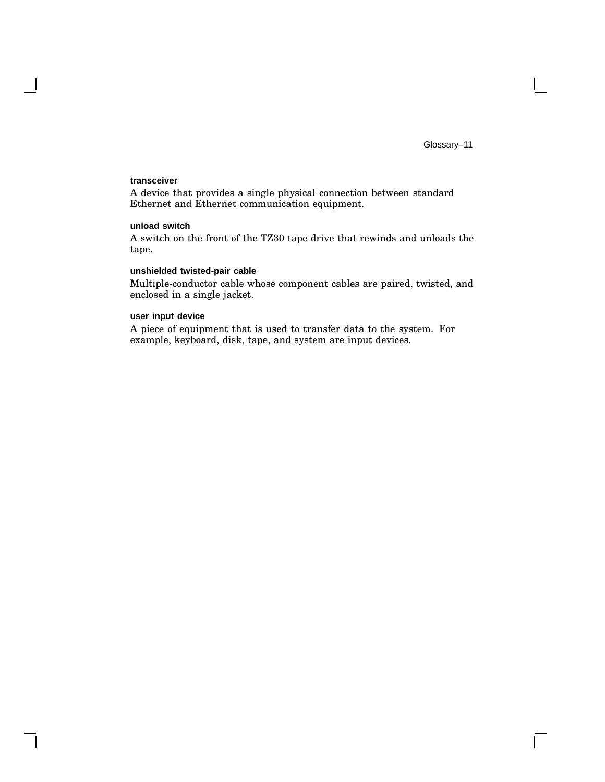$\mathbf{L}$ 

#### **transceiver**

 $\overline{\phantom{a}}$ 

A device that provides a single physical connection between standard Ethernet and Ethernet communication equipment.

#### **unload switch**

A switch on the front of the TZ30 tape drive that rewinds and unloads the tape.

#### **unshielded twisted-pair cable**

Multiple-conductor cable whose component cables are paired, twisted, and enclosed in a single jacket.

#### **user input device**

A piece of equipment that is used to transfer data to the system. For example, keyboard, disk, tape, and system are input devices.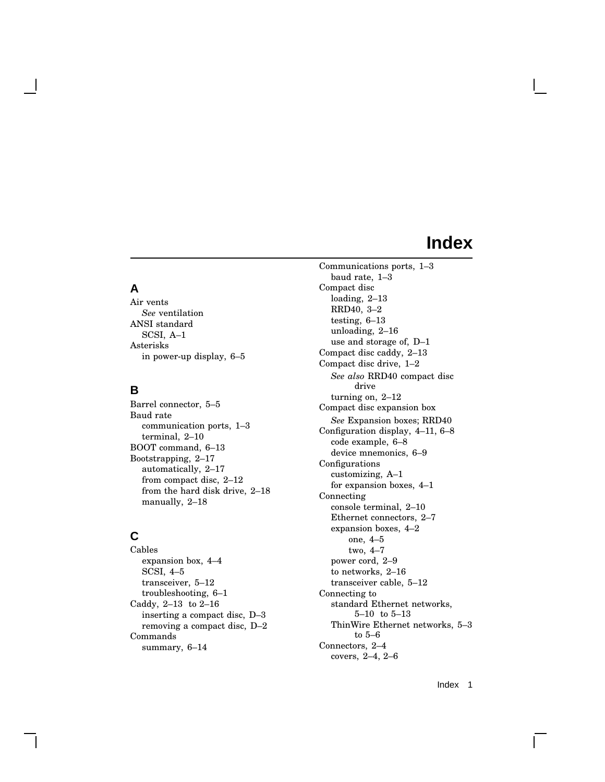# **A**

Air vents *See* ventilation ANSI standard SCSI, A–1 Asterisks in power-up display, 6–5

# **B**

Barrel connector, 5–5 Baud rate communication ports, 1–3 terminal, 2–10 BOOT command, 6–13 Bootstrapping, 2–17 automatically, 2–17 from compact disc, 2–12 from the hard disk drive, 2–18 manually, 2–18

# **C**

Cables expansion box, 4–4 SCSI, 4–5 transceiver, 5–12 troubleshooting, 6–1 Caddy, 2–13 to 2–16 inserting a compact disc, D–3 removing a compact disc, D–2 Commands summary, 6–14

Communications ports, 1–3 baud rate, 1–3 Compact disc loading, 2–13 RRD40, 3–2 testing, 6–13 unloading, 2–16 use and storage of, D–1 Compact disc caddy, 2–13 Compact disc drive, 1–2 *See also* RRD40 compact disc drive turning on, 2–12 Compact disc expansion box *See* Expansion boxes; RRD40 Configuration display, 4–11, 6–8 code example, 6–8 device mnemonics, 6–9 Configurations customizing, A–1 for expansion boxes, 4–1 Connecting console terminal, 2–10 Ethernet connectors, 2–7 expansion boxes, 4–2 one, 4–5 two, 4–7 power cord, 2–9 to networks, 2–16 transceiver cable, 5–12 Connecting to standard Ethernet networks, 5–10 to 5–13 ThinWire Ethernet networks, 5–3 to 5–6 Connectors, 2–4 covers, 2–4, 2–6

Index 1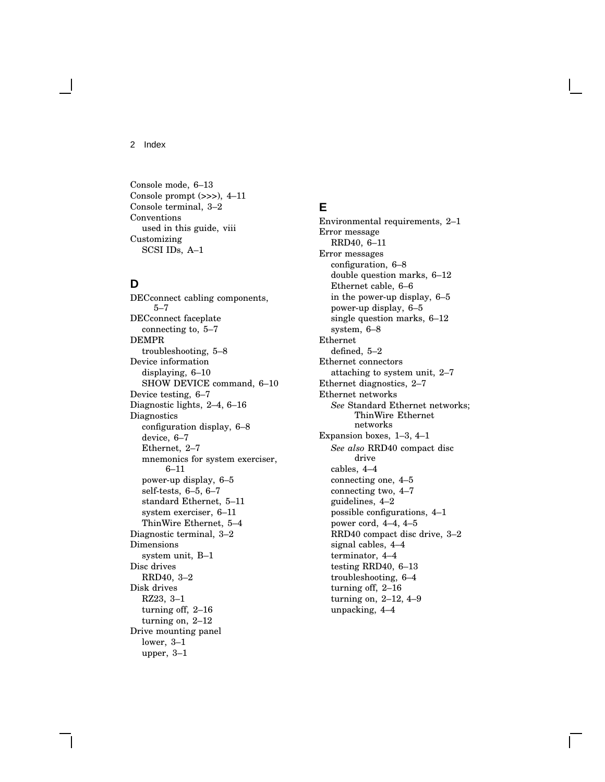Console mode, 6–13 Console prompt (>>>), 4–11 Console terminal, 3–2 Conventions used in this guide, viii Customizing SCSI IDs, A–1

# **D**

DECconnect cabling components, 5–7 DECconnect faceplate connecting to, 5–7 DEMPR troubleshooting, 5–8 Device information displaying, 6–10 SHOW DEVICE command, 6–10 Device testing, 6–7 Diagnostic lights, 2–4, 6–16 Diagnostics configuration display, 6–8 device, 6–7 Ethernet, 2–7 mnemonics for system exerciser, 6–11 power-up display, 6–5 self-tests, 6–5, 6–7 standard Ethernet, 5–11 system exerciser, 6–11 ThinWire Ethernet, 5–4 Diagnostic terminal, 3–2 Dimensions system unit, B–1 Disc drives RRD40, 3–2 Disk drives RZ23, 3–1 turning off, 2–16 turning on, 2–12 Drive mounting panel lower, 3–1 upper, 3–1

# **E**

Environmental requirements, 2–1 Error message RRD40, 6–11 Error messages configuration, 6–8 double question marks, 6–12 Ethernet cable, 6–6 in the power-up display, 6–5 power-up display, 6–5 single question marks, 6–12 system, 6–8 Ethernet defined, 5–2 Ethernet connectors attaching to system unit, 2–7 Ethernet diagnostics, 2–7 Ethernet networks *See* Standard Ethernet networks; ThinWire Ethernet networks Expansion boxes, 1–3, 4–1 *See also* RRD40 compact disc drive cables, 4–4 connecting one, 4–5 connecting two, 4–7 guidelines, 4–2 possible configurations, 4–1 power cord, 4–4, 4–5 RRD40 compact disc drive, 3–2 signal cables, 4–4 terminator, 4–4 testing RRD40, 6–13 troubleshooting, 6–4 turning off, 2–16 turning on, 2–12, 4–9 unpacking, 4–4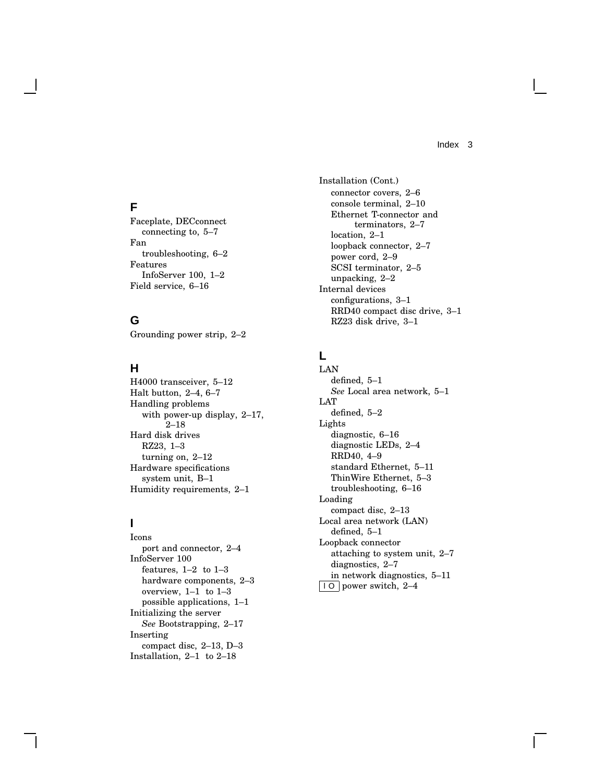# **F**

Faceplate, DECconnect connecting to, 5–7 Fan troubleshooting, 6–2 Features InfoServer 100, 1–2 Field service, 6–16

# **G**

Grounding power strip, 2–2

# **H**

H4000 transceiver, 5–12 Halt button, 2–4, 6–7 Handling problems with power-up display, 2–17, 2–18 Hard disk drives RZ23, 1–3 turning on, 2–12 Hardware specifications system unit, B–1 Humidity requirements, 2–1

# **I**

Icons port and connector, 2–4 InfoServer 100 features, 1–2 to 1–3 hardware components, 2–3 overview, 1–1 to 1–3 possible applications, 1–1 Initializing the server *See* Bootstrapping, 2–17 Inserting compact disc, 2–13, D–3 Installation, 2–1 to 2–18

Installation (Cont.) connector covers, 2–6 console terminal, 2–10 Ethernet T-connector and terminators, 2–7 location, 2–1 loopback connector, 2–7 power cord, 2–9 SCSI terminator, 2–5 unpacking, 2–2 Internal devices configurations, 3–1 RRD40 compact disc drive, 3–1 RZ23 disk drive, 3–1

# **L**

LAN defined, 5–1 *See* Local area network, 5–1 LAT defined, 5–2 Lights diagnostic, 6–16 diagnostic LEDs, 2–4 RRD40, 4–9 standard Ethernet, 5–11 ThinWire Ethernet, 5–3 troubleshooting, 6–16 Loading compact disc, 2–13 Local area network (LAN) defined, 5–1 Loopback connector attaching to system unit, 2–7 diagnostics, 2–7 in network diagnostics, 5–11 l O power switch, 2–4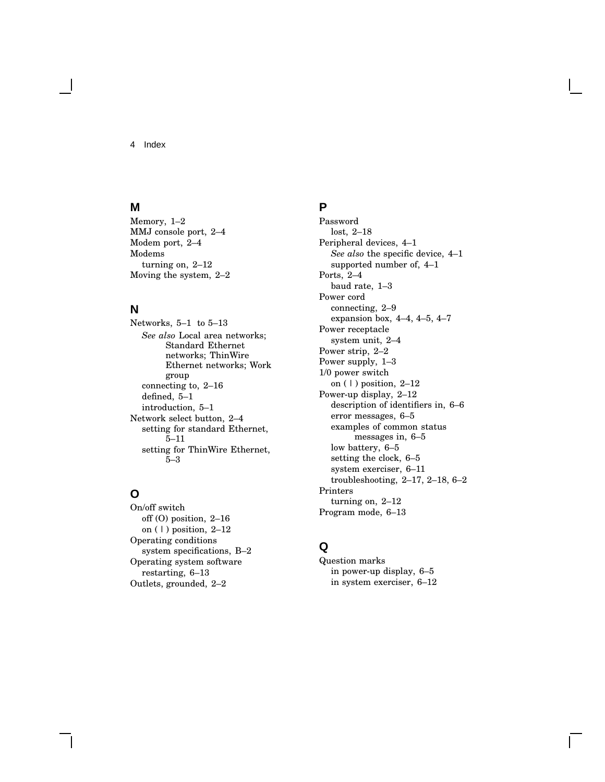### **M**

Memory, 1–2 MMJ console port, 2–4 Modem port, 2–4 Modems turning on, 2–12 Moving the system, 2–2

# **N**

Networks, 5–1 to 5–13 *See also* Local area networks; Standard Ethernet networks; ThinWire Ethernet networks; Work group connecting to, 2–16 defined, 5–1 introduction, 5–1 Network select button, 2–4 setting for standard Ethernet, 5–11 setting for ThinWire Ethernet, 5–3

# **O**

On/off switch off (O) position, 2–16 on  $(1)$  position,  $2-12$ Operating conditions system specifications, B–2 Operating system software restarting, 6–13 Outlets, grounded, 2–2

# **P**

Password lost, 2–18 Peripheral devices, 4–1 *See also* the specific device, 4–1 supported number of, 4–1 Ports, 2–4 baud rate, 1–3 Power cord connecting, 2–9 expansion box, 4–4, 4–5, 4–7 Power receptacle system unit, 2–4 Power strip, 2–2 Power supply, 1–3 1/0 power switch on  $(1)$  position,  $2-12$ Power-up display, 2–12 description of identifiers in, 6–6 error messages, 6–5 examples of common status messages in, 6–5 low battery, 6–5 setting the clock, 6–5 system exerciser, 6–11 troubleshooting, 2–17, 2–18, 6–2 Printers turning on, 2–12 Program mode, 6–13

# **Q**

Question marks in power-up display, 6–5 in system exerciser, 6–12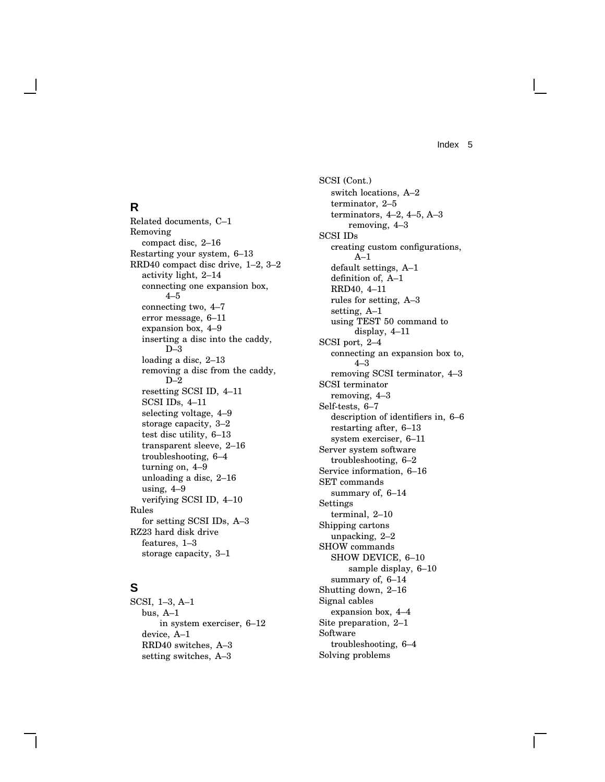### **R**

Related documents, C–1 Removing compact disc, 2–16 Restarting your system, 6–13 RRD40 compact disc drive, 1–2, 3–2 activity light, 2–14 connecting one expansion box, 4–5 connecting two, 4–7 error message, 6–11 expansion box, 4–9 inserting a disc into the caddy, D–3 loading a disc, 2–13 removing a disc from the caddy, D–2 resetting SCSI ID, 4–11 SCSI IDs, 4–11 selecting voltage, 4–9 storage capacity, 3–2 test disc utility, 6–13 transparent sleeve, 2–16 troubleshooting, 6–4 turning on, 4–9 unloading a disc, 2–16 using, 4–9 verifying SCSI ID, 4–10 Rules for setting SCSI IDs, A–3 RZ23 hard disk drive features, 1–3 storage capacity, 3–1

# **S**

SCSI, 1–3, A–1 bus, A–1 in system exerciser, 6–12 device, A–1 RRD40 switches, A–3 setting switches, A–3

SCSI (Cont.) switch locations, A–2 terminator, 2–5 terminators, 4–2, 4–5, A–3 removing, 4–3 SCSI IDs creating custom configurations, A–1 default settings, A–1 definition of, A–1 RRD40, 4–11 rules for setting, A–3 setting, A–1 using TEST 50 command to display, 4–11 SCSI port, 2–4 connecting an expansion box to, 4–3 removing SCSI terminator, 4–3 SCSI terminator removing, 4–3 Self-tests, 6–7 description of identifiers in, 6–6 restarting after, 6–13 system exerciser, 6–11 Server system software troubleshooting, 6–2 Service information, 6–16 SET commands summary of, 6–14 Settings terminal, 2–10 Shipping cartons unpacking, 2–2 SHOW commands SHOW DEVICE, 6–10 sample display, 6–10 summary of, 6–14 Shutting down, 2–16 Signal cables expansion box, 4–4 Site preparation, 2–1 Software troubleshooting, 6–4 Solving problems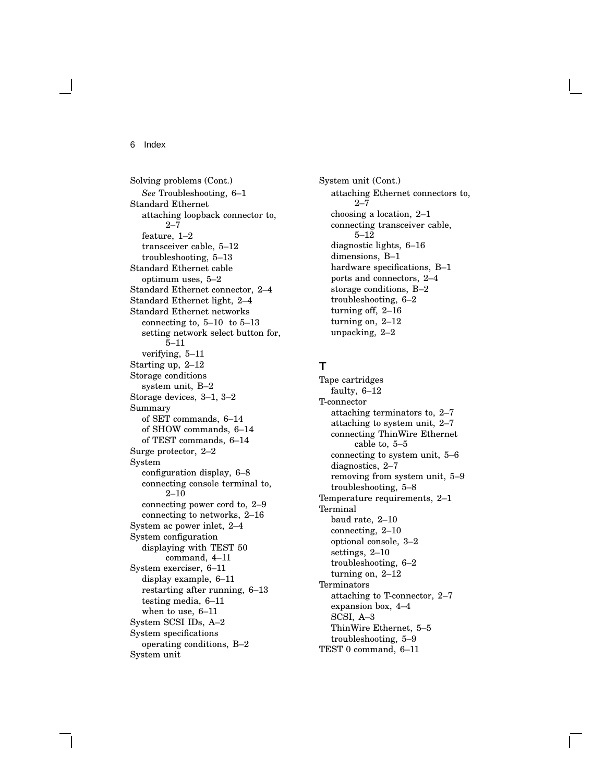Solving problems (Cont.) *See* Troubleshooting, 6–1 Standard Ethernet attaching loopback connector to, 2–7 feature, 1–2 transceiver cable, 5–12 troubleshooting, 5–13 Standard Ethernet cable optimum uses, 5–2 Standard Ethernet connector, 2–4 Standard Ethernet light, 2–4 Standard Ethernet networks connecting to,  $5-10$  to  $5-13$ setting network select button for, 5–11 verifying, 5–11 Starting up, 2–12 Storage conditions system unit, B–2 Storage devices, 3–1, 3–2 Summary of SET commands, 6–14 of SHOW commands, 6–14 of TEST commands, 6–14 Surge protector, 2–2 System configuration display, 6–8 connecting console terminal to, 2–10 connecting power cord to, 2–9 connecting to networks, 2–16 System ac power inlet, 2–4 System configuration displaying with TEST 50 command, 4–11 System exerciser, 6–11 display example, 6–11 restarting after running, 6–13 testing media, 6–11 when to use, 6–11 System SCSI IDs, A–2 System specifications operating conditions, B–2 System unit

System unit (Cont.) attaching Ethernet connectors to, 2–7 choosing a location, 2–1 connecting transceiver cable, 5–12 diagnostic lights, 6–16 dimensions, B–1 hardware specifications, B–1 ports and connectors, 2–4 storage conditions, B–2 troubleshooting, 6–2 turning off, 2–16 turning on, 2–12 unpacking, 2–2

# **T**

Tape cartridges faulty, 6–12 T-connector attaching terminators to, 2–7 attaching to system unit, 2–7 connecting ThinWire Ethernet cable to, 5–5 connecting to system unit, 5–6 diagnostics, 2–7 removing from system unit, 5–9 troubleshooting, 5–8 Temperature requirements, 2–1 Terminal baud rate, 2–10 connecting, 2–10 optional console, 3–2 settings, 2–10 troubleshooting, 6–2 turning on, 2–12 **Terminators** attaching to T-connector, 2–7 expansion box, 4–4 SCSI, A–3 ThinWire Ethernet, 5–5 troubleshooting, 5–9 TEST 0 command, 6–11